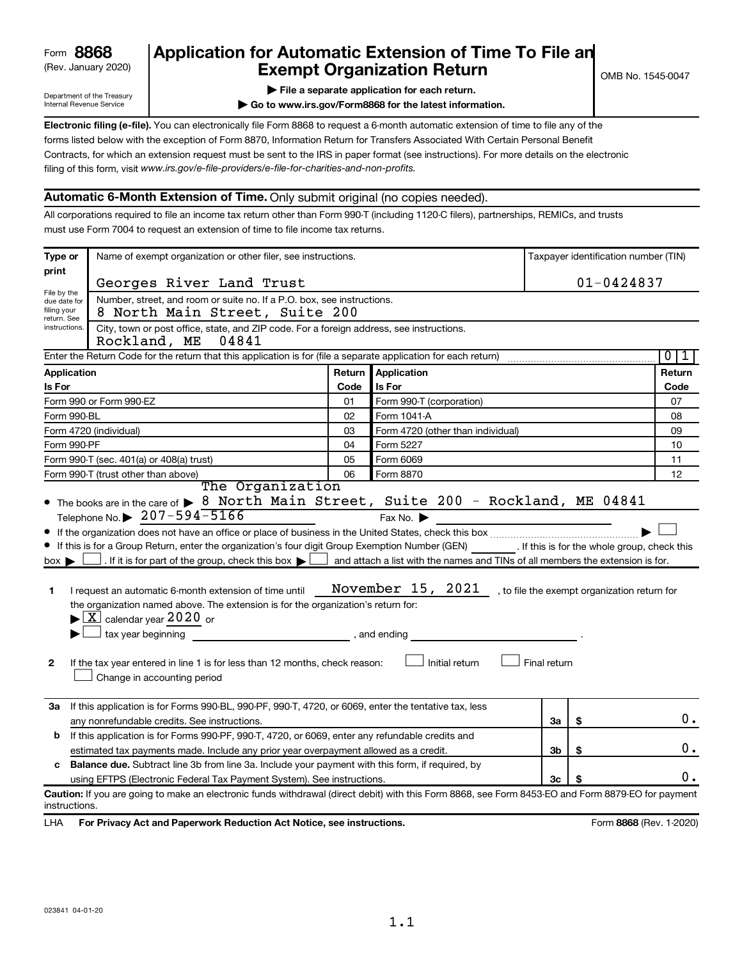## (Rev. January 2020) **Cxempt Organization Return** Manuary 2020) and the settern **Canadian Exempt Organization Return Form 8868 Application for Automatic Extension of Time To File an**<br>**Exempt Organization Return**

Department of the Treasury Internal Revenue Service

|  |  |  |  | File a separate application for each return. |
|--|--|--|--|----------------------------------------------|
|  |  |  |  |                                              |

**| Go to www.irs.gov/Form8868 for the latest information.**

**Electronic filing (e-file).** You can electronically file Form 8868 to request a 6-month automatic extension of time to file any of the filing of this form, visit www.irs.gov/e-file-providers/e-file-for-charities-and-non-profits. forms listed below with the exception of Form 8870, Information Return for Transfers Associated With Certain Personal Benefit Contracts, for which an extension request must be sent to the IRS in paper format (see instructions). For more details on the electronic

### **Automatic 6-Month Extension of Time.** Only submit original (no copies needed).

All corporations required to file an income tax return other than Form 990-T (including 1120-C filers), partnerships, REMICs, and trusts must use Form 7004 to request an extension of time to file income tax returns.

| Type or                                                                                                                                                                                                                                                                                                                                                                                                                                                                                                                                                                                                                                                                                                                                                                                                                                                                                                                                       | Name of exempt organization or other filer, see instructions.                                                                                        |        |                                   |    |                | Taxpayer identification number (TIN) |  |
|-----------------------------------------------------------------------------------------------------------------------------------------------------------------------------------------------------------------------------------------------------------------------------------------------------------------------------------------------------------------------------------------------------------------------------------------------------------------------------------------------------------------------------------------------------------------------------------------------------------------------------------------------------------------------------------------------------------------------------------------------------------------------------------------------------------------------------------------------------------------------------------------------------------------------------------------------|------------------------------------------------------------------------------------------------------------------------------------------------------|--------|-----------------------------------|----|----------------|--------------------------------------|--|
| print                                                                                                                                                                                                                                                                                                                                                                                                                                                                                                                                                                                                                                                                                                                                                                                                                                                                                                                                         | Georges River Land Trust                                                                                                                             |        |                                   |    | $01 - 0424837$ |                                      |  |
| File by the<br>due date for                                                                                                                                                                                                                                                                                                                                                                                                                                                                                                                                                                                                                                                                                                                                                                                                                                                                                                                   | Number, street, and room or suite no. If a P.O. box, see instructions.                                                                               |        |                                   |    |                |                                      |  |
| filing your<br>return. See                                                                                                                                                                                                                                                                                                                                                                                                                                                                                                                                                                                                                                                                                                                                                                                                                                                                                                                    | 8 North Main Street, Suite 200                                                                                                                       |        |                                   |    |                |                                      |  |
| City, town or post office, state, and ZIP code. For a foreign address, see instructions.<br>instructions.<br>Rockland, ME<br>04841                                                                                                                                                                                                                                                                                                                                                                                                                                                                                                                                                                                                                                                                                                                                                                                                            |                                                                                                                                                      |        |                                   |    |                |                                      |  |
|                                                                                                                                                                                                                                                                                                                                                                                                                                                                                                                                                                                                                                                                                                                                                                                                                                                                                                                                               | Enter the Return Code for the return that this application is for (file a separate application for each return)                                      |        |                                   |    |                | $\overline{0}$<br>1                  |  |
| <b>Application</b>                                                                                                                                                                                                                                                                                                                                                                                                                                                                                                                                                                                                                                                                                                                                                                                                                                                                                                                            |                                                                                                                                                      | Return | Application                       |    |                | Return                               |  |
| Is For                                                                                                                                                                                                                                                                                                                                                                                                                                                                                                                                                                                                                                                                                                                                                                                                                                                                                                                                        |                                                                                                                                                      | Code   | Is For                            |    |                | Code                                 |  |
|                                                                                                                                                                                                                                                                                                                                                                                                                                                                                                                                                                                                                                                                                                                                                                                                                                                                                                                                               | Form 990 or Form 990-EZ                                                                                                                              | 01     | Form 990-T (corporation)          |    |                | 07                                   |  |
| Form 990-BL                                                                                                                                                                                                                                                                                                                                                                                                                                                                                                                                                                                                                                                                                                                                                                                                                                                                                                                                   |                                                                                                                                                      | 02     | Form 1041 A                       |    |                | 08                                   |  |
|                                                                                                                                                                                                                                                                                                                                                                                                                                                                                                                                                                                                                                                                                                                                                                                                                                                                                                                                               | Form 4720 (individual)                                                                                                                               | 03     | Form 4720 (other than individual) |    |                | 09                                   |  |
| Form 990-PF                                                                                                                                                                                                                                                                                                                                                                                                                                                                                                                                                                                                                                                                                                                                                                                                                                                                                                                                   |                                                                                                                                                      | 04     | Form 5227                         |    |                | 10                                   |  |
|                                                                                                                                                                                                                                                                                                                                                                                                                                                                                                                                                                                                                                                                                                                                                                                                                                                                                                                                               | Form 990-T (sec. 401(a) or 408(a) trust)                                                                                                             | 05     | Form 6069                         |    |                | 11                                   |  |
|                                                                                                                                                                                                                                                                                                                                                                                                                                                                                                                                                                                                                                                                                                                                                                                                                                                                                                                                               | Form 990-T (trust other than above)<br>The Organization                                                                                              | 06     | Form 8870                         |    |                | 12                                   |  |
| Telephone No. $\triangleright$ 207-594-5166<br>Fax No. $\blacktriangleright$<br>If this is for a Group Return, enter the organization's four digit Group Exemption Number (GEN) [If this is for the whole group, check this<br>. If it is for part of the group, check this box $\blacktriangleright$ $\blacktriangleright$ and attach a list with the names and TINs of all members the extension is for.<br>$box \blacktriangleright$<br>November $15$ , $2021$ , to file the exempt organization return for<br>I request an automatic 6-month extension of time until<br>1<br>the organization named above. The extension is for the organization's return for:<br>$\blacktriangleright$ $\lfloor$ X $\rfloor$ calendar year 2020 or<br>tax year beginning<br>, and ending<br>Initial return<br>Final return<br>$\mathbf{2}$<br>If the tax year entered in line 1 is for less than 12 months, check reason:<br>Change in accounting period |                                                                                                                                                      |        |                                   |    |                |                                      |  |
| За                                                                                                                                                                                                                                                                                                                                                                                                                                                                                                                                                                                                                                                                                                                                                                                                                                                                                                                                            | If this application is for Forms 990-BL, 990-PF, 990-T, 4720, or 6069, enter the tentative tax, less<br>any nonrefundable credits. See instructions. |        |                                   | 3a | \$             | $0$ .                                |  |
| b                                                                                                                                                                                                                                                                                                                                                                                                                                                                                                                                                                                                                                                                                                                                                                                                                                                                                                                                             | If this application is for Forms 990-PF, 990-T, 4720, or 6069, enter any refundable credits and                                                      |        |                                   |    |                |                                      |  |
|                                                                                                                                                                                                                                                                                                                                                                                                                                                                                                                                                                                                                                                                                                                                                                                                                                                                                                                                               | estimated tax payments made. Include any prior year overpayment allowed as a credit.                                                                 |        |                                   | 3b | \$             | 0.                                   |  |
| c                                                                                                                                                                                                                                                                                                                                                                                                                                                                                                                                                                                                                                                                                                                                                                                                                                                                                                                                             | Balance due. Subtract line 3b from line 3a. Include your payment with this form, if required, by                                                     |        |                                   |    |                |                                      |  |
|                                                                                                                                                                                                                                                                                                                                                                                                                                                                                                                                                                                                                                                                                                                                                                                                                                                                                                                                               | using EFTPS (Electronic Federal Tax Payment System). See instructions.                                                                               |        |                                   | Зс |                | Ο.                                   |  |
| instructions.                                                                                                                                                                                                                                                                                                                                                                                                                                                                                                                                                                                                                                                                                                                                                                                                                                                                                                                                 | Caution: If you are going to make an electronic funds withdrawal (direct debit) with this Form 8868, see Form 8453-EO and Form 8879-EO for payment   |        |                                   |    |                |                                      |  |

LHA For Privacy Act and Paperwork Reduction Act Notice, see instructions. **8868** CREV. 1-2020)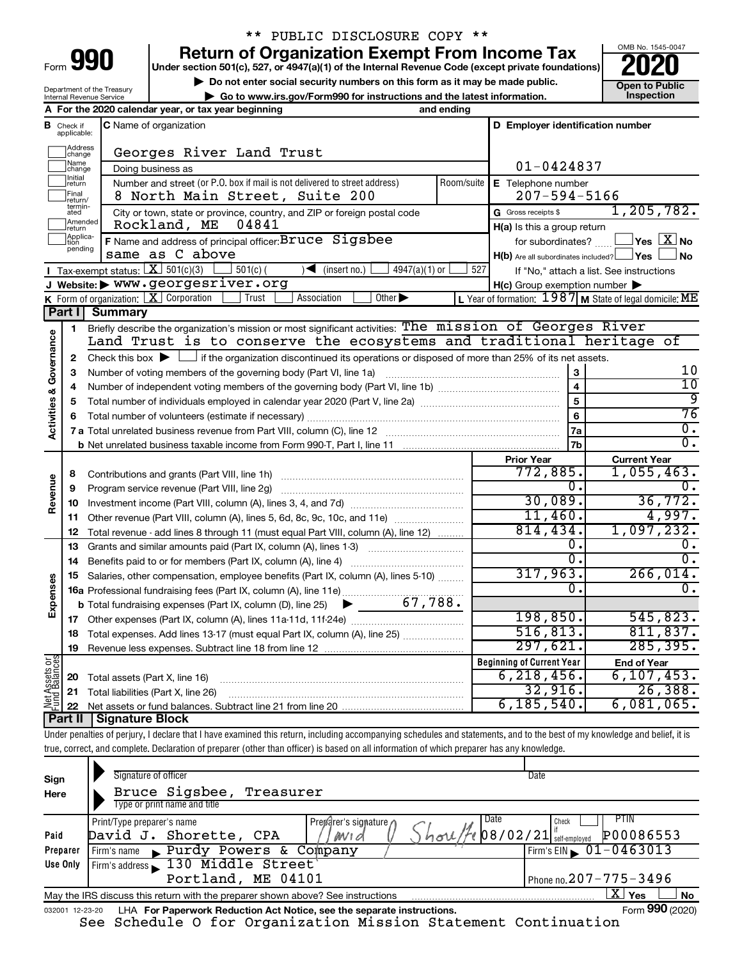| Form |  |  |
|------|--|--|

# \*\* PUBLIC DISCLOSURE COPY \*\*

**990** Return of Organization Exempt From Income Tax <br>
Under section 501(c), 527, or 4947(a)(1) of the Internal Revenue Code (except private foundations)<br> **PO20** 

**▶ Do not enter social security numbers on this form as it may be made public. Open to Public**<br>
inspection and the latest information. Inspection **| Go to www.irs.gov/Form990 for instructions and the latest information. Inspection**



Department of the Treasury Internal Revenue Service

|                         |                                  | A For the 2020 calendar year, or tax year beginning                                                                                                                        | and ending |                                                         |                                                           |
|-------------------------|----------------------------------|----------------------------------------------------------------------------------------------------------------------------------------------------------------------------|------------|---------------------------------------------------------|-----------------------------------------------------------|
|                         | <b>B</b> Check if<br>applicable: | C Name of organization                                                                                                                                                     |            | D Employer identification number                        |                                                           |
|                         | Address<br> change               | Georges River Land Trust                                                                                                                                                   |            |                                                         |                                                           |
|                         | Name<br>change                   | Doing business as                                                                                                                                                          |            | $01 - 0424837$                                          |                                                           |
|                         | Initial<br>return                | Number and street (or P.O. box if mail is not delivered to street address)                                                                                                 | Room/suite | E Telephone number                                      |                                                           |
|                         | Final<br>return/                 | 8 North Main Street, Suite 200                                                                                                                                             |            | $207 - 594 - 5166$                                      |                                                           |
|                         | termin-<br>ated                  | City or town, state or province, country, and ZIP or foreign postal code                                                                                                   |            | G Gross receipts \$                                     | 1, 205, 782.                                              |
|                         | Amended<br>Ireturn               | Rockland, ME<br>04841                                                                                                                                                      |            | H(a) Is this a group return                             |                                                           |
|                         | Applica-<br>Ition                | F Name and address of principal officer: Bruce Sigsbee                                                                                                                     |            | for subordinates?                                       | $\exists$ Yes $\boxed{\text{X}}$ No                       |
|                         | pending                          | same as C above                                                                                                                                                            |            | $H(b)$ Are all subordinates included? $\Box$ Yes $\Box$ | ⊿ No                                                      |
|                         |                                  | Tax-exempt status: $X \overline{X}$ 501(c)(3)<br>$501(c)$ (<br>$\sqrt{\phantom{a}}$ (insert no.)<br>$4947(a)(1)$ or                                                        | 527        |                                                         | If "No," attach a list. See instructions                  |
|                         |                                  | J Website: > WWW.georgesriver.org                                                                                                                                          |            | $H(c)$ Group exemption number $\blacktriangleright$     |                                                           |
|                         |                                  | K Form of organization: $X$ Corporation<br>Other $\blacktriangleright$<br>Trust<br>Association                                                                             |            |                                                         | L Year of formation: $1987$ M State of legal domicile: ME |
|                         |                                  | <b>Part I</b> Summary                                                                                                                                                      |            |                                                         |                                                           |
|                         | 1                                | Briefly describe the organization's mission or most significant activities: The mission of Georges River                                                                   |            |                                                         |                                                           |
|                         |                                  | Land Trust is to conserve the ecosystems and traditional heritage of                                                                                                       |            |                                                         |                                                           |
| Activities & Governance | 2                                | Check this box $\blacktriangleright \Box$ if the organization discontinued its operations or disposed of more than 25% of its net assets.                                  |            |                                                         |                                                           |
|                         | З                                | Number of voting members of the governing body (Part VI, line 1a)                                                                                                          |            |                                                         | 10                                                        |
|                         | 4                                |                                                                                                                                                                            |            | $\overline{\mathbf{4}}$                                 | 10                                                        |
|                         | 5                                |                                                                                                                                                                            |            | $\overline{5}$                                          | ्रु                                                       |
|                         |                                  |                                                                                                                                                                            |            | 6                                                       | 76                                                        |
|                         |                                  |                                                                                                                                                                            |            | 7a                                                      | $\overline{0}$ .                                          |
|                         |                                  |                                                                                                                                                                            |            | 7b                                                      | $\overline{0}$ .                                          |
|                         |                                  |                                                                                                                                                                            |            | <b>Prior Year</b>                                       | <b>Current Year</b>                                       |
|                         | 8                                | Contributions and grants (Part VIII, line 1h)                                                                                                                              |            | 772,885.                                                | 1,055,463.                                                |
|                         | 9                                | Program service revenue (Part VIII, line 2g)                                                                                                                               |            | 0.                                                      |                                                           |
| Revenue                 | 10                               |                                                                                                                                                                            |            | 30,089.                                                 | 36,772.                                                   |
|                         | 11                               | Other revenue (Part VIII, column (A), lines 5, 6d, 8c, 9c, 10c, and 11e)                                                                                                   |            | 11,460.                                                 | 4,997.                                                    |
|                         | 12                               | Total revenue - add lines 8 through 11 (must equal Part VIII, column (A), line 12)                                                                                         |            | 814, 434.                                               | 1,097,232.                                                |
|                         | 13                               | Grants and similar amounts paid (Part IX, column (A), lines 1-3) <i></i>                                                                                                   |            | 0.                                                      | 0.                                                        |
|                         | 14                               |                                                                                                                                                                            |            | σ.                                                      | $\overline{0}$ .                                          |
|                         | 15                               | Salaries, other compensation, employee benefits (Part IX, column (A), lines 5-10)                                                                                          |            | 317,963.                                                | 266,014.                                                  |
| Expenses                |                                  | 16a Professional fundraising fees (Part IX, column (A), line 11e)                                                                                                          |            | 0.                                                      | $\overline{0}$ .                                          |
|                         |                                  | <b>b</b> Total fundraising expenses (Part IX, column (D), line 25) $\bullet$ 67, 788.                                                                                      |            |                                                         |                                                           |
|                         |                                  |                                                                                                                                                                            |            | 198,850.                                                | 545,823.                                                  |
|                         |                                  | 18 Total expenses. Add lines 13-17 (must equal Part IX, column (A), line 25)                                                                                               |            | 516, 813.                                               | 811, 837.                                                 |
|                         |                                  | 19 Revenue less expenses. Subtract line 18 from line 12                                                                                                                    |            | 297,621.                                                | 285, 395.                                                 |
| Net Assets or           |                                  |                                                                                                                                                                            |            | <b>Beginning of Current Year</b>                        | <b>End of Year</b>                                        |
|                         | 20                               | Total assets (Part X, line 16)                                                                                                                                             |            | 6, 218, 456.                                            | 6, 107, 453.                                              |
|                         | 21                               | Total liabilities (Part X, line 26)                                                                                                                                        |            | 32,916.                                                 | 26,388.                                                   |
|                         | 22                               |                                                                                                                                                                            |            | 6, 185, 540.                                            | 6,081,065.                                                |
|                         | <b>Part II</b>                   | <b>Signature Block</b>                                                                                                                                                     |            |                                                         |                                                           |
|                         |                                  | Under penalties of perjury, I declare that I have examined this return, including accompanying schedules and statements, and to the best of my knowledge and belief, it is |            |                                                         |                                                           |
|                         |                                  | true, correct, and complete. Declaration of preparer (other than officer) is based on all information of which preparer has any knowledge.                                 |            |                                                         |                                                           |
|                         |                                  |                                                                                                                                                                            |            |                                                         |                                                           |
| Sign                    |                                  | Signature of officer                                                                                                                                                       |            | Date                                                    |                                                           |
| Here                    |                                  | Bruce Sigsbee, Treasurer                                                                                                                                                   |            |                                                         |                                                           |

| ייפי<br>Here | Bruce Sigsbee, Treasurer<br>Type or print name and title                        |                                                                                                  |
|--------------|---------------------------------------------------------------------------------|--------------------------------------------------------------------------------------------------|
|              |                                                                                 |                                                                                                  |
|              | Date<br>Preparer's signature ∩<br>Print/Type preparer's name                    | PTIN<br>Check                                                                                    |
| Paid         | David J. Shorette, CPA<br>MV1d                                                  | P00086553<br>$\mathscr{F}$ e $\vert$ 08/02/21 $\vert$ $\scriptstyle_{\text{self-emploved}}^{''}$ |
| Preparer     | Purdy Powers & Company<br>Firm's name                                           | $1$ Firm's EIN $\triangleright$ 01-0463013                                                       |
| Use Only     | Firm's address 130 Middle Street                                                |                                                                                                  |
|              | Portland, ME 04101                                                              | Phone no. $207 - 775 - 3496$                                                                     |
|              | May the IRS discuss this return with the preparer shown above? See instructions | x.<br>Yes<br><b>No</b>                                                                           |
|              |                                                                                 | $- - -$                                                                                          |

032001 12-23-20 LHA **For Paperwork Reduction Act Notice, see the separate instructions.** Form 990 (2020) Form **990** (2020)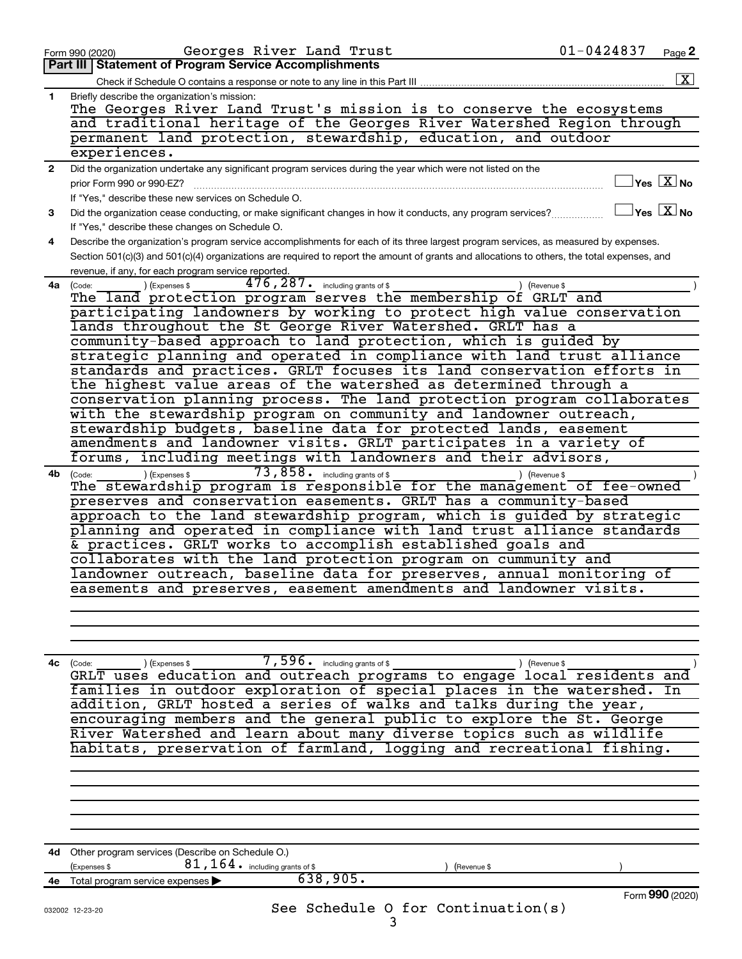|              | Georges River Land Trust<br>Form 990 (2020)                                                                                                  | $01 - 0424837$<br>Page 2                        |
|--------------|----------------------------------------------------------------------------------------------------------------------------------------------|-------------------------------------------------|
|              | Part III   Statement of Program Service Accomplishments                                                                                      |                                                 |
|              |                                                                                                                                              | $\boxed{\textbf{X}}$                            |
| 1.           | Briefly describe the organization's mission:                                                                                                 |                                                 |
|              | The Georges River Land Trust's mission is to conserve the ecosystems                                                                         |                                                 |
|              | and traditional heritage of the Georges River Watershed Region through                                                                       |                                                 |
|              |                                                                                                                                              |                                                 |
|              | permanent land protection, stewardship, education, and outdoor                                                                               |                                                 |
|              | experiences.                                                                                                                                 |                                                 |
| $\mathbf{2}$ | Did the organization undertake any significant program services during the year which were not listed on the                                 |                                                 |
|              | prior Form 990 or 990-EZ?                                                                                                                    | $\exists$ Yes $\boxed{\text{X}}$ No             |
|              | If "Yes," describe these new services on Schedule O.                                                                                         |                                                 |
| 3            | Did the organization cease conducting, or make significant changes in how it conducts, any program services?                                 | $\boxed{\phantom{1}}$ Yes $\boxed{\text{X}}$ No |
|              | If "Yes," describe these changes on Schedule O.                                                                                              |                                                 |
|              |                                                                                                                                              |                                                 |
| 4            | Describe the organization's program service accomplishments for each of its three largest program services, as measured by expenses.         |                                                 |
|              | Section 501(c)(3) and 501(c)(4) organizations are required to report the amount of grants and allocations to others, the total expenses, and |                                                 |
|              | revenue, if any, for each program service reported.                                                                                          |                                                 |
| 4a l         | 476, 287. including grants of \$<br>) (Expenses \$<br>(Code:<br>(Revenue \$                                                                  |                                                 |
|              | The land protection program serves the membership of GRLT and                                                                                |                                                 |
|              | participating landowners by working to protect high value conservation                                                                       |                                                 |
|              | lands throughout the St George River Watershed. GRLT has a                                                                                   |                                                 |
|              | community-based approach to land protection, which is guided by                                                                              |                                                 |
|              | strategic planning and operated in compliance with land trust alliance                                                                       |                                                 |
|              | standards and practices. GRLT focuses its land conservation efforts in                                                                       |                                                 |
|              |                                                                                                                                              |                                                 |
|              | the highest value areas of the watershed as determined through a                                                                             |                                                 |
|              | conservation planning process. The land protection program collaborates                                                                      |                                                 |
|              | with the stewardship program on community and landowner outreach,                                                                            |                                                 |
|              | stewardship budgets, baseline data for protected lands, easement                                                                             |                                                 |
|              | amendments and landowner visits. GRLT participates in a variety of                                                                           |                                                 |
|              | forums, including meetings with landowners and their advisors,                                                                               |                                                 |
| 4b.          | 73,858. including grants of \$<br>) (Expenses \$<br>) (Revenue \$<br>(Code:                                                                  |                                                 |
|              | The stewardship program is responsible for the management of fee-owned                                                                       |                                                 |
|              | preserves and conservation easements. GRLT has a community-based                                                                             |                                                 |
|              | approach to the land stewardship program, which is guided by strategic                                                                       |                                                 |
|              | planning and operated in compliance with land trust alliance standards                                                                       |                                                 |
|              |                                                                                                                                              |                                                 |
|              | & practices. GRLT works to accomplish established goals and                                                                                  |                                                 |
|              | collaborates with the land protection program on cummunity and                                                                               |                                                 |
|              | landowner outreach, baseline data for preserves, annual monitoring of                                                                        |                                                 |
|              | easements and preserves, easement amendments and landowner visits.                                                                           |                                                 |
|              |                                                                                                                                              |                                                 |
|              |                                                                                                                                              |                                                 |
|              |                                                                                                                                              |                                                 |
|              |                                                                                                                                              |                                                 |
|              |                                                                                                                                              |                                                 |
|              | $\overline{7,596}$ including grants of \$<br>4c (Code:<br>(Expenses \$<br>) (Revenue \$                                                      |                                                 |
|              | GRLT uses education and outreach programs to engage local residents and                                                                      |                                                 |
|              | families in outdoor exploration of special places in the watershed. In                                                                       |                                                 |
|              | addition, GRLT hosted a series of walks and talks during the year,                                                                           |                                                 |
|              | encouraging members and the general public to explore the St. George                                                                         |                                                 |
|              | River Watershed and learn about many diverse topics such as wildlife                                                                         |                                                 |
|              | habitats, preservation of farmland, logging and recreational fishing.                                                                        |                                                 |
|              |                                                                                                                                              |                                                 |
|              |                                                                                                                                              |                                                 |
|              |                                                                                                                                              |                                                 |
|              |                                                                                                                                              |                                                 |
|              |                                                                                                                                              |                                                 |
|              |                                                                                                                                              |                                                 |
|              |                                                                                                                                              |                                                 |
|              | 4d Other program services (Describe on Schedule O.)                                                                                          |                                                 |
|              | $81, 164$ $\cdot$ including grants of \$<br>Expenses \$<br>(Revenue \$                                                                       |                                                 |
| 4е           | 638,905.<br>Total program service expenses                                                                                                   |                                                 |
|              |                                                                                                                                              | Form 990 (2020)                                 |
|              | See Schedule O for Continuation(s)                                                                                                           |                                                 |
|              | 032002 12-23-20<br>3                                                                                                                         |                                                 |
|              |                                                                                                                                              |                                                 |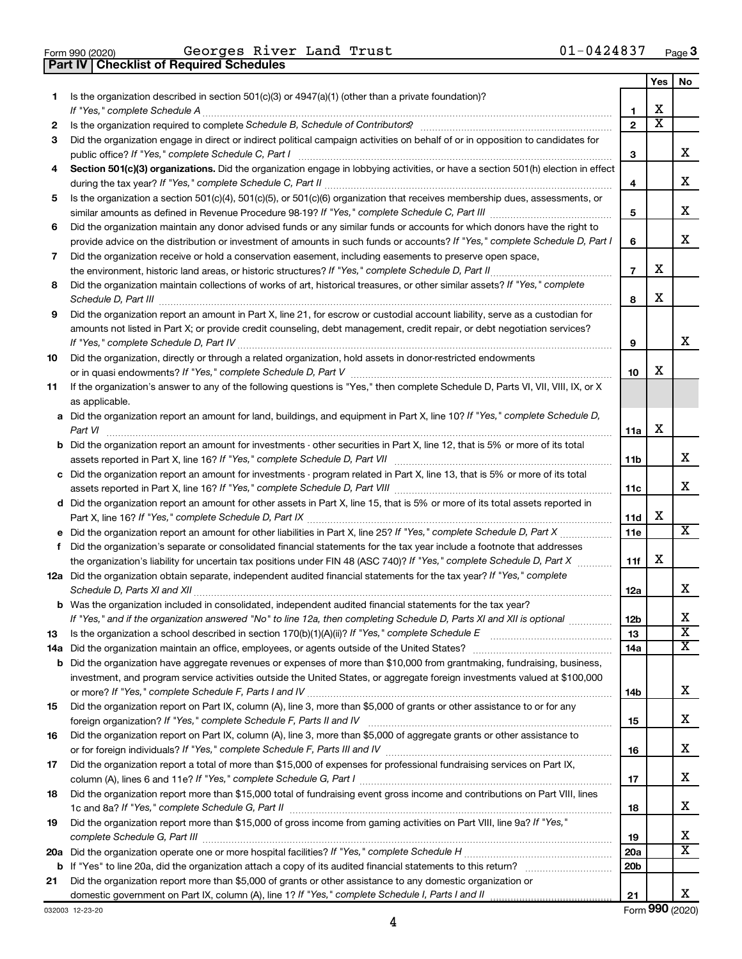**Part IV Checklist of Required Schedules**

 $\frac{1}{100}$   $\frac{1}{200}$   $\frac{1}{200}$   $\frac{1}{200}$   $\frac{1}{200}$   $\frac{1}{200}$   $\frac{1}{200}$   $\frac{1}{200}$   $\frac{1}{200}$   $\frac{1}{200}$   $\frac{1}{200}$   $\frac{1}{200}$   $\frac{1}{200}$   $\frac{1}{200}$   $\frac{1}{200}$   $\frac{1}{200}$   $\frac{1}{200}$   $\frac{1}{200}$   $\frac{1$ Georges River Land Trust 01-0424837

|     |                                                                                                                                       |                 | Yes                     | No                      |
|-----|---------------------------------------------------------------------------------------------------------------------------------------|-----------------|-------------------------|-------------------------|
| 1.  | Is the organization described in section 501(c)(3) or 4947(a)(1) (other than a private foundation)?                                   |                 |                         |                         |
|     | If "Yes," complete Schedule A                                                                                                         | 1               | х                       |                         |
| 2   |                                                                                                                                       | $\overline{2}$  | $\overline{\textbf{x}}$ |                         |
| 3   | Did the organization engage in direct or indirect political campaign activities on behalf of or in opposition to candidates for       |                 |                         |                         |
|     | public office? If "Yes," complete Schedule C, Part I                                                                                  | 3               |                         | х                       |
| 4   | Section 501(c)(3) organizations. Did the organization engage in lobbying activities, or have a section 501(h) election in effect      |                 |                         |                         |
|     |                                                                                                                                       | 4               |                         | х                       |
| 5   | Is the organization a section 501(c)(4), 501(c)(5), or 501(c)(6) organization that receives membership dues, assessments, or          |                 |                         |                         |
|     |                                                                                                                                       | 5               |                         | x                       |
| 6   | Did the organization maintain any donor advised funds or any similar funds or accounts for which donors have the right to             |                 |                         |                         |
|     | provide advice on the distribution or investment of amounts in such funds or accounts? If "Yes," complete Schedule D, Part I          | 6               |                         | x                       |
| 7   | Did the organization receive or hold a conservation easement, including easements to preserve open space,                             |                 |                         |                         |
|     | the environment, historic land areas, or historic structures? If "Yes," complete Schedule D, Part II                                  | $\overline{7}$  | х                       |                         |
| 8   | Did the organization maintain collections of works of art, historical treasures, or other similar assets? If "Yes," complete          |                 | х                       |                         |
|     | Schedule D, Part III                                                                                                                  | 8               |                         |                         |
| 9   | Did the organization report an amount in Part X, line 21, for escrow or custodial account liability, serve as a custodian for         |                 |                         |                         |
|     | amounts not listed in Part X; or provide credit counseling, debt management, credit repair, or debt negotiation services?             |                 |                         | x                       |
|     | If "Yes," complete Schedule D, Part IV                                                                                                | 9               |                         |                         |
| 10  | Did the organization, directly or through a related organization, hold assets in donor-restricted endowments                          | 10              | х                       |                         |
| 11  | If the organization's answer to any of the following questions is "Yes," then complete Schedule D, Parts VI, VII, VIII, IX, or X      |                 |                         |                         |
|     | as applicable.                                                                                                                        |                 |                         |                         |
|     | a Did the organization report an amount for land, buildings, and equipment in Part X, line 10? If "Yes," complete Schedule D,         |                 |                         |                         |
|     | Part VI                                                                                                                               | 11a             | х                       |                         |
|     | <b>b</b> Did the organization report an amount for investments - other securities in Part X, line 12, that is 5% or more of its total |                 |                         |                         |
|     |                                                                                                                                       | 11b             |                         | х                       |
|     | c Did the organization report an amount for investments - program related in Part X, line 13, that is 5% or more of its total         |                 |                         |                         |
|     |                                                                                                                                       | 11c             |                         | x                       |
|     | d Did the organization report an amount for other assets in Part X, line 15, that is 5% or more of its total assets reported in       |                 |                         |                         |
|     |                                                                                                                                       | 11d             | х                       |                         |
|     |                                                                                                                                       | 11e             |                         | x                       |
| f   | Did the organization's separate or consolidated financial statements for the tax year include a footnote that addresses               |                 |                         |                         |
|     | the organization's liability for uncertain tax positions under FIN 48 (ASC 740)? If "Yes," complete Schedule D, Part X                | 11f             | х                       |                         |
|     | 12a Did the organization obtain separate, independent audited financial statements for the tax year? If "Yes," complete               |                 |                         |                         |
|     | Schedule D, Parts XI and XII                                                                                                          | 12a             |                         | X.                      |
|     | <b>b</b> Was the organization included in consolidated, independent audited financial statements for the tax year?                    |                 |                         |                         |
|     | If "Yes," and if the organization answered "No" to line 12a, then completing Schedule D, Parts XI and XII is optional                 | 12 <sub>b</sub> |                         | х                       |
| 13  | Is the organization a school described in section $170(b)(1)(A)(ii)$ ? If "Yes," complete Schedule E                                  | 13              |                         | $\overline{\textbf{X}}$ |
| 14a | Did the organization maintain an office, employees, or agents outside of the United States?                                           | 14a             |                         | х                       |
|     | <b>b</b> Did the organization have aggregate revenues or expenses of more than \$10,000 from grantmaking, fundraising, business,      |                 |                         |                         |
|     | investment, and program service activities outside the United States, or aggregate foreign investments valued at \$100,000            |                 |                         |                         |
|     |                                                                                                                                       | 14b             |                         | х                       |
| 15  | Did the organization report on Part IX, column (A), line 3, more than \$5,000 of grants or other assistance to or for any             |                 |                         | х                       |
|     |                                                                                                                                       | 15              |                         |                         |
| 16  | Did the organization report on Part IX, column (A), line 3, more than \$5,000 of aggregate grants or other assistance to              |                 |                         | х                       |
|     |                                                                                                                                       | 16              |                         |                         |
| 17  | Did the organization report a total of more than \$15,000 of expenses for professional fundraising services on Part IX,               | 17              |                         | х                       |
| 18  | Did the organization report more than \$15,000 total of fundraising event gross income and contributions on Part VIII, lines          |                 |                         |                         |
|     |                                                                                                                                       | 18              |                         | х                       |
| 19  | Did the organization report more than \$15,000 of gross income from gaming activities on Part VIII, line 9a? If "Yes,"                |                 |                         |                         |
|     |                                                                                                                                       | 19              |                         | х                       |
| 20a |                                                                                                                                       | 20a             |                         | x                       |
|     |                                                                                                                                       | 20 <sub>b</sub> |                         |                         |
| 21  | Did the organization report more than \$5,000 of grants or other assistance to any domestic organization or                           |                 |                         |                         |
|     |                                                                                                                                       | 21              |                         | x                       |

4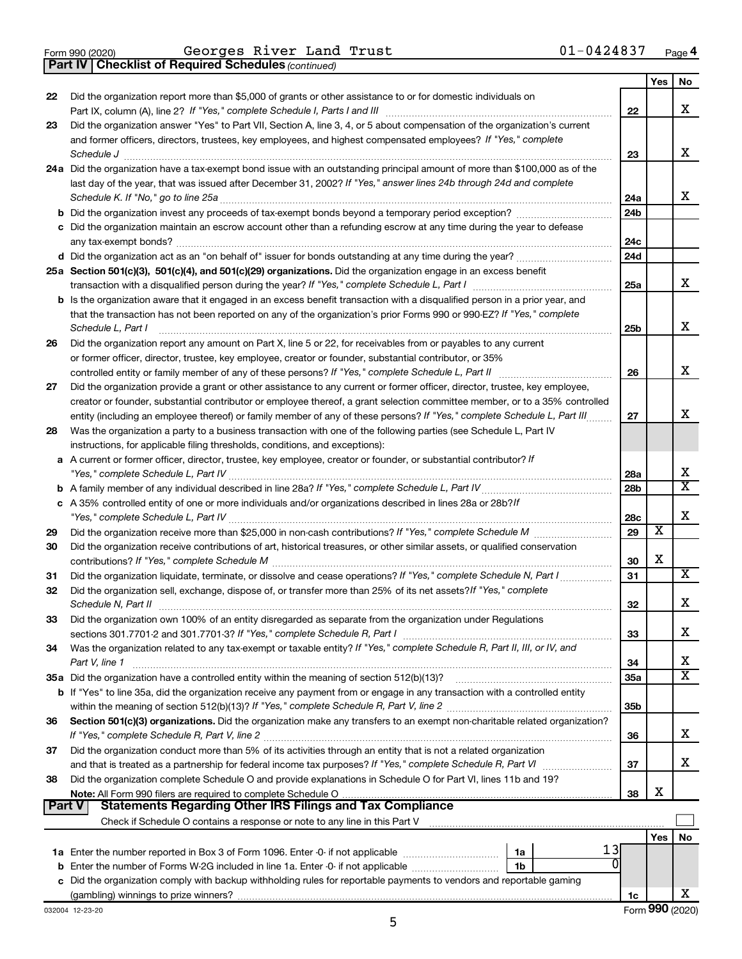**Part IV Checklist of Required Schedules**

*(continued)*

|    |                                                                                                                                                     |                 | Yes                     | No                      |
|----|-----------------------------------------------------------------------------------------------------------------------------------------------------|-----------------|-------------------------|-------------------------|
| 22 | Did the organization report more than \$5,000 of grants or other assistance to or for domestic individuals on                                       |                 |                         |                         |
|    |                                                                                                                                                     | 22              |                         | х                       |
| 23 | Did the organization answer "Yes" to Part VII, Section A, line 3, 4, or 5 about compensation of the organization's current                          |                 |                         |                         |
|    | and former officers, directors, trustees, key employees, and highest compensated employees? If "Yes," complete                                      |                 |                         |                         |
|    |                                                                                                                                                     | 23              |                         | х                       |
|    | 24a Did the organization have a tax-exempt bond issue with an outstanding principal amount of more than \$100,000 as of the                         |                 |                         |                         |
|    | last day of the year, that was issued after December 31, 2002? If "Yes," answer lines 24b through 24d and complete                                  |                 |                         |                         |
|    |                                                                                                                                                     | 24a             |                         | x                       |
|    |                                                                                                                                                     | 24 <sub>b</sub> |                         |                         |
|    | c Did the organization maintain an escrow account other than a refunding escrow at any time during the year to defease                              |                 |                         |                         |
|    |                                                                                                                                                     | 24c             |                         |                         |
|    |                                                                                                                                                     | 24d             |                         |                         |
|    | 25a Section 501(c)(3), 501(c)(4), and 501(c)(29) organizations. Did the organization engage in an excess benefit                                    |                 |                         |                         |
|    |                                                                                                                                                     | 25a             |                         | x                       |
|    | b Is the organization aware that it engaged in an excess benefit transaction with a disqualified person in a prior year, and                        |                 |                         |                         |
|    | that the transaction has not been reported on any of the organization's prior Forms 990 or 990-EZ? If "Yes," complete                               |                 |                         |                         |
|    | Schedule L, Part I                                                                                                                                  | 25b             |                         | х                       |
| 26 | Did the organization report any amount on Part X, line 5 or 22, for receivables from or payables to any current                                     |                 |                         |                         |
|    | or former officer, director, trustee, key employee, creator or founder, substantial contributor, or 35%                                             |                 |                         |                         |
|    |                                                                                                                                                     | 26              |                         | х                       |
| 27 | Did the organization provide a grant or other assistance to any current or former officer, director, trustee, key employee,                         |                 |                         |                         |
|    | creator or founder, substantial contributor or employee thereof, a grant selection committee member, or to a 35% controlled                         |                 |                         |                         |
|    | entity (including an employee thereof) or family member of any of these persons? If "Yes," complete Schedule L, Part III                            | 27              |                         | х                       |
| 28 | Was the organization a party to a business transaction with one of the following parties (see Schedule L, Part IV                                   |                 |                         |                         |
|    | instructions, for applicable filing thresholds, conditions, and exceptions):                                                                        |                 |                         |                         |
|    | a A current or former officer, director, trustee, key employee, creator or founder, or substantial contributor? If                                  |                 |                         |                         |
|    |                                                                                                                                                     | 28a             |                         | х                       |
|    |                                                                                                                                                     | 28 <sub>b</sub> |                         | $\overline{\textbf{X}}$ |
|    | c A 35% controlled entity of one or more individuals and/or organizations described in lines 28a or 28b?If                                          |                 |                         |                         |
|    |                                                                                                                                                     | 28c             |                         | х                       |
| 29 |                                                                                                                                                     | 29              | $\overline{\textbf{x}}$ |                         |
| 30 | Did the organization receive contributions of art, historical treasures, or other similar assets, or qualified conservation                         |                 |                         |                         |
|    |                                                                                                                                                     | 30              | X                       |                         |
| 31 | Did the organization liquidate, terminate, or dissolve and cease operations? If "Yes," complete Schedule N, Part I                                  | 31              |                         | х                       |
| 32 | Did the organization sell, exchange, dispose of, or transfer more than 25% of its net assets? If "Yes," complete                                    |                 |                         |                         |
|    |                                                                                                                                                     | 32              |                         | х                       |
| 33 | Did the organization own 100% of an entity disregarded as separate from the organization under Regulations                                          |                 |                         |                         |
|    |                                                                                                                                                     | 33              |                         | х                       |
| 34 | Was the organization related to any tax-exempt or taxable entity? If "Yes," complete Schedule R, Part II, III, or IV, and                           |                 |                         |                         |
|    | Part V, line 1                                                                                                                                      | 34              |                         | х<br>X                  |
|    |                                                                                                                                                     | 35a             |                         |                         |
|    | <b>b</b> If "Yes" to line 35a, did the organization receive any payment from or engage in any transaction with a controlled entity                  |                 |                         |                         |
|    |                                                                                                                                                     | 35b             |                         |                         |
| 36 | Section 501(c)(3) organizations. Did the organization make any transfers to an exempt non-charitable related organization?                          |                 |                         |                         |
|    |                                                                                                                                                     | 36              |                         | х                       |
| 37 | Did the organization conduct more than 5% of its activities through an entity that is not a related organization                                    |                 |                         | x                       |
|    | and that is treated as a partnership for federal income tax purposes? If "Yes," complete Schedule R, Part VI                                        | 37              |                         |                         |
| 38 | Did the organization complete Schedule O and provide explanations in Schedule O for Part VI, lines 11b and 19?                                      |                 | х                       |                         |
|    | Note: All Form 990 filers are required to complete Schedule O.<br><b>Statements Regarding Other IRS Filings and Tax Compliance</b><br><b>Part V</b> | 38              |                         |                         |
|    |                                                                                                                                                     |                 |                         |                         |
|    |                                                                                                                                                     |                 |                         |                         |
|    |                                                                                                                                                     |                 | Yes                     | No                      |
|    | 1a<br><b>b</b> Enter the number of Forms W-2G included in line 1a. Enter -0- if not applicable<br>1b                                                |                 |                         |                         |
|    | c Did the organization comply with backup withholding rules for reportable payments to vendors and reportable gaming                                |                 |                         |                         |
|    |                                                                                                                                                     |                 |                         | x                       |
|    |                                                                                                                                                     | 1c              |                         |                         |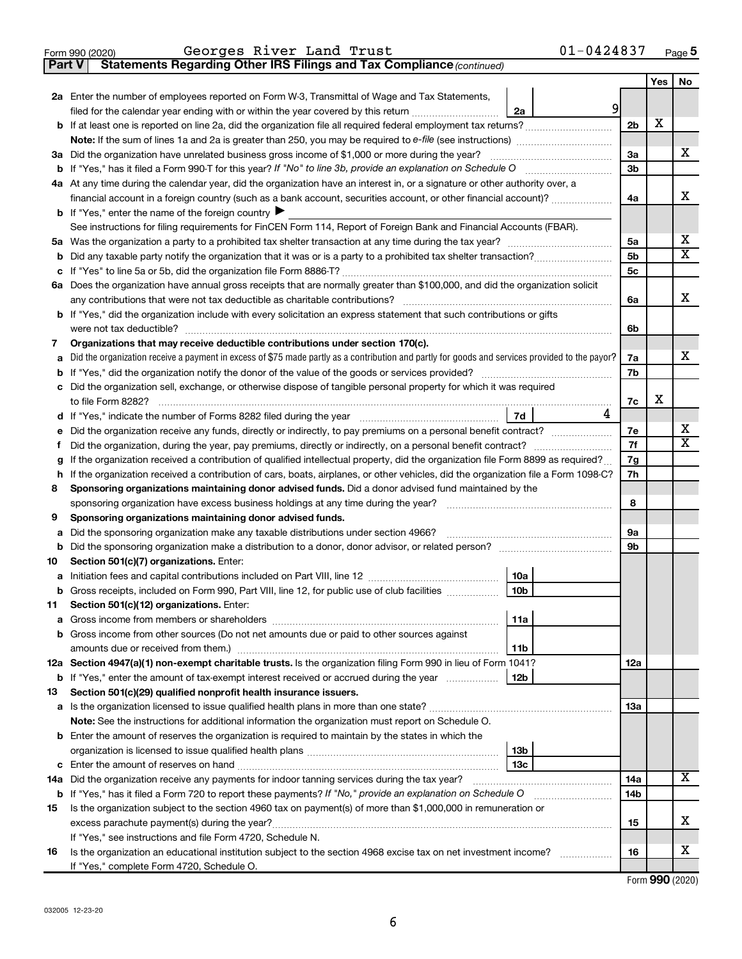| Georges River Land Trust | $01 - 0424837$ |
|--------------------------|----------------|
| Form 990 (2020)          | Page 5         |

**Part V** Statements Regarding Other IRS Filings and Tax Compliance (continued)

|    |                                                                                                                                                 |                | Yes | No                      |
|----|-------------------------------------------------------------------------------------------------------------------------------------------------|----------------|-----|-------------------------|
|    | 2a Enter the number of employees reported on Form W-3, Transmittal of Wage and Tax Statements,                                                  |                |     |                         |
|    | 9<br>filed for the calendar year ending with or within the year covered by this return<br>2a                                                    |                |     |                         |
|    |                                                                                                                                                 | 2 <sub>b</sub> | X   |                         |
|    |                                                                                                                                                 |                |     |                         |
|    | 3a Did the organization have unrelated business gross income of \$1,000 or more during the year?                                                | За             |     | х                       |
|    |                                                                                                                                                 | 3b             |     |                         |
|    | 4a At any time during the calendar year, did the organization have an interest in, or a signature or other authority over, a                    |                |     |                         |
|    | financial account in a foreign country (such as a bank account, securities account, or other financial account)?                                | 4a             |     | x                       |
|    | <b>b</b> If "Yes," enter the name of the foreign country $\blacktriangleright$                                                                  |                |     |                         |
|    | See instructions for filing requirements for FinCEN Form 114, Report of Foreign Bank and Financial Accounts (FBAR).                             |                |     |                         |
| 5a |                                                                                                                                                 | 5a             |     | х                       |
| b  |                                                                                                                                                 | 5b             |     | $\overline{\mathbf{X}}$ |
| c  |                                                                                                                                                 | 5 <sub>c</sub> |     |                         |
| 6а | Does the organization have annual gross receipts that are normally greater than \$100,000, and did the organization solicit                     |                |     |                         |
|    |                                                                                                                                                 | 6a             |     | x                       |
|    | <b>b</b> If "Yes," did the organization include with every solicitation an express statement that such contributions or gifts                   |                |     |                         |
|    |                                                                                                                                                 | 6b             |     |                         |
| 7  | Organizations that may receive deductible contributions under section 170(c).                                                                   |                |     |                         |
| a  | Did the organization receive a payment in excess of \$75 made partly as a contribution and partly for goods and services provided to the payor? | 7a             |     | x                       |
| b  |                                                                                                                                                 | 7b             |     |                         |
|    | Did the organization sell, exchange, or otherwise dispose of tangible personal property for which it was required                               |                |     |                         |
|    |                                                                                                                                                 | 7c             | х   |                         |
| d  | 4<br>7d                                                                                                                                         |                |     |                         |
| е  | Did the organization receive any funds, directly or indirectly, to pay premiums on a personal benefit contract?                                 | 7е             |     | х                       |
| f. | Did the organization, during the year, pay premiums, directly or indirectly, on a personal benefit contract?                                    | 7f             |     | х                       |
| g  | If the organization received a contribution of qualified intellectual property, did the organization file Form 8899 as required?                | 7g             |     |                         |
| h  | If the organization received a contribution of cars, boats, airplanes, or other vehicles, did the organization file a Form 1098-C?              | 7h             |     |                         |
| 8  | Sponsoring organizations maintaining donor advised funds. Did a donor advised fund maintained by the                                            |                |     |                         |
|    |                                                                                                                                                 | 8              |     |                         |
| 9  | Sponsoring organizations maintaining donor advised funds.                                                                                       |                |     |                         |
| а  | Did the sponsoring organization make any taxable distributions under section 4966?                                                              | 9а             |     |                         |
| b  |                                                                                                                                                 | 9b             |     |                         |
| 10 | Section 501(c)(7) organizations. Enter:                                                                                                         |                |     |                         |
| а  | 10a                                                                                                                                             |                |     |                         |
| b  | 10 <sub>b</sub><br>Gross receipts, included on Form 990, Part VIII, line 12, for public use of club facilities                                  |                |     |                         |
| 11 | Section 501(c)(12) organizations. Enter:                                                                                                        |                |     |                         |
|    | 11a                                                                                                                                             |                |     |                         |
|    | <b>b</b> Gross income from other sources (Do not net amounts due or paid to other sources against                                               |                |     |                         |
|    | 11 <sub>b</sub>                                                                                                                                 |                |     |                         |
|    | 12a Section 4947(a)(1) non-exempt charitable trusts. Is the organization filing Form 990 in lieu of Form 1041?                                  | 12a            |     |                         |
|    | 12b<br><b>b</b> If "Yes," enter the amount of tax-exempt interest received or accrued during the year                                           |                |     |                         |
| 13 | Section 501(c)(29) qualified nonprofit health insurance issuers.                                                                                |                |     |                         |
|    | a Is the organization licensed to issue qualified health plans in more than one state?                                                          | 13a            |     |                         |
|    | Note: See the instructions for additional information the organization must report on Schedule O.                                               |                |     |                         |
|    | <b>b</b> Enter the amount of reserves the organization is required to maintain by the states in which the                                       |                |     |                         |
|    | 13b<br>13 <sub>c</sub>                                                                                                                          |                |     |                         |
|    | 14a Did the organization receive any payments for indoor tanning services during the tax year?                                                  | 14a            |     | х                       |
|    |                                                                                                                                                 | 14b            |     |                         |
|    | <b>b</b> If "Yes," has it filed a Form 720 to report these payments? If "No," provide an explanation on Schedule O                              |                |     |                         |
| 15 | Is the organization subject to the section 4960 tax on payment(s) of more than \$1,000,000 in remuneration or                                   | 15             |     | X                       |
|    | excess parachute payment(s) during the year?<br>If "Yes," see instructions and file Form 4720, Schedule N.                                      |                |     |                         |
| 16 | Is the organization an educational institution subject to the section 4968 excise tax on net investment income?                                 | 16             |     | x                       |
|    | If "Yes," complete Form 4720, Schedule O.                                                                                                       |                |     |                         |
|    |                                                                                                                                                 |                |     |                         |

Form (2020) **990**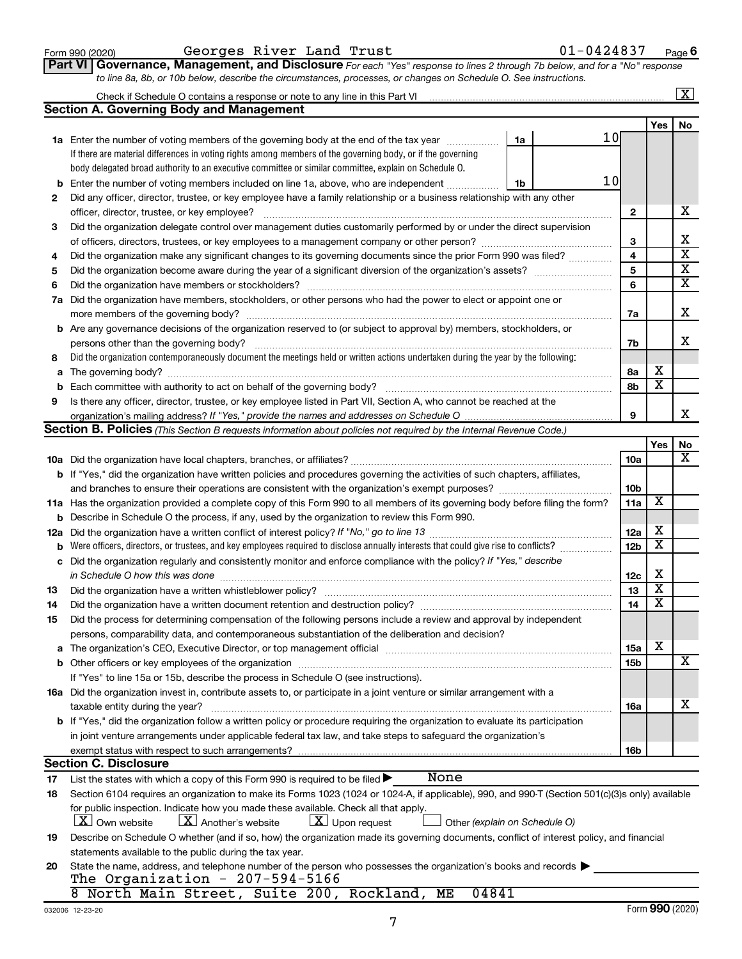| Form 990 (2020) |  |
|-----------------|--|
|-----------------|--|

### Form 990 (2020)  $\,$  Georges River Land Trust  $01-0424837$   $_{\rm Page}$

**Part VI** Governance, Management, and Disclosure For each "Yes" response to lines 2 through 7b below, and for a "No" response *to line 8a, 8b, or 10b below, describe the circumstances, processes, or changes on Schedule O. See instructions.*

|     |                                                                                                                                                  |                 |                         | $\overline{\text{X}}$   |
|-----|--------------------------------------------------------------------------------------------------------------------------------------------------|-----------------|-------------------------|-------------------------|
|     | <b>Section A. Governing Body and Management</b>                                                                                                  |                 |                         |                         |
|     |                                                                                                                                                  |                 | Yes                     | No                      |
|     | 10<br><b>1a</b> Enter the number of voting members of the governing body at the end of the tax year<br>1a                                        |                 |                         |                         |
|     | If there are material differences in voting rights among members of the governing body, or if the governing                                      |                 |                         |                         |
|     | body delegated broad authority to an executive committee or similar committee, explain on Schedule O.                                            |                 |                         |                         |
| b   | 10<br>Enter the number of voting members included on line 1a, above, who are independent<br>1b                                                   |                 |                         |                         |
| 2   | Did any officer, director, trustee, or key employee have a family relationship or a business relationship with any other                         |                 |                         |                         |
|     | officer, director, trustee, or key employee?                                                                                                     | $\mathbf{2}$    |                         | х                       |
| 3   | Did the organization delegate control over management duties customarily performed by or under the direct supervision                            |                 |                         |                         |
|     |                                                                                                                                                  | 3               |                         | х                       |
| 4   | Did the organization make any significant changes to its governing documents since the prior Form 990 was filed?                                 | 4               |                         | $\overline{\textbf{x}}$ |
| 5   |                                                                                                                                                  | 5               |                         | $\overline{\mathbf{x}}$ |
| 6   | Did the organization have members or stockholders?                                                                                               | 6               |                         | $\overline{\mathbf{x}}$ |
| 7а  | Did the organization have members, stockholders, or other persons who had the power to elect or appoint one or                                   |                 |                         |                         |
|     |                                                                                                                                                  | 7a              |                         | X                       |
|     | <b>b</b> Are any governance decisions of the organization reserved to (or subject to approval by) members, stockholders, or                      |                 |                         |                         |
|     | persons other than the governing body?                                                                                                           | 7b              |                         | x                       |
| 8   | Did the organization contemporaneously document the meetings held or written actions undertaken during the year by the following:                |                 |                         |                         |
| a   |                                                                                                                                                  | 8а              | х                       |                         |
| b   |                                                                                                                                                  | 8b              | $\overline{\mathbf{x}}$ |                         |
| 9   | Is there any officer, director, trustee, or key employee listed in Part VII, Section A, who cannot be reached at the                             |                 |                         |                         |
|     |                                                                                                                                                  | 9               |                         | x                       |
|     | <b>Section B. Policies</b> (This Section B requests information about policies not required by the Internal Revenue Code.)                       |                 |                         |                         |
|     |                                                                                                                                                  |                 | Yes                     | No                      |
|     |                                                                                                                                                  | 10a             |                         | x                       |
|     | <b>b</b> If "Yes," did the organization have written policies and procedures governing the activities of such chapters, affiliates,              |                 |                         |                         |
|     |                                                                                                                                                  | 10 <sub>b</sub> |                         |                         |
|     | 11a Has the organization provided a complete copy of this Form 990 to all members of its governing body before filing the form?                  | 11a             | X                       |                         |
| b   | Describe in Schedule O the process, if any, used by the organization to review this Form 990.                                                    |                 |                         |                         |
| 12a | Did the organization have a written conflict of interest policy? If "No," go to line 13                                                          | 12a             | х                       |                         |
| b   | Were officers, directors, or trustees, and key employees required to disclose annually interests that could give rise to conflicts?              | 12 <sub>b</sub> | $\overline{\textbf{x}}$ |                         |
| с   | Did the organization regularly and consistently monitor and enforce compliance with the policy? If "Yes," describe                               |                 |                         |                         |
|     | in Schedule O how this was done                                                                                                                  | 12c             | X                       |                         |
| 13  | Did the organization have a written whistleblower policy?                                                                                        | 13              | $\overline{\textbf{x}}$ |                         |
| 14  |                                                                                                                                                  | 14              | $\overline{\mathbf{X}}$ |                         |
| 15  | Did the process for determining compensation of the following persons include a review and approval by independent                               |                 |                         |                         |
|     | persons, comparability data, and contemporaneous substantiation of the deliberation and decision?                                                |                 |                         |                         |
| a   |                                                                                                                                                  | <b>15a</b>      | х                       |                         |
|     |                                                                                                                                                  | 15b             |                         | х                       |
|     | If "Yes" to line 15a or 15b, describe the process in Schedule O (see instructions).                                                              |                 |                         |                         |
|     | 16a Did the organization invest in, contribute assets to, or participate in a joint venture or similar arrangement with a                        |                 |                         |                         |
|     | taxable entity during the year?                                                                                                                  | 16a             |                         | x                       |
|     | b If "Yes," did the organization follow a written policy or procedure requiring the organization to evaluate its participation                   |                 |                         |                         |
|     | in joint venture arrangements under applicable federal tax law, and take steps to safeguard the organization's                                   |                 |                         |                         |
|     | exempt status with respect to such arrangements?                                                                                                 | 16b             |                         |                         |
|     | <b>Section C. Disclosure</b>                                                                                                                     |                 |                         |                         |
| 17  | None<br>List the states with which a copy of this Form 990 is required to be filed >                                                             |                 |                         |                         |
| 18  | Section 6104 requires an organization to make its Forms 1023 (1024 or 1024-A, if applicable), 990, and 990-T (Section 501(c)(3)s only) available |                 |                         |                         |
|     | for public inspection. Indicate how you made these available. Check all that apply.                                                              |                 |                         |                         |
|     | $\lfloor x \rfloor$ Upon request<br>$\lfloor X \rfloor$ Own website<br>$ \mathbf{X} $ Another's website<br>Other (explain on Schedule O)         |                 |                         |                         |
| 19  | Describe on Schedule O whether (and if so, how) the organization made its governing documents, conflict of interest policy, and financial        |                 |                         |                         |
|     | statements available to the public during the tax year.                                                                                          |                 |                         |                         |
| 20  | State the name, address, and telephone number of the person who possesses the organization's books and records                                   |                 |                         |                         |
|     | The Organization - $207-594-5166$                                                                                                                |                 |                         |                         |
|     | 8 North Main Street, Suite 200, Rockland, ME<br>04841                                                                                            |                 |                         |                         |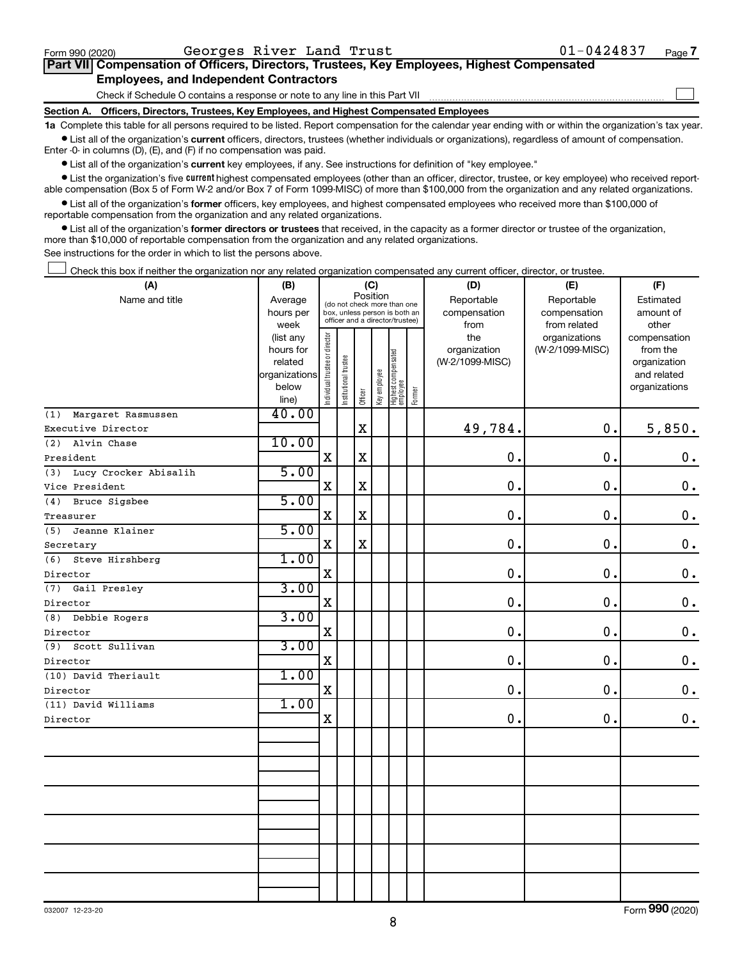$\Box$ 

| Part VII Compensation of Officers, Directors, Trustees, Key Employees, Highest Compensated |  |  |  |
|--------------------------------------------------------------------------------------------|--|--|--|
| <b>Employees, and Independent Contractors</b>                                              |  |  |  |

Check if Schedule O contains a response or note to any line in this Part VII

**Section A. Officers, Directors, Trustees, Key Employees, and Highest Compensated Employees**

**1a**  Complete this table for all persons required to be listed. Report compensation for the calendar year ending with or within the organization's tax year.  $\bullet$  List all of the organization's current officers, directors, trustees (whether individuals or organizations), regardless of amount of compensation.

Enter -0- in columns (D), (E), and (F) if no compensation was paid.

**•** List all of the organization's current key employees, if any. See instructions for definition of "key employee."

• List the organization's five *current* highest compensated employees (other than an officer, director, trustee, or key employee) who received reportable compensation (Box 5 of Form W-2 and/or Box 7 of Form 1099-MISC) of more than \$100,000 from the organization and any related organizations.

 $\bullet$  List all of the organization's former officers, key employees, and highest compensated employees who received more than \$100,000 of reportable compensation from the organization and any related organizations.

**•** List all of the organization's former directors or trustees that received, in the capacity as a former director or trustee of the organization, more than \$10,000 of reportable compensation from the organization and any related organizations.

See instructions for the order in which to list the persons above.

Check this box if neither the organization nor any related organization compensated any current officer, director, or trustee.  $\Box$ 

| (A)                          | (C)<br>(B)                                                                            |                                         | (D)                   | (E)          |              |                                 |        |                     |                                  |                          |
|------------------------------|---------------------------------------------------------------------------------------|-----------------------------------------|-----------------------|--------------|--------------|---------------------------------|--------|---------------------|----------------------------------|--------------------------|
| Name and title               | Average                                                                               | Position<br>(do not check more than one |                       |              |              |                                 |        | Reportable          | Reportable                       | Estimated                |
|                              | hours per<br>box, unless person is both an<br>officer and a director/trustee)<br>week |                                         | compensation          | compensation | amount of    |                                 |        |                     |                                  |                          |
|                              |                                                                                       |                                         |                       |              |              |                                 |        | from                | from related                     | other                    |
|                              | (list any<br>hours for                                                                |                                         |                       |              |              |                                 |        | the<br>organization | organizations<br>(W-2/1099-MISC) | compensation<br>from the |
|                              | related                                                                               |                                         |                       |              |              |                                 |        | (W-2/1099-MISC)     |                                  | organization             |
|                              | organizations                                                                         |                                         |                       |              |              |                                 |        |                     |                                  | and related              |
|                              | below                                                                                 | ndividual trustee or director           | Institutional trustee |              | Key employee | Highest compensated<br>employee |        |                     |                                  | organizations            |
|                              | line)                                                                                 |                                         |                       | Officer      |              |                                 | Former |                     |                                  |                          |
| Margaret Rasmussen<br>(1)    | 40.00                                                                                 |                                         |                       |              |              |                                 |        |                     |                                  |                          |
| Executive Director           |                                                                                       |                                         |                       | $\mathbf X$  |              |                                 |        | 49,784.             | $\mathbf 0$ .                    | 5,850.                   |
| (2)<br>Alvin Chase           | 10.00                                                                                 |                                         |                       |              |              |                                 |        |                     |                                  |                          |
| President                    |                                                                                       | $\mathbf X$                             |                       | $\mathbf X$  |              |                                 |        | $\mathbf 0$ .       | $\mathbf 0$ .                    | 0.                       |
| Lucy Crocker Abisalih<br>(3) | 5.00                                                                                  |                                         |                       |              |              |                                 |        |                     |                                  |                          |
| Vice President               |                                                                                       | $\mathbf X$                             |                       | $\mathbf X$  |              |                                 |        | 0.                  | 0.                               | $\mathbf 0$ .            |
| (4)<br>Bruce Sigsbee         | 5.00                                                                                  |                                         |                       |              |              |                                 |        |                     |                                  |                          |
| Treasurer                    |                                                                                       | X                                       |                       | $\mathbf X$  |              |                                 |        | $\mathbf 0$ .       | $\mathbf 0$ .                    | 0.                       |
| (5)<br>Jeanne Klainer        | 5.00                                                                                  |                                         |                       |              |              |                                 |        |                     |                                  |                          |
| Secretary                    |                                                                                       | $\mathbf X$                             |                       | $\mathbf X$  |              |                                 |        | 0.                  | $\mathbf 0$ .                    | $\mathbf 0$ .            |
| (6)<br>Steve Hirshberg       | 1.00                                                                                  |                                         |                       |              |              |                                 |        |                     |                                  |                          |
| Director                     |                                                                                       | $\mathbf X$                             |                       |              |              |                                 |        | $\mathbf 0$ .       | $\mathbf 0$ .                    | $\mathbf 0$ .            |
| Gail Presley<br>(7)          | 3.00                                                                                  |                                         |                       |              |              |                                 |        |                     |                                  |                          |
| Director                     |                                                                                       | $\mathbf X$                             |                       |              |              |                                 |        | 0.                  | 0.                               | $\mathbf 0$ .            |
| (8)<br>Debbie Rogers         | 3.00                                                                                  |                                         |                       |              |              |                                 |        |                     |                                  |                          |
| Director                     |                                                                                       | $\mathbf X$                             |                       |              |              |                                 |        | 0.                  | 0.                               | $\mathbf 0$ .            |
| Scott Sullivan<br>(9)        | 3.00                                                                                  |                                         |                       |              |              |                                 |        |                     |                                  |                          |
| Director                     |                                                                                       | $\mathbf X$                             |                       |              |              |                                 |        | 0.                  | 0.                               | $\mathbf 0$ .            |
| (10) David Theriault         | 1.00                                                                                  |                                         |                       |              |              |                                 |        |                     |                                  |                          |
| Director                     |                                                                                       | $\mathbf x$                             |                       |              |              |                                 |        | 0.                  | 0.                               | $\mathbf 0$ .            |
| (11) David Williams          | 1.00                                                                                  |                                         |                       |              |              |                                 |        |                     |                                  |                          |
| Director                     |                                                                                       | $\mathbf x$                             |                       |              |              |                                 |        | 0.                  | 0.                               | $\mathbf 0$ .            |
|                              |                                                                                       |                                         |                       |              |              |                                 |        |                     |                                  |                          |
|                              |                                                                                       |                                         |                       |              |              |                                 |        |                     |                                  |                          |
|                              |                                                                                       |                                         |                       |              |              |                                 |        |                     |                                  |                          |
|                              |                                                                                       |                                         |                       |              |              |                                 |        |                     |                                  |                          |
|                              |                                                                                       |                                         |                       |              |              |                                 |        |                     |                                  |                          |
|                              |                                                                                       |                                         |                       |              |              |                                 |        |                     |                                  |                          |
|                              |                                                                                       |                                         |                       |              |              |                                 |        |                     |                                  |                          |
|                              |                                                                                       |                                         |                       |              |              |                                 |        |                     |                                  |                          |
|                              |                                                                                       |                                         |                       |              |              |                                 |        |                     |                                  |                          |
|                              |                                                                                       |                                         |                       |              |              |                                 |        |                     |                                  |                          |
|                              |                                                                                       |                                         |                       |              |              |                                 |        |                     |                                  |                          |
|                              |                                                                                       |                                         |                       |              |              |                                 |        |                     |                                  |                          |

Form (2020) **990**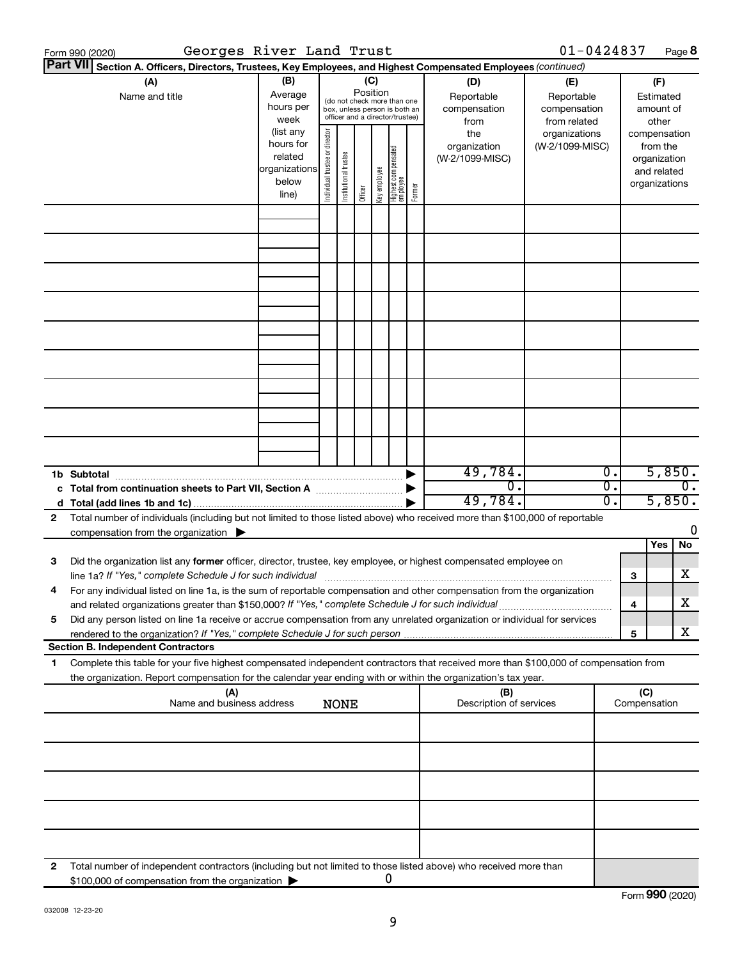|                                                                                   | Georges River Land Trust<br>Form 990 (2020)                                                                                                                                                                                     |                                                                      |                                |                       |                 |              |                                                                                                 |                     |                                           | $01 - 0424837$                                    |          |        | Page 8                                                                   |
|-----------------------------------------------------------------------------------|---------------------------------------------------------------------------------------------------------------------------------------------------------------------------------------------------------------------------------|----------------------------------------------------------------------|--------------------------------|-----------------------|-----------------|--------------|-------------------------------------------------------------------------------------------------|---------------------|-------------------------------------------|---------------------------------------------------|----------|--------|--------------------------------------------------------------------------|
|                                                                                   | <b>Part VII</b><br>Section A. Officers, Directors, Trustees, Key Employees, and Highest Compensated Employees (continued)                                                                                                       |                                                                      |                                |                       |                 |              |                                                                                                 |                     |                                           |                                                   |          |        |                                                                          |
|                                                                                   | (A)<br>Name and title                                                                                                                                                                                                           | (B)<br>Average<br>hours per<br>week                                  |                                |                       | (C)<br>Position |              | (do not check more than one<br>box, unless person is both an<br>officer and a director/trustee) |                     | (D)<br>Reportable<br>compensation<br>from | (E)<br>Reportable<br>compensation<br>from related |          |        | (F)<br>Estimated<br>amount of<br>other                                   |
|                                                                                   |                                                                                                                                                                                                                                 | (list any<br>hours for<br>related<br>organizations<br>below<br>line) | Individual trustee or director | Institutional trustee | Officer         | Key employee | Highest compensated<br>  employee                                                               | Former              | the<br>organization<br>(W-2/1099-MISC)    | organizations<br>(W-2/1099-MISC)                  |          |        | compensation<br>from the<br>organization<br>and related<br>organizations |
|                                                                                   |                                                                                                                                                                                                                                 |                                                                      |                                |                       |                 |              |                                                                                                 |                     |                                           |                                                   |          |        |                                                                          |
|                                                                                   |                                                                                                                                                                                                                                 |                                                                      |                                |                       |                 |              |                                                                                                 |                     |                                           |                                                   |          |        |                                                                          |
|                                                                                   |                                                                                                                                                                                                                                 |                                                                      |                                |                       |                 |              |                                                                                                 |                     |                                           |                                                   |          |        |                                                                          |
|                                                                                   |                                                                                                                                                                                                                                 |                                                                      |                                |                       |                 |              |                                                                                                 |                     |                                           |                                                   |          |        |                                                                          |
|                                                                                   |                                                                                                                                                                                                                                 |                                                                      |                                |                       |                 |              |                                                                                                 |                     |                                           |                                                   |          |        |                                                                          |
|                                                                                   |                                                                                                                                                                                                                                 |                                                                      |                                |                       |                 |              |                                                                                                 |                     |                                           |                                                   |          |        |                                                                          |
|                                                                                   |                                                                                                                                                                                                                                 |                                                                      |                                |                       |                 |              |                                                                                                 |                     |                                           |                                                   |          |        |                                                                          |
|                                                                                   | 1b Subtotal                                                                                                                                                                                                                     |                                                                      |                                |                       |                 |              |                                                                                                 |                     | 49,784.                                   |                                                   | Ο.       | 5,850. |                                                                          |
|                                                                                   |                                                                                                                                                                                                                                 |                                                                      |                                |                       |                 |              |                                                                                                 |                     | 0.<br>49,784.                             |                                                   | σ.<br>о. |        | $\overline{0}$ .<br>5,850.                                               |
| 2                                                                                 | Total number of individuals (including but not limited to those listed above) who received more than \$100,000 of reportable<br>compensation from the organization $\qquadblacktriangleright$                                   |                                                                      |                                |                       |                 |              |                                                                                                 |                     |                                           |                                                   |          |        | 0                                                                        |
|                                                                                   |                                                                                                                                                                                                                                 |                                                                      |                                |                       |                 |              |                                                                                                 |                     |                                           |                                                   |          |        | Yes<br>No                                                                |
| 3                                                                                 | Did the organization list any former officer, director, trustee, key employee, or highest compensated employee on                                                                                                               |                                                                      |                                |                       |                 |              |                                                                                                 |                     |                                           |                                                   |          | З      | x                                                                        |
|                                                                                   | For any individual listed on line 1a, is the sum of reportable compensation and other compensation from the organization<br>and related organizations greater than \$150,000? If "Yes," complete Schedule J for such individual |                                                                      |                                |                       |                 |              |                                                                                                 |                     |                                           |                                                   |          | 4      | х                                                                        |
| 5                                                                                 | Did any person listed on line 1a receive or accrue compensation from any unrelated organization or individual for services<br>rendered to the organization? If "Yes," complete Schedule J for such person                       |                                                                      |                                |                       |                 |              |                                                                                                 |                     |                                           |                                                   |          | 5      | X.                                                                       |
| 1.                                                                                | <b>Section B. Independent Contractors</b><br>Complete this table for your five highest compensated independent contractors that received more than \$100,000 of compensation from                                               |                                                                      |                                |                       |                 |              |                                                                                                 |                     |                                           |                                                   |          |        |                                                                          |
|                                                                                   | the organization. Report compensation for the calendar year ending with or within the organization's tax year.                                                                                                                  |                                                                      |                                |                       |                 |              |                                                                                                 |                     |                                           |                                                   |          |        |                                                                          |
| (A)<br>(B)<br>Name and business address<br>Description of services<br><b>NONE</b> |                                                                                                                                                                                                                                 |                                                                      |                                |                       |                 |              |                                                                                                 | (C)<br>Compensation |                                           |                                                   |          |        |                                                                          |
|                                                                                   |                                                                                                                                                                                                                                 |                                                                      |                                |                       |                 |              |                                                                                                 |                     |                                           |                                                   |          |        |                                                                          |
|                                                                                   |                                                                                                                                                                                                                                 |                                                                      |                                |                       |                 |              |                                                                                                 |                     |                                           |                                                   |          |        |                                                                          |
|                                                                                   |                                                                                                                                                                                                                                 |                                                                      |                                |                       |                 |              |                                                                                                 |                     |                                           |                                                   |          |        |                                                                          |
|                                                                                   |                                                                                                                                                                                                                                 |                                                                      |                                |                       |                 |              |                                                                                                 |                     |                                           |                                                   |          |        |                                                                          |
| 2                                                                                 | Total number of independent contractors (including but not limited to those listed above) who received more than<br>\$100,000 of compensation from the organization                                                             |                                                                      |                                |                       |                 |              | 0                                                                                               |                     |                                           |                                                   |          |        |                                                                          |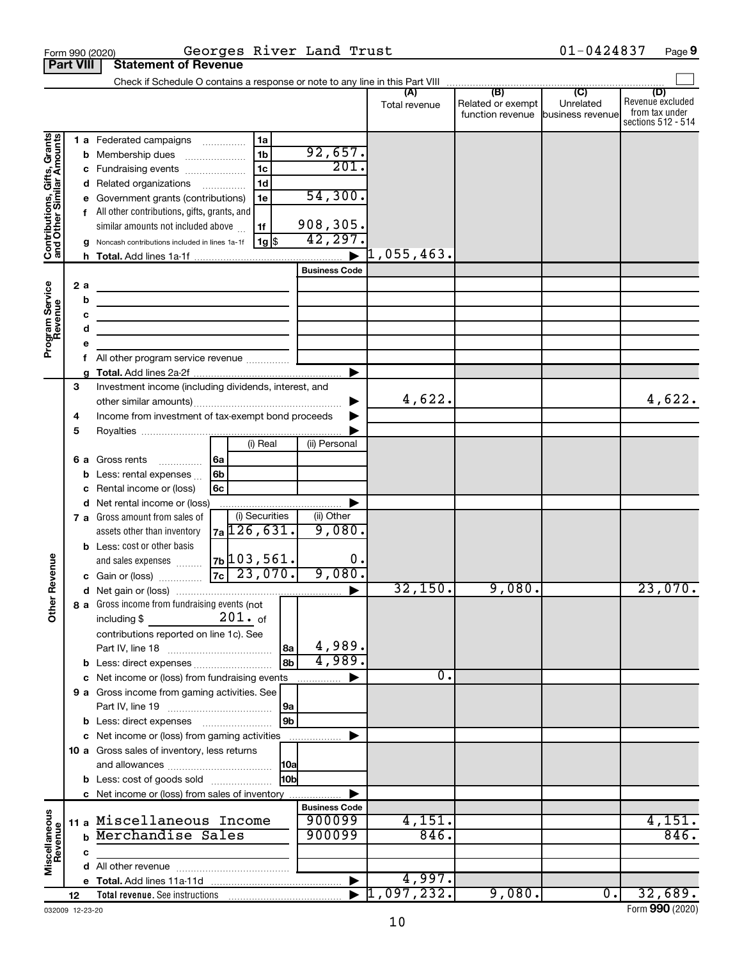|                                                           |                                                                                                |                            |                                                                                                                                                                                                                                                                                                                                                                                 |                                                                      |                               |                                                                           |                                  |                                              | $01 - 0424837$                       | Page 9                                                          |  |  |  |
|-----------------------------------------------------------|------------------------------------------------------------------------------------------------|----------------------------|---------------------------------------------------------------------------------------------------------------------------------------------------------------------------------------------------------------------------------------------------------------------------------------------------------------------------------------------------------------------------------|----------------------------------------------------------------------|-------------------------------|---------------------------------------------------------------------------|----------------------------------|----------------------------------------------|--------------------------------------|-----------------------------------------------------------------|--|--|--|
|                                                           | Georges River Land Trust<br>Form 990 (2020)<br><b>Part VIII</b><br><b>Statement of Revenue</b> |                            |                                                                                                                                                                                                                                                                                                                                                                                 |                                                                      |                               |                                                                           |                                  |                                              |                                      |                                                                 |  |  |  |
|                                                           |                                                                                                |                            |                                                                                                                                                                                                                                                                                                                                                                                 |                                                                      |                               |                                                                           |                                  |                                              |                                      |                                                                 |  |  |  |
|                                                           |                                                                                                |                            |                                                                                                                                                                                                                                                                                                                                                                                 |                                                                      |                               |                                                                           | (A)<br>Total revenue             | (B)<br>Related or exempt<br>function revenue | (C)<br>Unrelated<br>business revenue | (D)<br>Revenue excluded<br>from tax under<br>sections 512 - 514 |  |  |  |
| Contributions, Gifts, Grants<br>and Other Similar Amounts | 2 a                                                                                            | с<br>е                     | 1 a Federated campaigns<br><b>b</b> Membership dues<br>Fundraising events<br>Related organizations <i>manuming</i><br>Government grants (contributions)<br>f All other contributions, gifts, grants, and<br>similar amounts not included above<br>g Noncash contributions included in lines 1a-1f<br>the control of the control of the control of the control of the control of | 1a<br>1 <sub>b</sub><br>1 <sub>c</sub><br>1 <sub>d</sub><br>1e<br>1f | 1g                            | 92,657.<br>201.<br>54,300.<br>908,305.<br>42,297.<br><b>Business Code</b> | $ 1,055,463$ .                   |                                              |                                      |                                                                 |  |  |  |
| Program Service<br>Revenue                                |                                                                                                | b<br>c<br>d<br>е<br>f<br>a | <u> 1989 - Johann Barn, mars et al. (b. 1989)</u><br><u> 1989 - Johann Barbara, martxa alemaniar arg</u><br>the control of the control of the control of the control of the control of<br>All other program service revenue                                                                                                                                                     |                                                                      |                               |                                                                           |                                  |                                              |                                      |                                                                 |  |  |  |
|                                                           | 3<br>4<br>5                                                                                    |                            | Investment income (including dividends, interest, and<br>Income from investment of tax-exempt bond proceeds                                                                                                                                                                                                                                                                     | (i) Real                                                             |                               | (ii) Personal                                                             | 4,622.                           |                                              |                                      | 4,622.                                                          |  |  |  |
|                                                           |                                                                                                | b                          | 6 a Gross rents<br>.<br>Less: rental expenses<br>Rental income or (loss)<br>d Net rental income or (loss)                                                                                                                                                                                                                                                                       | 6a<br>6b<br>6c                                                       |                               |                                                                           |                                  |                                              |                                      |                                                                 |  |  |  |
|                                                           |                                                                                                |                            | 7 a Gross amount from sales of<br>assets other than inventory<br><b>b</b> Less: cost or other basis<br>and sales expenses                                                                                                                                                                                                                                                       | (i) Securities<br>$7a$ 126,631.<br>$7b$ 103, 561.                    |                               | (ii) Other<br>9,080.<br>0.                                                |                                  |                                              |                                      |                                                                 |  |  |  |
| evenue<br>Other <sub>R</sub>                              |                                                                                                |                            | c Gain or (loss)<br>8 a Gross income from fundraising events (not                                                                                                                                                                                                                                                                                                               | $7c$ 23,070.                                                         |                               | 9,080.                                                                    | 32,150.                          | 9,080.                                       |                                      | 23,070.                                                         |  |  |  |
|                                                           |                                                                                                |                            | including \$<br>contributions reported on line 1c). See                                                                                                                                                                                                                                                                                                                         | $201.$ of                                                            | 8a<br> 8 <sub>b</sub>         | 4,989.<br>4,989.                                                          |                                  |                                              |                                      |                                                                 |  |  |  |
|                                                           |                                                                                                |                            | c Net income or (loss) from fundraising events<br>9 a Gross income from gaming activities. See                                                                                                                                                                                                                                                                                  |                                                                      |                               | ▶                                                                         | 0.                               |                                              |                                      |                                                                 |  |  |  |
|                                                           |                                                                                                |                            | c Net income or (loss) from gaming activities                                                                                                                                                                                                                                                                                                                                   |                                                                      | 9a<br>$\sqrt{9b}$             | ▶                                                                         |                                  |                                              |                                      |                                                                 |  |  |  |
|                                                           |                                                                                                |                            | 10 a Gross sales of inventory, less returns<br><b>b</b> Less: cost of goods sold                                                                                                                                                                                                                                                                                                |                                                                      | <b>10a</b><br>10 <sub>b</sub> |                                                                           |                                  |                                              |                                      |                                                                 |  |  |  |
|                                                           |                                                                                                |                            | c Net income or (loss) from sales of inventory                                                                                                                                                                                                                                                                                                                                  |                                                                      |                               |                                                                           |                                  |                                              |                                      |                                                                 |  |  |  |
| Miscellaneous<br>Revenue                                  | 11a                                                                                            | $\mathbf b$                | Miscellaneous Income<br>Merchandise Sales                                                                                                                                                                                                                                                                                                                                       |                                                                      |                               | <b>Business Code</b><br>900099<br>900099                                  | 4,151.<br>846.                   |                                              |                                      | 4,151.<br>846.                                                  |  |  |  |
|                                                           |                                                                                                | c                          |                                                                                                                                                                                                                                                                                                                                                                                 |                                                                      |                               |                                                                           |                                  |                                              |                                      |                                                                 |  |  |  |
|                                                           |                                                                                                |                            |                                                                                                                                                                                                                                                                                                                                                                                 |                                                                      |                               |                                                                           |                                  |                                              |                                      |                                                                 |  |  |  |
|                                                           |                                                                                                |                            |                                                                                                                                                                                                                                                                                                                                                                                 |                                                                      |                               | $\blacktriangleright$                                                     | 4,997.                           |                                              |                                      |                                                                 |  |  |  |
|                                                           | 12                                                                                             |                            |                                                                                                                                                                                                                                                                                                                                                                                 |                                                                      |                               |                                                                           | $\blacktriangleright$ 1,097,232. | 9,080.                                       | $\overline{0}$ .                     | 32,689.                                                         |  |  |  |

032009 12-23-20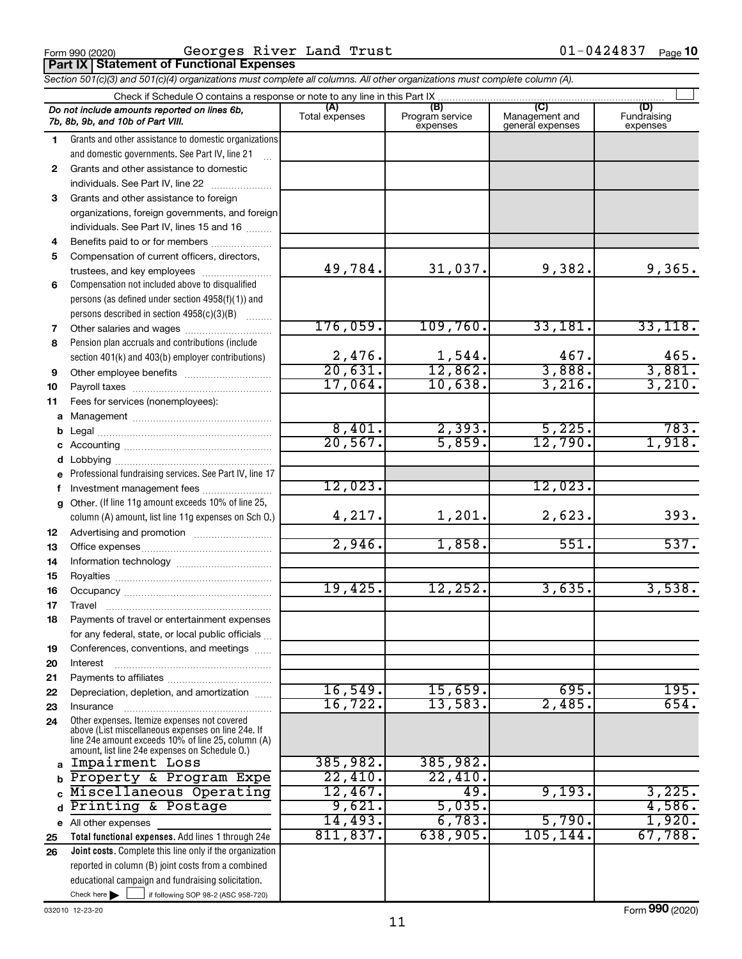**Part IX Statement of Functional Expenses**

 $F$ orm 990 (2020) GeOrges <code>klver Land Trust</code> U<code>l-U4Z483</code> / Page Georges River Land Trust 01-0424837

*Section 501(c)(3) and 501(c)(4) organizations must complete all columns. All other organizations must complete column (A).*

|              | Check if Schedule O contains a response or note to any line in this Part IX                                                                                                                                |                        |                                    |                                           |                                |  |  |  |  |  |  |
|--------------|------------------------------------------------------------------------------------------------------------------------------------------------------------------------------------------------------------|------------------------|------------------------------------|-------------------------------------------|--------------------------------|--|--|--|--|--|--|
|              | Do not include amounts reported on lines 6b,<br>7b, 8b, 9b, and 10b of Part VIII.                                                                                                                          | (A)<br>Total expenses  | (B)<br>Program service<br>expenses | (C)<br>Management and<br>general expenses | (D)<br>Fundraising<br>expenses |  |  |  |  |  |  |
| 1.           | Grants and other assistance to domestic organizations                                                                                                                                                      |                        |                                    |                                           |                                |  |  |  |  |  |  |
|              | and domestic governments. See Part IV, line 21                                                                                                                                                             |                        |                                    |                                           |                                |  |  |  |  |  |  |
| $\mathbf{2}$ | Grants and other assistance to domestic                                                                                                                                                                    |                        |                                    |                                           |                                |  |  |  |  |  |  |
|              | individuals. See Part IV, line 22                                                                                                                                                                          |                        |                                    |                                           |                                |  |  |  |  |  |  |
| 3            | Grants and other assistance to foreign                                                                                                                                                                     |                        |                                    |                                           |                                |  |  |  |  |  |  |
|              | organizations, foreign governments, and foreign                                                                                                                                                            |                        |                                    |                                           |                                |  |  |  |  |  |  |
|              | individuals. See Part IV, lines 15 and 16                                                                                                                                                                  |                        |                                    |                                           |                                |  |  |  |  |  |  |
| 4            | Benefits paid to or for members                                                                                                                                                                            |                        |                                    |                                           |                                |  |  |  |  |  |  |
| 5            | Compensation of current officers, directors,                                                                                                                                                               |                        |                                    |                                           |                                |  |  |  |  |  |  |
|              | trustees, and key employees                                                                                                                                                                                | 49,784.                | 31,037.                            | 9,382.                                    | 9,365.                         |  |  |  |  |  |  |
| 6            | Compensation not included above to disqualified                                                                                                                                                            |                        |                                    |                                           |                                |  |  |  |  |  |  |
|              | persons (as defined under section 4958(f)(1)) and                                                                                                                                                          |                        |                                    |                                           |                                |  |  |  |  |  |  |
|              | persons described in section 4958(c)(3)(B)                                                                                                                                                                 |                        |                                    |                                           |                                |  |  |  |  |  |  |
| 7            | Other salaries and wages                                                                                                                                                                                   | 176,059.               | 109,760.                           | 33,181.                                   | 33,118.                        |  |  |  |  |  |  |
| 8            | Pension plan accruals and contributions (include                                                                                                                                                           |                        |                                    |                                           |                                |  |  |  |  |  |  |
|              | section 401(k) and 403(b) employer contributions)                                                                                                                                                          | $\frac{2,476}{20,631}$ | $\frac{1,544}{12,862}$             | 467.<br>3,888.                            | 465.<br>3,881.                 |  |  |  |  |  |  |
| 9            |                                                                                                                                                                                                            | 17,064.                | 10,638.                            | 3,216.                                    | 3,210.                         |  |  |  |  |  |  |
| 10           |                                                                                                                                                                                                            |                        |                                    |                                           |                                |  |  |  |  |  |  |
| 11           | Fees for services (nonemployees):                                                                                                                                                                          |                        |                                    |                                           |                                |  |  |  |  |  |  |
| a            |                                                                                                                                                                                                            | 8,401.                 | 2,393.                             | 5,225.                                    | 783.                           |  |  |  |  |  |  |
| b<br>с       |                                                                                                                                                                                                            | 20, 567.               | 5,859.                             | 12,790.                                   | 1,918.                         |  |  |  |  |  |  |
|              |                                                                                                                                                                                                            |                        |                                    |                                           |                                |  |  |  |  |  |  |
| е            | Professional fundraising services. See Part IV, line 17                                                                                                                                                    |                        |                                    |                                           |                                |  |  |  |  |  |  |
| f            | Investment management fees                                                                                                                                                                                 | 12,023.                |                                    | 12,023.                                   |                                |  |  |  |  |  |  |
| g            | Other. (If line 11g amount exceeds 10% of line 25,                                                                                                                                                         |                        |                                    |                                           |                                |  |  |  |  |  |  |
|              | column (A) amount, list line 11g expenses on Sch O.)                                                                                                                                                       | 4,217.                 | 1,201.                             | 2,623.                                    | 393.                           |  |  |  |  |  |  |
| 12           |                                                                                                                                                                                                            |                        |                                    |                                           |                                |  |  |  |  |  |  |
| 13           |                                                                                                                                                                                                            | 2,946.                 | 1,858.                             | 551.                                      | 537.                           |  |  |  |  |  |  |
| 14           |                                                                                                                                                                                                            |                        |                                    |                                           |                                |  |  |  |  |  |  |
| 15           |                                                                                                                                                                                                            |                        |                                    |                                           |                                |  |  |  |  |  |  |
| 16           |                                                                                                                                                                                                            | 19,425.                | 12,252.                            | 3,635.                                    | 3,538.                         |  |  |  |  |  |  |
| 17           |                                                                                                                                                                                                            |                        |                                    |                                           |                                |  |  |  |  |  |  |
| 18           | Payments of travel or entertainment expenses                                                                                                                                                               |                        |                                    |                                           |                                |  |  |  |  |  |  |
|              | for any federal, state, or local public officials                                                                                                                                                          |                        |                                    |                                           |                                |  |  |  |  |  |  |
| 19           | Conferences, conventions, and meetings                                                                                                                                                                     |                        |                                    |                                           |                                |  |  |  |  |  |  |
| 20           | Interest                                                                                                                                                                                                   |                        |                                    |                                           |                                |  |  |  |  |  |  |
| 21           |                                                                                                                                                                                                            |                        |                                    | 695.                                      | 195.                           |  |  |  |  |  |  |
| 22           | Depreciation, depletion, and amortization                                                                                                                                                                  | 16,549.<br>16, 722.    | 15,659 <b>.</b><br>13,583.         | 2,485.                                    | 654.                           |  |  |  |  |  |  |
| 23           | Insurance                                                                                                                                                                                                  |                        |                                    |                                           |                                |  |  |  |  |  |  |
| 24           | Other expenses. Itemize expenses not covered<br>above (List miscellaneous expenses on line 24e. If<br>line 24e amount exceeds 10% of line 25, column (A)<br>amount, list line 24e expenses on Schedule O.) |                        |                                    |                                           |                                |  |  |  |  |  |  |
| a            | Impairment Loss                                                                                                                                                                                            | 385,982.               | 385,982.                           |                                           |                                |  |  |  |  |  |  |
|              | Property & Program Expe                                                                                                                                                                                    | 22,410.                | 22,410.                            |                                           |                                |  |  |  |  |  |  |
|              | Miscellaneous Operating                                                                                                                                                                                    | 12,467.                | 49.                                | 9,193.                                    | 3,225.                         |  |  |  |  |  |  |
|              | Printing & Postage                                                                                                                                                                                         | 9,621.                 | 5,035.                             |                                           | 4,586.                         |  |  |  |  |  |  |
|              | e All other expenses                                                                                                                                                                                       | 14,493.                | 6,783.                             | 5,790.                                    | 1,920.                         |  |  |  |  |  |  |
| 25           | Total functional expenses. Add lines 1 through 24e                                                                                                                                                         | 811, 837.              | 638,905.                           | 105, 144.                                 | 67,788.                        |  |  |  |  |  |  |
| 26           | Joint costs. Complete this line only if the organization                                                                                                                                                   |                        |                                    |                                           |                                |  |  |  |  |  |  |
|              | reported in column (B) joint costs from a combined                                                                                                                                                         |                        |                                    |                                           |                                |  |  |  |  |  |  |
|              | educational campaign and fundraising solicitation.                                                                                                                                                         |                        |                                    |                                           |                                |  |  |  |  |  |  |
|              | Check here $\blacktriangleright$<br>if following SOP 98-2 (ASC 958-720)                                                                                                                                    |                        |                                    |                                           |                                |  |  |  |  |  |  |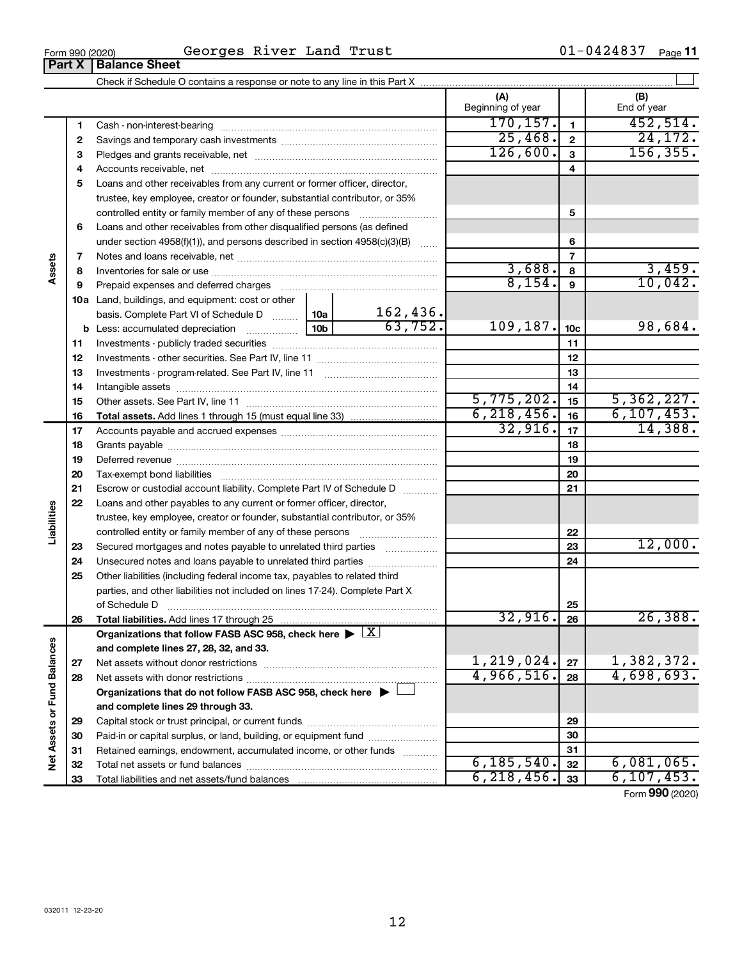### Form 990 (2020)  $\qquad \qquad$  Georges River Land Trust  $01-0424837$  Page

01-0424837 Page 11

|                             | <b>UILIV</b> | יטווטי טווטט                                                                                                                                                                                                                  |                 |                          |                          |                 |                          |
|-----------------------------|--------------|-------------------------------------------------------------------------------------------------------------------------------------------------------------------------------------------------------------------------------|-----------------|--------------------------|--------------------------|-----------------|--------------------------|
|                             |              |                                                                                                                                                                                                                               |                 |                          |                          |                 |                          |
|                             |              |                                                                                                                                                                                                                               |                 |                          | (A)<br>Beginning of year |                 | (B)<br>End of year       |
|                             | 1            |                                                                                                                                                                                                                               |                 |                          | 170, 157.                | $\mathbf{1}$    | 452,514.                 |
|                             | 2            |                                                                                                                                                                                                                               |                 |                          | 25,468.                  | $\overline{2}$  | 24, 172.                 |
|                             | з            |                                                                                                                                                                                                                               |                 |                          | 126,600.                 | 3               | 156, 355.                |
|                             | 4            |                                                                                                                                                                                                                               |                 |                          |                          | 4               |                          |
|                             | 5            | Loans and other receivables from any current or former officer, director,                                                                                                                                                     |                 |                          |                          |                 |                          |
|                             |              | trustee, key employee, creator or founder, substantial contributor, or 35%                                                                                                                                                    |                 |                          |                          |                 |                          |
|                             |              | controlled entity or family member of any of these persons                                                                                                                                                                    |                 |                          |                          | 5               |                          |
|                             | 6            | Loans and other receivables from other disqualified persons (as defined                                                                                                                                                       |                 |                          |                          |                 |                          |
|                             |              | under section 4958(f)(1)), and persons described in section 4958(c)(3)(B)                                                                                                                                                     |                 |                          |                          | 6               |                          |
|                             | 7            |                                                                                                                                                                                                                               |                 |                          |                          | $\overline{7}$  |                          |
| Assets                      | 8            |                                                                                                                                                                                                                               |                 |                          | 3,688.                   | 8               | 3,459.                   |
|                             | 9            | Prepaid expenses and deferred charges [11] [11] Prepaid expenses and deferred charges [11] [11] Martin Marian Marian Marian Marian Marian Marian Marian Marian Marian Marian Marian Marian Marian Marian Marian Marian Marian |                 |                          | 8,154.                   | 9               | 10,042.                  |
|                             |              | 10a Land, buildings, and equipment: cost or other                                                                                                                                                                             |                 |                          |                          |                 |                          |
|                             |              | basis. Complete Part VI of Schedule D  10a                                                                                                                                                                                    |                 | $\frac{162,436}{63,752}$ |                          |                 |                          |
|                             |              |                                                                                                                                                                                                                               | 10 <sub>b</sub> |                          | 109,187.                 | 10 <sub>c</sub> | 98,684.                  |
|                             | 11           |                                                                                                                                                                                                                               |                 |                          |                          | 11              |                          |
|                             | 12           |                                                                                                                                                                                                                               |                 |                          |                          | 12              |                          |
|                             | 13           |                                                                                                                                                                                                                               |                 |                          |                          | 13              |                          |
|                             | 14           |                                                                                                                                                                                                                               |                 |                          | 14                       |                 |                          |
|                             | 15           |                                                                                                                                                                                                                               |                 |                          | 5,775,202.               | 15              | 5,362,227.               |
|                             | 16           |                                                                                                                                                                                                                               |                 |                          | 6, 218, 456.<br>32,916.  | 16              | 6, 107, 453.<br>14,388.  |
|                             | 17           |                                                                                                                                                                                                                               |                 |                          |                          | 17              |                          |
|                             | 18           |                                                                                                                                                                                                                               |                 | 18                       |                          |                 |                          |
|                             | 19           |                                                                                                                                                                                                                               |                 |                          |                          | 19              |                          |
|                             | 20           |                                                                                                                                                                                                                               |                 |                          |                          | 20              |                          |
|                             | 21           | Escrow or custodial account liability. Complete Part IV of Schedule D                                                                                                                                                         |                 |                          |                          | 21              |                          |
| Liabilities                 | 22           | Loans and other payables to any current or former officer, director,                                                                                                                                                          |                 |                          |                          |                 |                          |
|                             |              | trustee, key employee, creator or founder, substantial contributor, or 35%                                                                                                                                                    |                 |                          |                          | 22              |                          |
|                             | 23           | controlled entity or family member of any of these persons<br>Secured mortgages and notes payable to unrelated third parties                                                                                                  |                 |                          |                          | 23              | 12,000.                  |
|                             | 24           | Unsecured notes and loans payable to unrelated third parties                                                                                                                                                                  |                 |                          |                          | 24              |                          |
|                             | 25           | Other liabilities (including federal income tax, payables to related third                                                                                                                                                    |                 |                          |                          |                 |                          |
|                             |              | parties, and other liabilities not included on lines 17-24). Complete Part X                                                                                                                                                  |                 |                          |                          |                 |                          |
|                             |              | of Schedule D                                                                                                                                                                                                                 |                 |                          |                          | 25              |                          |
|                             | 26           | Total liabilities. Add lines 17 through 25                                                                                                                                                                                    |                 |                          | 32,916.                  | 26              | 26,388.                  |
|                             |              | Organizations that follow FASB ASC 958, check here $\blacktriangleright \lfloor \underline{X} \rfloor$                                                                                                                        |                 |                          |                          |                 |                          |
|                             |              | and complete lines 27, 28, 32, and 33.                                                                                                                                                                                        |                 |                          |                          |                 |                          |
|                             | 27           | Net assets without donor restrictions                                                                                                                                                                                         |                 |                          | 1,219,024.               | 27              |                          |
|                             | 28           |                                                                                                                                                                                                                               |                 |                          | 4,966,516.               | 28              | 1,382,372.<br>4,698,693. |
|                             |              | Organizations that do not follow FASB ASC 958, check here $\blacktriangleright$                                                                                                                                               |                 |                          |                          |                 |                          |
|                             |              | and complete lines 29 through 33.                                                                                                                                                                                             |                 |                          |                          |                 |                          |
| Net Assets or Fund Balances | 29           |                                                                                                                                                                                                                               |                 |                          |                          | 29              |                          |
|                             | 30           | Paid-in or capital surplus, or land, building, or equipment fund                                                                                                                                                              |                 |                          |                          | 30              |                          |
|                             | 31           | Retained earnings, endowment, accumulated income, or other funds                                                                                                                                                              |                 |                          |                          | 31              |                          |
|                             | 32           |                                                                                                                                                                                                                               |                 |                          | 6, 185, 540.             | 32              | 6,081,065.               |
|                             | 33           |                                                                                                                                                                                                                               |                 |                          | 6, 218, 456.             | 33              | 6, 107, 453.             |
|                             |              |                                                                                                                                                                                                                               |                 |                          |                          |                 | $000 \approx$            |

Form (2020) **990**

**Part X Balance Sheet**<br>**Part X Balance Sheet**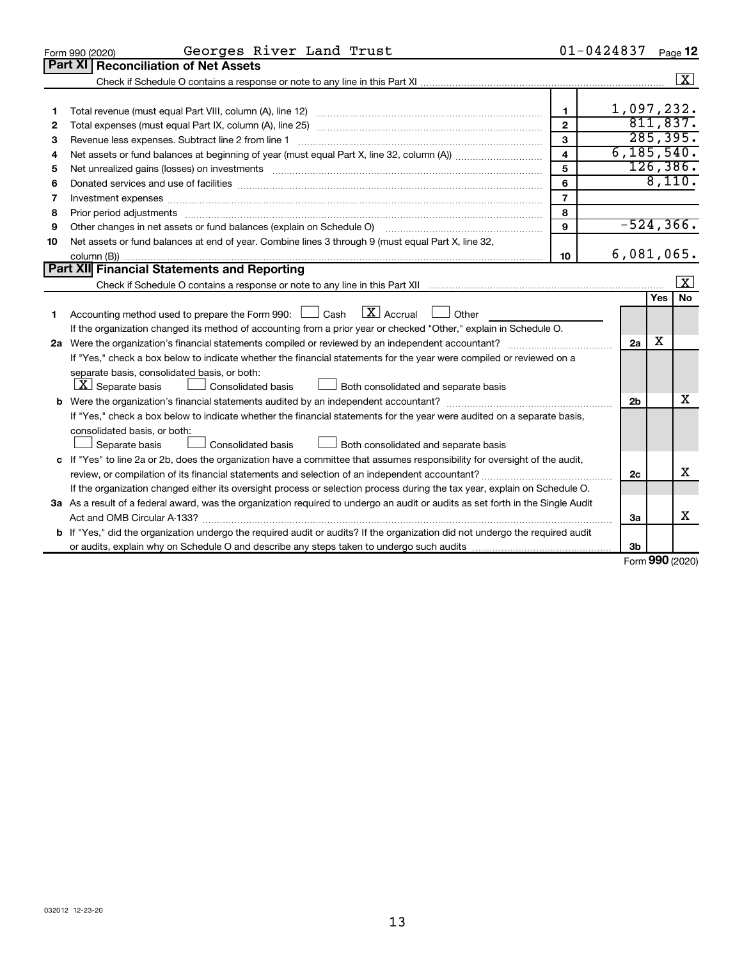|    | Georges River Land Trust<br>Form 990 (2020)                                                                                                                                                                                   |                         | $01 - 0424837$ |     | Page 12                 |
|----|-------------------------------------------------------------------------------------------------------------------------------------------------------------------------------------------------------------------------------|-------------------------|----------------|-----|-------------------------|
|    | Part XI<br><b>Reconciliation of Net Assets</b>                                                                                                                                                                                |                         |                |     |                         |
|    |                                                                                                                                                                                                                               |                         |                |     | $\boxed{\text{X}}$      |
|    |                                                                                                                                                                                                                               |                         |                |     |                         |
| 1  |                                                                                                                                                                                                                               | $\mathbf{1}$            | 1,097,232.     |     |                         |
| 2  |                                                                                                                                                                                                                               | $\overline{2}$          |                |     | 811,837.                |
| з  |                                                                                                                                                                                                                               | 3                       |                |     | 285, 395.               |
| 4  |                                                                                                                                                                                                                               | $\overline{\mathbf{A}}$ | 6, 185, 540.   |     |                         |
| 5  |                                                                                                                                                                                                                               | 5                       |                |     | 126, 386.               |
| 6  |                                                                                                                                                                                                                               | 6                       |                |     | 8,110.                  |
| 7  | Investment expenses www.communication.com/www.communication.com/www.communication.com/www.com                                                                                                                                 | $\overline{7}$          |                |     |                         |
| 8  | Prior period adjustments manufactured and content and content and content and content and content and content and content and content and content and content and content and content and content and content and content and | 8                       |                |     |                         |
| 9  |                                                                                                                                                                                                                               | 9                       | $-524, 366.$   |     |                         |
| 10 | Net assets or fund balances at end of year. Combine lines 3 through 9 (must equal Part X, line 32,                                                                                                                            |                         |                |     |                         |
|    |                                                                                                                                                                                                                               | 10                      | 6,081,065.     |     |                         |
|    | Part XII Financial Statements and Reporting                                                                                                                                                                                   |                         |                |     |                         |
|    |                                                                                                                                                                                                                               |                         |                |     | $\overline{\mathbf{x}}$ |
|    |                                                                                                                                                                                                                               |                         |                | Yes | No                      |
| 1  | $\boxed{\mathbf{X}}$ Accrual<br>Accounting method used to prepare the Form 990: [130] Cash<br>  Other                                                                                                                         |                         |                |     |                         |
|    | If the organization changed its method of accounting from a prior year or checked "Other," explain in Schedule O.                                                                                                             |                         |                |     |                         |
|    |                                                                                                                                                                                                                               |                         | 2a             | x   |                         |
|    | If "Yes," check a box below to indicate whether the financial statements for the year were compiled or reviewed on a                                                                                                          |                         |                |     |                         |
|    | separate basis, consolidated basis, or both:                                                                                                                                                                                  |                         |                |     |                         |
|    | $\lfloor \underline{X} \rfloor$ Separate basis<br><b>Consolidated basis</b><br>Both consolidated and separate basis                                                                                                           |                         |                |     |                         |
|    |                                                                                                                                                                                                                               |                         | 2 <sub>b</sub> |     | х                       |
|    | If "Yes," check a box below to indicate whether the financial statements for the year were audited on a separate basis,                                                                                                       |                         |                |     |                         |
|    | consolidated basis, or both:                                                                                                                                                                                                  |                         |                |     |                         |
|    | Separate basis<br><b>Consolidated basis</b><br>Both consolidated and separate basis                                                                                                                                           |                         |                |     |                         |
|    | c If "Yes" to line 2a or 2b, does the organization have a committee that assumes responsibility for oversight of the audit,                                                                                                   |                         |                |     |                         |
|    | review, or compilation of its financial statements and selection of an independent accountant?                                                                                                                                |                         | 2c             |     | х                       |
|    | If the organization changed either its oversight process or selection process during the tax year, explain on Schedule O.                                                                                                     |                         |                |     |                         |
|    | 3a As a result of a federal award, was the organization required to undergo an audit or audits as set forth in the Single Audit                                                                                               |                         |                |     |                         |
|    |                                                                                                                                                                                                                               |                         | 3a             |     | x                       |
|    | b If "Yes," did the organization undergo the required audit or audits? If the organization did not undergo the required audit                                                                                                 |                         |                |     |                         |
|    |                                                                                                                                                                                                                               |                         | 3 <sub>b</sub> |     |                         |

Form (2020) **990**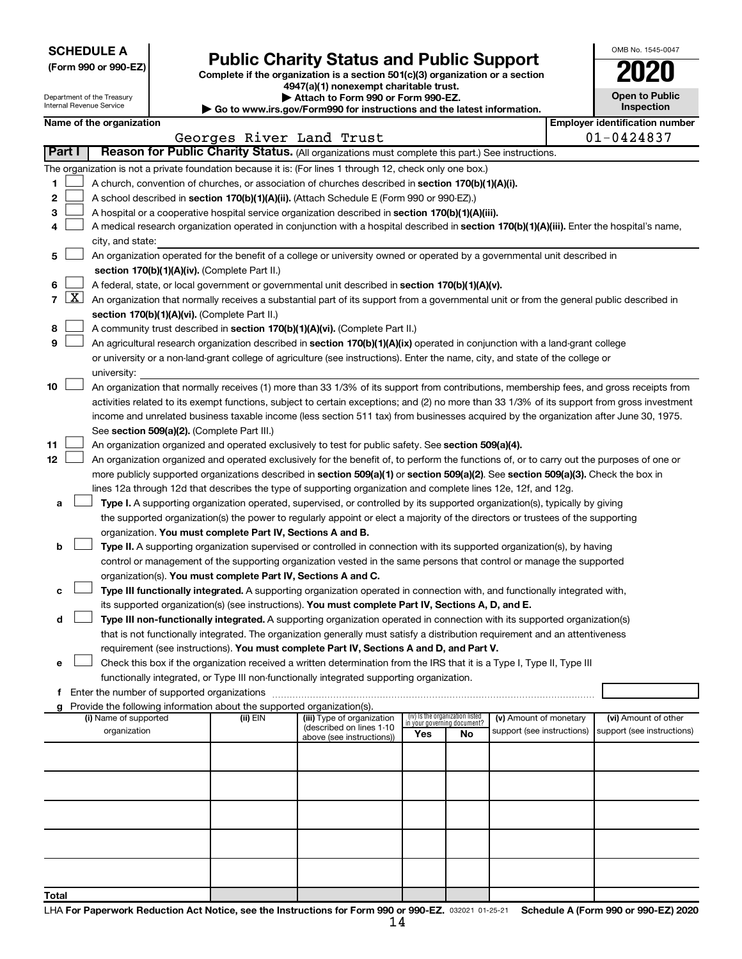**SCHEDULE A**

Department of the Tre Internal Revenue Ser

OMB No. 1545-0047

| JUNEDULE A<br>(Form 990 or 990-EZ) |                     |                                                        | <b>Public Charity Status and Public Support</b>                        |                                                                                                                                              |                                                                |    |                            |  |                                       |  |  |
|------------------------------------|---------------------|--------------------------------------------------------|------------------------------------------------------------------------|----------------------------------------------------------------------------------------------------------------------------------------------|----------------------------------------------------------------|----|----------------------------|--|---------------------------------------|--|--|
|                                    |                     |                                                        |                                                                        | Complete if the organization is a section 501(c)(3) organization or a section<br>4947(a)(1) nonexempt charitable trust.                      |                                                                |    |                            |  |                                       |  |  |
|                                    |                     | Department of the Treasury<br>Internal Revenue Service |                                                                        | Attach to Form 990 or Form 990-EZ.<br>Go to www.irs.gov/Form990 for instructions and the latest information.                                 |                                                                |    |                            |  | <b>Open to Public</b><br>Inspection   |  |  |
|                                    |                     | Name of the organization                               |                                                                        |                                                                                                                                              |                                                                |    |                            |  | <b>Employer identification number</b> |  |  |
|                                    |                     |                                                        | Georges River Land Trust                                               |                                                                                                                                              |                                                                |    |                            |  | $01 - 0424837$                        |  |  |
| Part I                             |                     |                                                        |                                                                        | Reason for Public Charity Status. (All organizations must complete this part.) See instructions.                                             |                                                                |    |                            |  |                                       |  |  |
|                                    |                     |                                                        |                                                                        | The organization is not a private foundation because it is: (For lines 1 through 12, check only one box.)                                    |                                                                |    |                            |  |                                       |  |  |
| 1                                  |                     |                                                        |                                                                        | A church, convention of churches, or association of churches described in section 170(b)(1)(A)(i).                                           |                                                                |    |                            |  |                                       |  |  |
| 2                                  |                     |                                                        |                                                                        | A school described in section 170(b)(1)(A)(ii). (Attach Schedule E (Form 990 or 990-EZ).)                                                    |                                                                |    |                            |  |                                       |  |  |
| З                                  |                     |                                                        |                                                                        | A hospital or a cooperative hospital service organization described in section 170(b)(1)(A)(iii).                                            |                                                                |    |                            |  |                                       |  |  |
| 4                                  |                     |                                                        |                                                                        | A medical research organization operated in conjunction with a hospital described in section 170(b)(1)(A)(iii). Enter the hospital's name,   |                                                                |    |                            |  |                                       |  |  |
|                                    |                     | city, and state:                                       |                                                                        |                                                                                                                                              |                                                                |    |                            |  |                                       |  |  |
| 5                                  |                     |                                                        |                                                                        | An organization operated for the benefit of a college or university owned or operated by a governmental unit described in                    |                                                                |    |                            |  |                                       |  |  |
|                                    |                     |                                                        | section 170(b)(1)(A)(iv). (Complete Part II.)                          |                                                                                                                                              |                                                                |    |                            |  |                                       |  |  |
| 6                                  |                     |                                                        |                                                                        | A federal, state, or local government or governmental unit described in section 170(b)(1)(A)(v).                                             |                                                                |    |                            |  |                                       |  |  |
| $\overline{7}$                     | $\lfloor x \rfloor$ |                                                        |                                                                        | An organization that normally receives a substantial part of its support from a governmental unit or from the general public described in    |                                                                |    |                            |  |                                       |  |  |
|                                    |                     |                                                        | section 170(b)(1)(A)(vi). (Complete Part II.)                          |                                                                                                                                              |                                                                |    |                            |  |                                       |  |  |
| 8                                  |                     |                                                        |                                                                        | A community trust described in section 170(b)(1)(A)(vi). (Complete Part II.)                                                                 |                                                                |    |                            |  |                                       |  |  |
| 9                                  |                     |                                                        |                                                                        | An agricultural research organization described in section 170(b)(1)(A)(ix) operated in conjunction with a land-grant college                |                                                                |    |                            |  |                                       |  |  |
|                                    |                     |                                                        |                                                                        | or university or a non-land-grant college of agriculture (see instructions). Enter the name, city, and state of the college or               |                                                                |    |                            |  |                                       |  |  |
|                                    |                     | university:                                            |                                                                        |                                                                                                                                              |                                                                |    |                            |  |                                       |  |  |
| 10                                 |                     |                                                        |                                                                        | An organization that normally receives (1) more than 33 1/3% of its support from contributions, membership fees, and gross receipts from     |                                                                |    |                            |  |                                       |  |  |
|                                    |                     |                                                        |                                                                        | activities related to its exempt functions, subject to certain exceptions; and (2) no more than 33 1/3% of its support from gross investment |                                                                |    |                            |  |                                       |  |  |
|                                    |                     |                                                        |                                                                        | income and unrelated business taxable income (less section 511 tax) from businesses acquired by the organization after June 30, 1975.        |                                                                |    |                            |  |                                       |  |  |
| 11                                 |                     |                                                        | See section 509(a)(2). (Complete Part III.)                            | An organization organized and operated exclusively to test for public safety. See section 509(a)(4).                                         |                                                                |    |                            |  |                                       |  |  |
| 12                                 |                     |                                                        |                                                                        | An organization organized and operated exclusively for the benefit of, to perform the functions of, or to carry out the purposes of one or   |                                                                |    |                            |  |                                       |  |  |
|                                    |                     |                                                        |                                                                        | more publicly supported organizations described in section 509(a)(1) or section 509(a)(2). See section 509(a)(3). Check the box in           |                                                                |    |                            |  |                                       |  |  |
|                                    |                     |                                                        |                                                                        | lines 12a through 12d that describes the type of supporting organization and complete lines 12e, 12f, and 12g.                               |                                                                |    |                            |  |                                       |  |  |
| а                                  |                     |                                                        |                                                                        | Type I. A supporting organization operated, supervised, or controlled by its supported organization(s), typically by giving                  |                                                                |    |                            |  |                                       |  |  |
|                                    |                     |                                                        |                                                                        | the supported organization(s) the power to regularly appoint or elect a majority of the directors or trustees of the supporting              |                                                                |    |                            |  |                                       |  |  |
|                                    |                     |                                                        | organization. You must complete Part IV, Sections A and B.             |                                                                                                                                              |                                                                |    |                            |  |                                       |  |  |
| b                                  |                     |                                                        |                                                                        | Type II. A supporting organization supervised or controlled in connection with its supported organization(s), by having                      |                                                                |    |                            |  |                                       |  |  |
|                                    |                     |                                                        |                                                                        | control or management of the supporting organization vested in the same persons that control or manage the supported                         |                                                                |    |                            |  |                                       |  |  |
|                                    |                     |                                                        | organization(s). You must complete Part IV, Sections A and C.          |                                                                                                                                              |                                                                |    |                            |  |                                       |  |  |
| c                                  |                     |                                                        |                                                                        | Type III functionally integrated. A supporting organization operated in connection with, and functionally integrated with,                   |                                                                |    |                            |  |                                       |  |  |
|                                    |                     |                                                        |                                                                        | its supported organization(s) (see instructions). You must complete Part IV, Sections A, D, and E.                                           |                                                                |    |                            |  |                                       |  |  |
| d                                  |                     |                                                        |                                                                        | Type III non-functionally integrated. A supporting organization operated in connection with its supported organization(s)                    |                                                                |    |                            |  |                                       |  |  |
|                                    |                     |                                                        |                                                                        | that is not functionally integrated. The organization generally must satisfy a distribution requirement and an attentiveness                 |                                                                |    |                            |  |                                       |  |  |
|                                    |                     |                                                        |                                                                        | requirement (see instructions). You must complete Part IV, Sections A and D, and Part V.                                                     |                                                                |    |                            |  |                                       |  |  |
| e                                  |                     |                                                        |                                                                        | Check this box if the organization received a written determination from the IRS that it is a Type I, Type II, Type III                      |                                                                |    |                            |  |                                       |  |  |
|                                    |                     |                                                        |                                                                        | functionally integrated, or Type III non-functionally integrated supporting organization.                                                    |                                                                |    |                            |  |                                       |  |  |
| f                                  |                     | Enter the number of supported organizations            |                                                                        |                                                                                                                                              |                                                                |    |                            |  |                                       |  |  |
|                                    |                     |                                                        | Provide the following information about the supported organization(s). |                                                                                                                                              |                                                                |    |                            |  |                                       |  |  |
|                                    |                     | (i) Name of supported                                  | (ii) EIN                                                               | (iii) Type of organization<br>(described on lines 1-10                                                                                       | (iv) Is the organization listed<br>in your governing document? |    | (v) Amount of monetary     |  | (vi) Amount of other                  |  |  |
|                                    |                     | organization                                           |                                                                        | above (see instructions))                                                                                                                    | Yes                                                            | No | support (see instructions) |  | support (see instructions)            |  |  |
|                                    |                     |                                                        |                                                                        |                                                                                                                                              |                                                                |    |                            |  |                                       |  |  |
|                                    |                     |                                                        |                                                                        |                                                                                                                                              |                                                                |    |                            |  |                                       |  |  |
|                                    |                     |                                                        |                                                                        |                                                                                                                                              |                                                                |    |                            |  |                                       |  |  |
|                                    |                     |                                                        |                                                                        |                                                                                                                                              |                                                                |    |                            |  |                                       |  |  |
|                                    |                     |                                                        |                                                                        |                                                                                                                                              |                                                                |    |                            |  |                                       |  |  |
|                                    |                     |                                                        |                                                                        |                                                                                                                                              |                                                                |    |                            |  |                                       |  |  |
|                                    |                     |                                                        |                                                                        |                                                                                                                                              |                                                                |    |                            |  |                                       |  |  |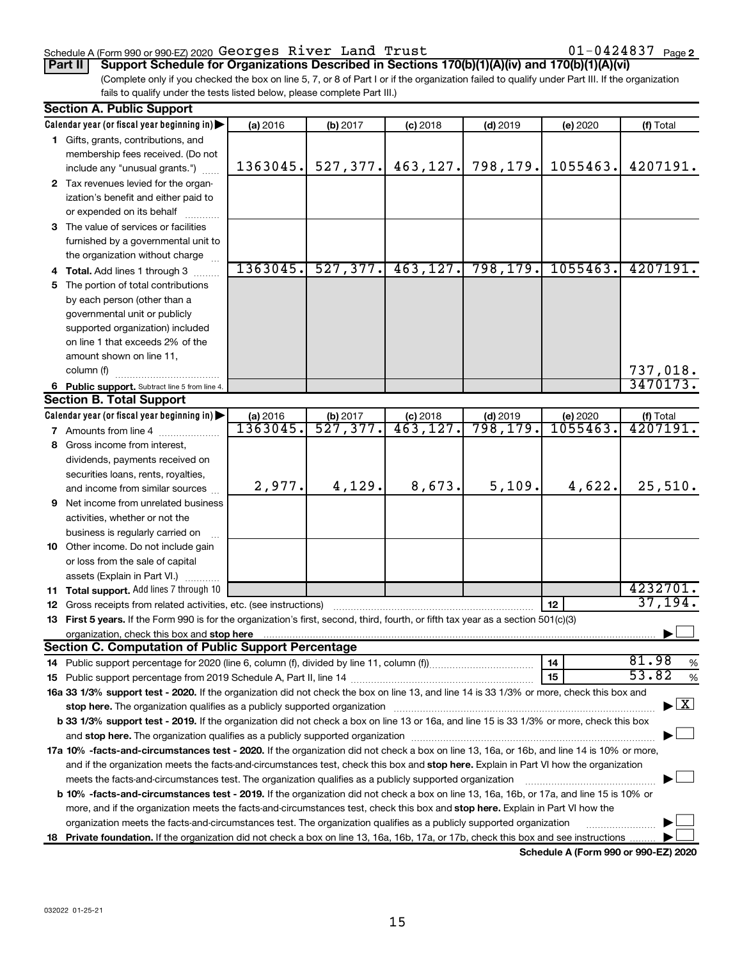### Schedule A (Form 990 or 990-EZ) 2020 Page Georges River Land Trust 01-0424837

01-0424837 Page 2

(Complete only if you checked the box on line 5, 7, or 8 of Part I or if the organization failed to qualify under Part III. If the organization fails to qualify under the tests listed below, please complete Part III.) **Part II Support Schedule for Organizations Described in Sections 170(b)(1)(A)(iv) and 170(b)(1)(A)(vi)**

|                                                                                                                                                                                                                                                  | <b>Section A. Public Support</b>                                                                                                                                                                                                                       |          |           |            |            |          |            |  |  |  |  |
|--------------------------------------------------------------------------------------------------------------------------------------------------------------------------------------------------------------------------------------------------|--------------------------------------------------------------------------------------------------------------------------------------------------------------------------------------------------------------------------------------------------------|----------|-----------|------------|------------|----------|------------|--|--|--|--|
|                                                                                                                                                                                                                                                  | Calendar year (or fiscal year beginning in)                                                                                                                                                                                                            | (a) 2016 | (b) 2017  | $(c)$ 2018 | $(d)$ 2019 | (e) 2020 | (f) Total  |  |  |  |  |
|                                                                                                                                                                                                                                                  | 1 Gifts, grants, contributions, and                                                                                                                                                                                                                    |          |           |            |            |          |            |  |  |  |  |
|                                                                                                                                                                                                                                                  | membership fees received. (Do not                                                                                                                                                                                                                      |          |           |            |            |          |            |  |  |  |  |
|                                                                                                                                                                                                                                                  | include any "unusual grants.")                                                                                                                                                                                                                         | 1363045. | 527, 377. | 463, 127.  | 798,179.   | 1055463. | 4207191.   |  |  |  |  |
|                                                                                                                                                                                                                                                  | 2 Tax revenues levied for the organ-                                                                                                                                                                                                                   |          |           |            |            |          |            |  |  |  |  |
|                                                                                                                                                                                                                                                  | ization's benefit and either paid to                                                                                                                                                                                                                   |          |           |            |            |          |            |  |  |  |  |
|                                                                                                                                                                                                                                                  | or expended on its behalf                                                                                                                                                                                                                              |          |           |            |            |          |            |  |  |  |  |
|                                                                                                                                                                                                                                                  | 3 The value of services or facilities                                                                                                                                                                                                                  |          |           |            |            |          |            |  |  |  |  |
|                                                                                                                                                                                                                                                  | furnished by a governmental unit to                                                                                                                                                                                                                    |          |           |            |            |          |            |  |  |  |  |
|                                                                                                                                                                                                                                                  | the organization without charge                                                                                                                                                                                                                        |          |           |            |            |          |            |  |  |  |  |
|                                                                                                                                                                                                                                                  | <b>Total.</b> Add lines 1 through 3                                                                                                                                                                                                                    | 1363045. | 527, 377. | 463, 127.  | 798, 179.  | 1055463. | 4207191.   |  |  |  |  |
| 5                                                                                                                                                                                                                                                | The portion of total contributions                                                                                                                                                                                                                     |          |           |            |            |          |            |  |  |  |  |
|                                                                                                                                                                                                                                                  | by each person (other than a                                                                                                                                                                                                                           |          |           |            |            |          |            |  |  |  |  |
|                                                                                                                                                                                                                                                  | governmental unit or publicly                                                                                                                                                                                                                          |          |           |            |            |          |            |  |  |  |  |
|                                                                                                                                                                                                                                                  | supported organization) included                                                                                                                                                                                                                       |          |           |            |            |          |            |  |  |  |  |
|                                                                                                                                                                                                                                                  | on line 1 that exceeds 2% of the                                                                                                                                                                                                                       |          |           |            |            |          |            |  |  |  |  |
|                                                                                                                                                                                                                                                  | amount shown on line 11,                                                                                                                                                                                                                               |          |           |            |            |          |            |  |  |  |  |
|                                                                                                                                                                                                                                                  | column (f)                                                                                                                                                                                                                                             |          |           |            |            |          | 737,018.   |  |  |  |  |
|                                                                                                                                                                                                                                                  | 6 Public support. Subtract line 5 from line 4.                                                                                                                                                                                                         |          |           |            |            |          | 3470173.   |  |  |  |  |
|                                                                                                                                                                                                                                                  | <b>Section B. Total Support</b>                                                                                                                                                                                                                        |          |           |            |            |          |            |  |  |  |  |
|                                                                                                                                                                                                                                                  | Calendar year (or fiscal year beginning in)                                                                                                                                                                                                            | (a) 2016 | (b) 2017  | $(c)$ 2018 | $(d)$ 2019 | (e) 2020 | (f) Total  |  |  |  |  |
|                                                                                                                                                                                                                                                  | 7 Amounts from line 4                                                                                                                                                                                                                                  | 1363045. | 527, 377. | 463, 127.  | 798,179.   | 1055463. | 4207191.   |  |  |  |  |
| 8                                                                                                                                                                                                                                                | Gross income from interest,                                                                                                                                                                                                                            |          |           |            |            |          |            |  |  |  |  |
|                                                                                                                                                                                                                                                  | dividends, payments received on                                                                                                                                                                                                                        |          |           |            |            |          |            |  |  |  |  |
|                                                                                                                                                                                                                                                  | securities loans, rents, royalties,                                                                                                                                                                                                                    |          |           |            |            |          |            |  |  |  |  |
|                                                                                                                                                                                                                                                  | and income from similar sources                                                                                                                                                                                                                        | 2,977.   | 4,129.    | 8,673.     | 5,109.     | 4,622.   | 25,510.    |  |  |  |  |
| 9                                                                                                                                                                                                                                                | Net income from unrelated business                                                                                                                                                                                                                     |          |           |            |            |          |            |  |  |  |  |
|                                                                                                                                                                                                                                                  | activities, whether or not the                                                                                                                                                                                                                         |          |           |            |            |          |            |  |  |  |  |
|                                                                                                                                                                                                                                                  | business is regularly carried on                                                                                                                                                                                                                       |          |           |            |            |          |            |  |  |  |  |
|                                                                                                                                                                                                                                                  | 10 Other income. Do not include gain                                                                                                                                                                                                                   |          |           |            |            |          |            |  |  |  |  |
|                                                                                                                                                                                                                                                  | or loss from the sale of capital                                                                                                                                                                                                                       |          |           |            |            |          |            |  |  |  |  |
|                                                                                                                                                                                                                                                  | assets (Explain in Part VI.)                                                                                                                                                                                                                           |          |           |            |            |          |            |  |  |  |  |
|                                                                                                                                                                                                                                                  | 11 Total support. Add lines 7 through 10                                                                                                                                                                                                               |          |           |            |            |          | 4232701.   |  |  |  |  |
| 12                                                                                                                                                                                                                                               | Gross receipts from related activities, etc. (see instructions)                                                                                                                                                                                        |          |           |            |            | 12       | 37,194.    |  |  |  |  |
| 13                                                                                                                                                                                                                                               | First 5 years. If the Form 990 is for the organization's first, second, third, fourth, or fifth tax year as a section 501(c)(3)                                                                                                                        |          |           |            |            |          |            |  |  |  |  |
|                                                                                                                                                                                                                                                  | organization, check this box and stop here                                                                                                                                                                                                             |          |           |            |            |          |            |  |  |  |  |
|                                                                                                                                                                                                                                                  | <b>Section C. Computation of Public Support Percentage</b>                                                                                                                                                                                             |          |           |            |            |          | 81.98      |  |  |  |  |
|                                                                                                                                                                                                                                                  |                                                                                                                                                                                                                                                        |          |           |            |            | 14       | %<br>53.82 |  |  |  |  |
|                                                                                                                                                                                                                                                  |                                                                                                                                                                                                                                                        |          |           |            |            | 15       | $\%$       |  |  |  |  |
|                                                                                                                                                                                                                                                  | 16a 33 1/3% support test - 2020. If the organization did not check the box on line 13, and line 14 is 33 1/3% or more, check this box and                                                                                                              |          |           |            |            |          |            |  |  |  |  |
|                                                                                                                                                                                                                                                  | $\blacktriangleright$ $\mathbf{X}$<br>stop here. The organization qualifies as a publicly supported organization                                                                                                                                       |          |           |            |            |          |            |  |  |  |  |
| b 33 1/3% support test - 2019. If the organization did not check a box on line 13 or 16a, and line 15 is 33 1/3% or more, check this box                                                                                                         |                                                                                                                                                                                                                                                        |          |           |            |            |          |            |  |  |  |  |
|                                                                                                                                                                                                                                                  |                                                                                                                                                                                                                                                        |          |           |            |            |          |            |  |  |  |  |
|                                                                                                                                                                                                                                                  | 17a 10% -facts-and-circumstances test - 2020. If the organization did not check a box on line 13, 16a, or 16b, and line 14 is 10% or more,                                                                                                             |          |           |            |            |          |            |  |  |  |  |
| and if the organization meets the facts-and-circumstances test, check this box and stop here. Explain in Part VI how the organization<br>meets the facts-and-circumstances test. The organization qualifies as a publicly supported organization |                                                                                                                                                                                                                                                        |          |           |            |            |          |            |  |  |  |  |
|                                                                                                                                                                                                                                                  | b 10% -facts-and-circumstances test - 2019. If the organization did not check a box on line 13, 16a, 16b, or 17a, and line 15 is 10% or                                                                                                                |          |           |            |            |          |            |  |  |  |  |
|                                                                                                                                                                                                                                                  |                                                                                                                                                                                                                                                        |          |           |            |            |          |            |  |  |  |  |
|                                                                                                                                                                                                                                                  | more, and if the organization meets the facts-and-circumstances test, check this box and stop here. Explain in Part VI how the<br>organization meets the facts-and-circumstances test. The organization qualifies as a publicly supported organization |          |           |            |            |          |            |  |  |  |  |
|                                                                                                                                                                                                                                                  |                                                                                                                                                                                                                                                        |          |           |            |            |          |            |  |  |  |  |
| 18                                                                                                                                                                                                                                               | Private foundation. If the organization did not check a box on line 13, 16a, 16b, 17a, or 17b, check this box and see instructions                                                                                                                     |          |           |            |            |          |            |  |  |  |  |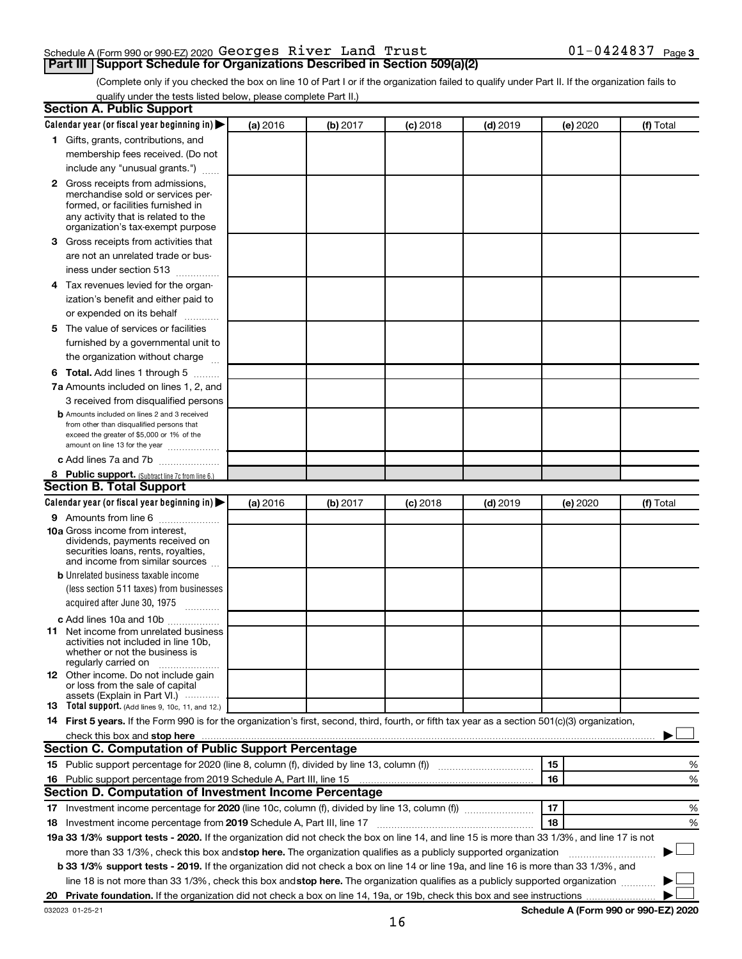### Schedule A (Form 990 or 990-EZ) 2020 Page Georges River Land Trust 01-0424837 **Part III Support Schedule for Organizations Described in Section 509(a)(2)**

(Complete only if you checked the box on line 10 of Part I or if the organization failed to qualify under Part II. If the organization fails to qualify under the tests listed below, please complete Part II.)

| <b>Section A. Public Support</b>                                                                                                                                                                                              |          |          |            |            |          |                                      |
|-------------------------------------------------------------------------------------------------------------------------------------------------------------------------------------------------------------------------------|----------|----------|------------|------------|----------|--------------------------------------|
| Calendar year (or fiscal year beginning in)                                                                                                                                                                                   | (a) 2016 | (b) 2017 | $(c)$ 2018 | $(d)$ 2019 | (e) 2020 | (f) Total                            |
| 1 Gifts, grants, contributions, and                                                                                                                                                                                           |          |          |            |            |          |                                      |
| membership fees received. (Do not                                                                                                                                                                                             |          |          |            |            |          |                                      |
| include any "unusual grants.")                                                                                                                                                                                                |          |          |            |            |          |                                      |
| 2 Gross receipts from admissions,<br>merchandise sold or services per-<br>formed, or facilities furnished in<br>any activity that is related to the<br>organization's tax-exempt purpose                                      |          |          |            |            |          |                                      |
| 3 Gross receipts from activities that                                                                                                                                                                                         |          |          |            |            |          |                                      |
| are not an unrelated trade or bus-<br>iness under section 513                                                                                                                                                                 |          |          |            |            |          |                                      |
| 4 Tax revenues levied for the organ-                                                                                                                                                                                          |          |          |            |            |          |                                      |
| ization's benefit and either paid to<br>or expended on its behalf                                                                                                                                                             |          |          |            |            |          |                                      |
| 5 The value of services or facilities                                                                                                                                                                                         |          |          |            |            |          |                                      |
| furnished by a governmental unit to<br>the organization without charge                                                                                                                                                        |          |          |            |            |          |                                      |
| <b>6 Total.</b> Add lines 1 through 5                                                                                                                                                                                         |          |          |            |            |          |                                      |
| 7a Amounts included on lines 1, 2, and                                                                                                                                                                                        |          |          |            |            |          |                                      |
| 3 received from disqualified persons                                                                                                                                                                                          |          |          |            |            |          |                                      |
| <b>b</b> Amounts included on lines 2 and 3 received<br>from other than disqualified persons that<br>exceed the greater of \$5,000 or 1% of the<br>amount on line 13 for the year                                              |          |          |            |            |          |                                      |
| c Add lines 7a and 7b                                                                                                                                                                                                         |          |          |            |            |          |                                      |
| 8 Public support. (Subtract line 7c from line 6.)                                                                                                                                                                             |          |          |            |            |          |                                      |
| <b>Section B. Total Support</b>                                                                                                                                                                                               |          |          |            |            |          |                                      |
| Calendar year (or fiscal year beginning in) $\blacktriangleright$                                                                                                                                                             | (a) 2016 | (b) 2017 | $(c)$ 2018 | $(d)$ 2019 | (e) 2020 | (f) Total                            |
| <b>9</b> Amounts from line 6                                                                                                                                                                                                  |          |          |            |            |          |                                      |
| <b>10a</b> Gross income from interest,<br>dividends, payments received on<br>securities loans, rents, royalties,<br>and income from similar sources                                                                           |          |          |            |            |          |                                      |
| <b>b</b> Unrelated business taxable income                                                                                                                                                                                    |          |          |            |            |          |                                      |
| (less section 511 taxes) from businesses<br>acquired after June 30, 1975<br>$\mathcal{L}$ . The contract of $\mathcal{L}$                                                                                                     |          |          |            |            |          |                                      |
| c Add lines 10a and 10b                                                                                                                                                                                                       |          |          |            |            |          |                                      |
| <b>11</b> Net income from unrelated business<br>activities not included in line 10b.<br>whether or not the business is<br>regularly carried on                                                                                |          |          |            |            |          |                                      |
| <b>12</b> Other income. Do not include gain<br>or loss from the sale of capital<br>assets (Explain in Part VI.)                                                                                                               |          |          |            |            |          |                                      |
| <b>13</b> Total support. (Add lines 9, 10c, 11, and 12.)                                                                                                                                                                      |          |          |            |            |          |                                      |
| 14 First 5 years. If the Form 990 is for the organization's first, second, third, fourth, or fifth tax year as a section 501(c)(3) organization,                                                                              |          |          |            |            |          |                                      |
| check this box and stop here manufactured and stop here and stop here are manufactured and stop here and stop here and stop here and stop here and stop here and stop here and stop here and stop here and stop here and stop |          |          |            |            |          |                                      |
| Section C. Computation of Public Support Percentage                                                                                                                                                                           |          |          |            |            |          |                                      |
|                                                                                                                                                                                                                               |          |          |            |            | 15       | %                                    |
| 16 Public support percentage from 2019 Schedule A, Part III, line 15                                                                                                                                                          |          |          |            |            | 16       | %                                    |
| Section D. Computation of Investment Income Percentage                                                                                                                                                                        |          |          |            |            |          |                                      |
|                                                                                                                                                                                                                               |          |          |            |            | 17       | %                                    |
| 18 Investment income percentage from 2019 Schedule A, Part III, line 17                                                                                                                                                       |          |          |            |            | 18       | %                                    |
| 19a 33 1/3% support tests - 2020. If the organization did not check the box on line 14, and line 15 is more than 33 1/3%, and line 17 is not                                                                                  |          |          |            |            |          |                                      |
| more than 33 1/3%, check this box and stop here. The organization qualifies as a publicly supported organization                                                                                                              |          |          |            |            |          |                                      |
| <b>b 33 1/3% support tests - 2019.</b> If the organization did not check a box on line 14 or line 19a, and line 16 is more than 33 1/3%, and                                                                                  |          |          |            |            |          |                                      |
| line 18 is not more than 33 1/3%, check this box and stop here. The organization qualifies as a publicly supported organization <i>manner</i>                                                                                 |          |          |            |            |          |                                      |
|                                                                                                                                                                                                                               |          |          |            |            |          |                                      |
| 032023 01-25-21                                                                                                                                                                                                               |          |          |            |            |          | Schedule A (Form 990 or 990-EZ) 2020 |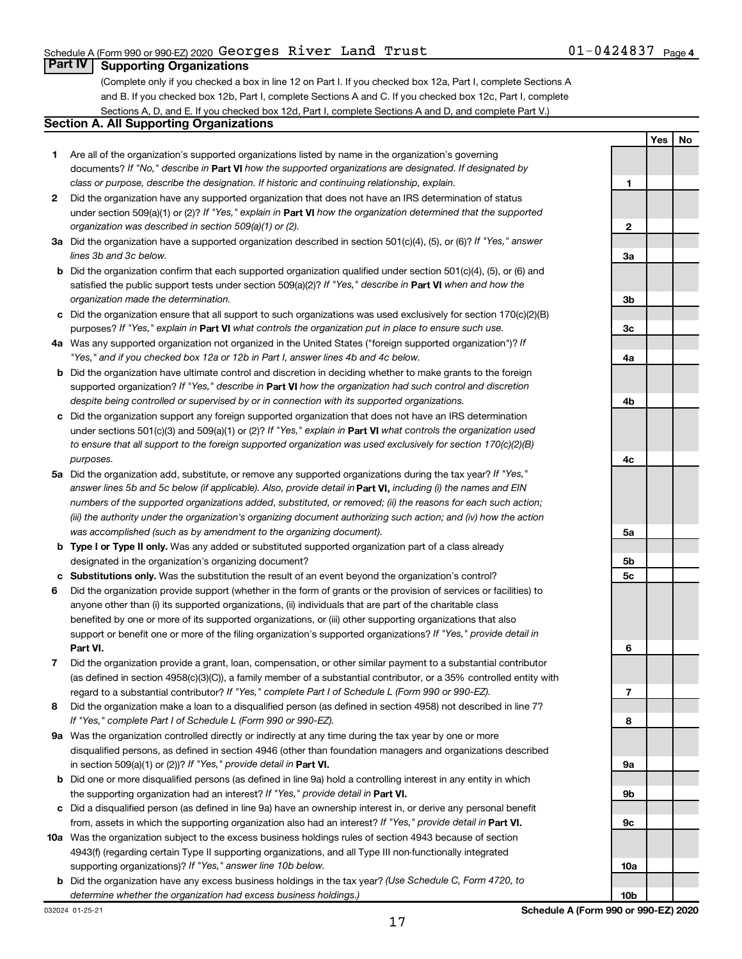**Yes No**

### **Part IV Supporting Organizations**

(Complete only if you checked a box in line 12 on Part I. If you checked box 12a, Part I, complete Sections A and B. If you checked box 12b, Part I, complete Sections A and C. If you checked box 12c, Part I, complete Sections A, D, and E. If you checked box 12d, Part I, complete Sections A and D, and complete Part V.)

### **Section A. All Supporting Organizations**

- **1** Are all of the organization's supported organizations listed by name in the organization's governing documents? If "No," describe in Part VI how the supported organizations are designated. If designated by *class or purpose, describe the designation. If historic and continuing relationship, explain.*
- **2** Did the organization have any supported organization that does not have an IRS determination of status under section 509(a)(1) or (2)? If "Yes," explain in Part **VI** how the organization determined that the supported *organization was described in section 509(a)(1) or (2).*
- **3a** Did the organization have a supported organization described in section 501(c)(4), (5), or (6)? If "Yes," answer *lines 3b and 3c below.*
- **b** Did the organization confirm that each supported organization qualified under section 501(c)(4), (5), or (6) and satisfied the public support tests under section 509(a)(2)? If "Yes," describe in Part VI when and how the *organization made the determination.*
- **c** Did the organization ensure that all support to such organizations was used exclusively for section 170(c)(2)(B) purposes? If "Yes," explain in Part VI what controls the organization put in place to ensure such use.
- **4 a** *If* Was any supported organization not organized in the United States ("foreign supported organization")? *"Yes," and if you checked box 12a or 12b in Part I, answer lines 4b and 4c below.*
- **b** Did the organization have ultimate control and discretion in deciding whether to make grants to the foreign supported organization? If "Yes," describe in Part VI how the organization had such control and discretion *despite being controlled or supervised by or in connection with its supported organizations.*
- **c** Did the organization support any foreign supported organization that does not have an IRS determination under sections 501(c)(3) and 509(a)(1) or (2)? If "Yes," explain in Part VI what controls the organization used *to ensure that all support to the foreign supported organization was used exclusively for section 170(c)(2)(B) purposes.*
- **5a** Did the organization add, substitute, or remove any supported organizations during the tax year? If "Yes," answer lines 5b and 5c below (if applicable). Also, provide detail in **Part VI,** including (i) the names and EIN *numbers of the supported organizations added, substituted, or removed; (ii) the reasons for each such action; (iii) the authority under the organization's organizing document authorizing such action; and (iv) how the action was accomplished (such as by amendment to the organizing document).*
- **b** Type I or Type II only. Was any added or substituted supported organization part of a class already designated in the organization's organizing document?
- **c Substitutions only.**  Was the substitution the result of an event beyond the organization's control?
- **6** Did the organization provide support (whether in the form of grants or the provision of services or facilities) to **Part VI.** support or benefit one or more of the filing organization's supported organizations? If "Yes," provide detail in anyone other than (i) its supported organizations, (ii) individuals that are part of the charitable class benefited by one or more of its supported organizations, or (iii) other supporting organizations that also
- **7** Did the organization provide a grant, loan, compensation, or other similar payment to a substantial contributor regard to a substantial contributor? If "Yes," complete Part I of Schedule L (Form 990 or 990-EZ). (as defined in section 4958(c)(3)(C)), a family member of a substantial contributor, or a 35% controlled entity with
- **8** Did the organization make a loan to a disqualified person (as defined in section 4958) not described in line 7? *If "Yes," complete Part I of Schedule L (Form 990 or 990-EZ).*
- **9 a** Was the organization controlled directly or indirectly at any time during the tax year by one or more in section 509(a)(1) or (2))? If "Yes," provide detail in **Part VI.** disqualified persons, as defined in section 4946 (other than foundation managers and organizations described
- **b** Did one or more disqualified persons (as defined in line 9a) hold a controlling interest in any entity in which the supporting organization had an interest? If "Yes," provide detail in Part VI.
- **c** Did a disqualified person (as defined in line 9a) have an ownership interest in, or derive any personal benefit from, assets in which the supporting organization also had an interest? If "Yes," provide detail in Part VI.
- **10 a** Was the organization subject to the excess business holdings rules of section 4943 because of section supporting organizations)? If "Yes," answer line 10b below. 4943(f) (regarding certain Type II supporting organizations, and all Type III non-functionally integrated
- **b** Did the organization have any excess business holdings in the tax year? (Use Schedule C, Form 4720, to *determine whether the organization had excess business holdings.)*

**1 2 3a 3b 3c 4a 4b 4c 5a 5b 5c 6 7 8 9a 9b 9c 10a**

**10b**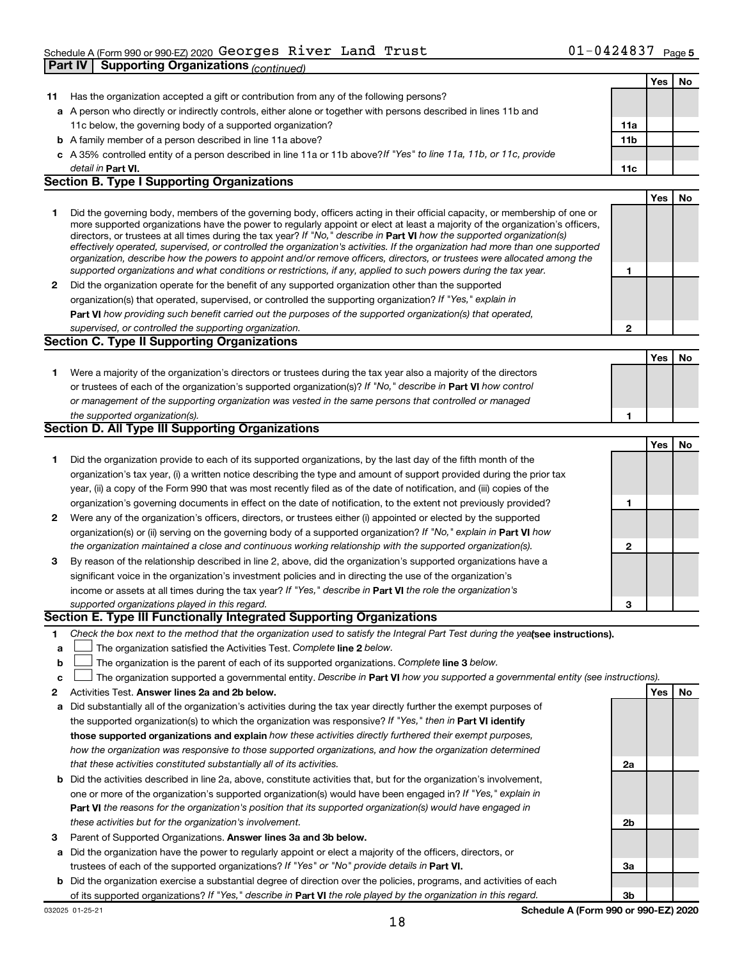### Schedule A (Form 990 or 990-EZ) 2020 GeOrges River Land Trust  $01-0424837$  Page Georges River Land Trust 11-0424837

**Part IV Supporting Organizations** *(continued)*

|        |                                                                                                                                                                                                                                                           |                | Yes | No |
|--------|-----------------------------------------------------------------------------------------------------------------------------------------------------------------------------------------------------------------------------------------------------------|----------------|-----|----|
| 11     | Has the organization accepted a gift or contribution from any of the following persons?                                                                                                                                                                   |                |     |    |
|        | a A person who directly or indirectly controls, either alone or together with persons described in lines 11b and                                                                                                                                          |                |     |    |
|        | 11c below, the governing body of a supported organization?                                                                                                                                                                                                | 11a            |     |    |
|        | <b>b</b> A family member of a person described in line 11a above?<br>c A 35% controlled entity of a person described in line 11a or 11b above? If "Yes" to line 11a, 11b, or 11c, provide                                                                 | 11b            |     |    |
|        | detail in Part VI.                                                                                                                                                                                                                                        | 11c            |     |    |
|        | <b>Section B. Type I Supporting Organizations</b>                                                                                                                                                                                                         |                |     |    |
|        |                                                                                                                                                                                                                                                           |                | Yes | No |
| 1.     | Did the governing body, members of the governing body, officers acting in their official capacity, or membership of one or                                                                                                                                |                |     |    |
|        | more supported organizations have the power to regularly appoint or elect at least a majority of the organization's officers,                                                                                                                             |                |     |    |
|        | directors, or trustees at all times during the tax year? If "No," describe in Part VI how the supported organization(s)<br>effectively operated, supervised, or controlled the organization's activities. If the organization had more than one supported |                |     |    |
|        | organization, describe how the powers to appoint and/or remove officers, directors, or trustees were allocated among the                                                                                                                                  |                |     |    |
|        | supported organizations and what conditions or restrictions, if any, applied to such powers during the tax year.                                                                                                                                          | 1              |     |    |
| 2      | Did the organization operate for the benefit of any supported organization other than the supported                                                                                                                                                       |                |     |    |
|        | organization(s) that operated, supervised, or controlled the supporting organization? If "Yes," explain in                                                                                                                                                |                |     |    |
|        | Part VI how providing such benefit carried out the purposes of the supported organization(s) that operated,                                                                                                                                               |                |     |    |
|        | supervised, or controlled the supporting organization.                                                                                                                                                                                                    | $\mathbf{2}$   |     |    |
|        | <b>Section C. Type II Supporting Organizations</b>                                                                                                                                                                                                        |                |     |    |
|        |                                                                                                                                                                                                                                                           |                | Yes | No |
| 1.     | Were a majority of the organization's directors or trustees during the tax year also a majority of the directors                                                                                                                                          |                |     |    |
|        | or trustees of each of the organization's supported organization(s)? If "No," describe in Part VI how control                                                                                                                                             |                |     |    |
|        | or management of the supporting organization was vested in the same persons that controlled or managed                                                                                                                                                    |                |     |    |
|        | the supported organization(s).<br>Section D. All Type III Supporting Organizations                                                                                                                                                                        | 1              |     |    |
|        |                                                                                                                                                                                                                                                           |                |     |    |
|        |                                                                                                                                                                                                                                                           |                | Yes | No |
| 1.     | Did the organization provide to each of its supported organizations, by the last day of the fifth month of the                                                                                                                                            |                |     |    |
|        | organization's tax year, (i) a written notice describing the type and amount of support provided during the prior tax<br>year, (ii) a copy of the Form 990 that was most recently filed as of the date of notification, and (iii) copies of the           |                |     |    |
|        | organization's governing documents in effect on the date of notification, to the extent not previously provided?                                                                                                                                          | 1              |     |    |
| 2      | Were any of the organization's officers, directors, or trustees either (i) appointed or elected by the supported                                                                                                                                          |                |     |    |
|        | organization(s) or (ii) serving on the governing body of a supported organization? If "No," explain in Part VI how                                                                                                                                        |                |     |    |
|        | the organization maintained a close and continuous working relationship with the supported organization(s).                                                                                                                                               | $\mathbf{2}$   |     |    |
| З      | By reason of the relationship described in line 2, above, did the organization's supported organizations have a                                                                                                                                           |                |     |    |
|        | significant voice in the organization's investment policies and in directing the use of the organization's                                                                                                                                                |                |     |    |
|        | income or assets at all times during the tax year? If "Yes," describe in Part VI the role the organization's                                                                                                                                              |                |     |    |
|        | supported organizations played in this regard.                                                                                                                                                                                                            | 3              |     |    |
|        | Section E. Type III Functionally Integrated Supporting Organizations                                                                                                                                                                                      |                |     |    |
| 1.     | Check the box next to the method that the organization used to satisfy the Integral Part Test during the yealsee instructions).                                                                                                                           |                |     |    |
| a      | The organization satisfied the Activities Test. Complete line 2 below.                                                                                                                                                                                    |                |     |    |
| b      | The organization is the parent of each of its supported organizations. Complete line 3 below.                                                                                                                                                             |                |     |    |
| c      | The organization supported a governmental entity. Describe in Part VI how you supported a governmental entity (see instructions).                                                                                                                         |                |     |    |
| 2      | Activities Test. Answer lines 2a and 2b below.                                                                                                                                                                                                            |                | Yes | No |
| a      | Did substantially all of the organization's activities during the tax year directly further the exempt purposes of                                                                                                                                        |                |     |    |
|        | the supported organization(s) to which the organization was responsive? If "Yes," then in Part VI identify                                                                                                                                                |                |     |    |
|        | those supported organizations and explain how these activities directly furthered their exempt purposes,                                                                                                                                                  |                |     |    |
|        | how the organization was responsive to those supported organizations, and how the organization determined                                                                                                                                                 |                |     |    |
|        | that these activities constituted substantially all of its activities.                                                                                                                                                                                    | 2a             |     |    |
| b      | Did the activities described in line 2a, above, constitute activities that, but for the organization's involvement,                                                                                                                                       |                |     |    |
|        | one or more of the organization's supported organization(s) would have been engaged in? If "Yes," explain in                                                                                                                                              |                |     |    |
|        | Part VI the reasons for the organization's position that its supported organization(s) would have engaged in                                                                                                                                              |                |     |    |
|        | these activities but for the organization's involvement.<br>Parent of Supported Organizations. Answer lines 3a and 3b below.                                                                                                                              | 2 <sub>b</sub> |     |    |
| 3<br>a | Did the organization have the power to regularly appoint or elect a majority of the officers, directors, or                                                                                                                                               |                |     |    |
|        | trustees of each of the supported organizations? If "Yes" or "No" provide details in Part VI.                                                                                                                                                             | За             |     |    |
| b      | Did the organization exercise a substantial degree of direction over the policies, programs, and activities of each                                                                                                                                       |                |     |    |
|        | of its supported organizations? If "Yes," describe in Part VI the role played by the organization in this regard.                                                                                                                                         | 3b             |     |    |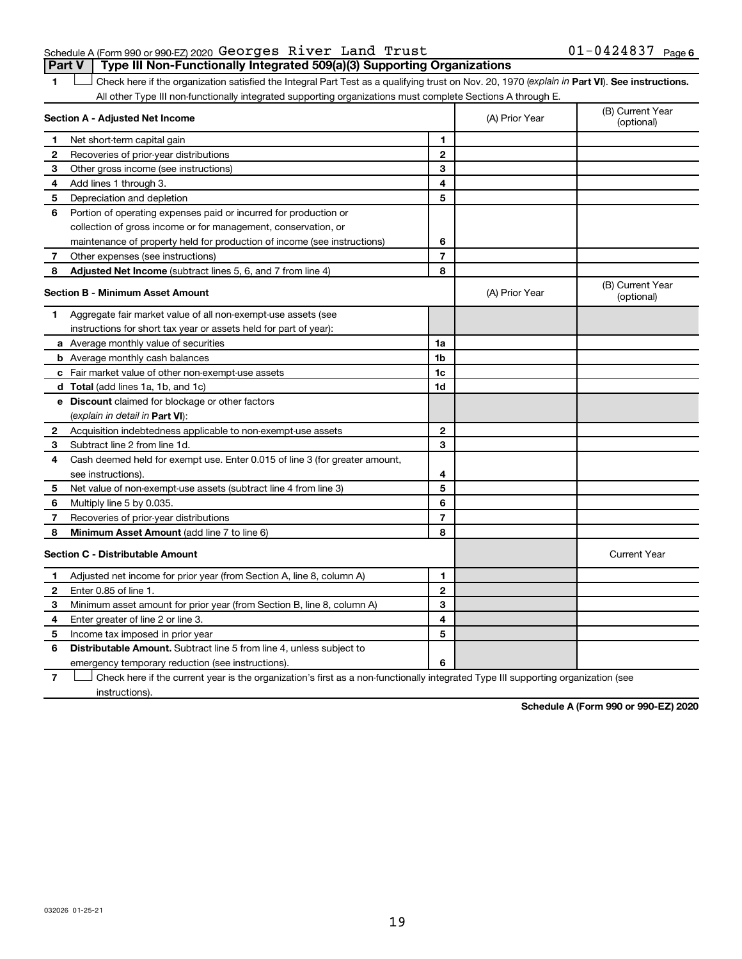### Schedule A (Form 990 or 990-EZ) 2020 Page Georges River Land Trust 01-0424837 **Part V Type III Non-Functionally Integrated 509(a)(3) Supporting Organizations**

1 **Letter See instructions.** Check here if the organization satisfied the Integral Part Test as a qualifying trust on Nov. 20, 1970 (*explain in* Part **VI**). See instructions. All other Type III non-functionally integrated supporting organizations must complete Sections A through E.

|                | Section A - Adjusted Net Income                                             |                | (A) Prior Year | (B) Current Year<br>(optional) |
|----------------|-----------------------------------------------------------------------------|----------------|----------------|--------------------------------|
| 1              | Net short-term capital gain                                                 | 1              |                |                                |
| 2              | Recoveries of prior-year distributions                                      | $\mathbf{2}$   |                |                                |
| 3              | Other gross income (see instructions)                                       | 3              |                |                                |
| 4              | Add lines 1 through 3.                                                      | 4              |                |                                |
| 5              | Depreciation and depletion                                                  | 5              |                |                                |
| 6              | Portion of operating expenses paid or incurred for production or            |                |                |                                |
|                | collection of gross income or for management, conservation, or              |                |                |                                |
|                | maintenance of property held for production of income (see instructions)    | 6              |                |                                |
| 7              | Other expenses (see instructions)                                           | $\overline{7}$ |                |                                |
| 8              | Adjusted Net Income (subtract lines 5, 6, and 7 from line 4)                | 8              |                |                                |
|                | <b>Section B - Minimum Asset Amount</b>                                     |                | (A) Prior Year | (B) Current Year<br>(optional) |
| 1.             | Aggregate fair market value of all non-exempt-use assets (see               |                |                |                                |
|                | instructions for short tax year or assets held for part of year):           |                |                |                                |
|                | a Average monthly value of securities                                       | 1a             |                |                                |
|                | <b>b</b> Average monthly cash balances                                      | 1 <sub>b</sub> |                |                                |
|                | c Fair market value of other non-exempt-use assets                          | 1c             |                |                                |
|                | d Total (add lines 1a, 1b, and 1c)                                          | 1 <sub>d</sub> |                |                                |
|                | e Discount claimed for blockage or other factors                            |                |                |                                |
|                | (explain in detail in <b>Part VI</b> ):                                     |                |                |                                |
| 2              | Acquisition indebtedness applicable to non-exempt-use assets                | $\mathbf{2}$   |                |                                |
| 3              | Subtract line 2 from line 1d.                                               | 3              |                |                                |
| 4              | Cash deemed held for exempt use. Enter 0.015 of line 3 (for greater amount, |                |                |                                |
|                | see instructions).                                                          | 4              |                |                                |
| 5              | Net value of non-exempt-use assets (subtract line 4 from line 3)            | 5              |                |                                |
| 6              | Multiply line 5 by 0.035.                                                   | 6              |                |                                |
| $\overline{7}$ | Recoveries of prior-year distributions                                      | 7              |                |                                |
| 8              | Minimum Asset Amount (add line 7 to line 6)                                 | 8              |                |                                |
|                | <b>Section C - Distributable Amount</b>                                     |                |                | <b>Current Year</b>            |
| 1              | Adjusted net income for prior year (from Section A, line 8, column A)       | 1              |                |                                |
| $\mathbf{2}$   | Enter 0.85 of line 1.                                                       | $\overline{2}$ |                |                                |
| 3              | Minimum asset amount for prior year (from Section B, line 8, column A)      | 3              |                |                                |
| 4              | Enter greater of line 2 or line 3.                                          | 4              |                |                                |
| 5              | Income tax imposed in prior year                                            | 5              |                |                                |
| 6              | Distributable Amount. Subtract line 5 from line 4, unless subject to        |                |                |                                |
|                | emergency temporary reduction (see instructions).                           | 6              |                |                                |
|                |                                                                             |                |                |                                |

**7** Check here if the current year is the organization's first as a non-functionally integrated Type III supporting organization (see † instructions).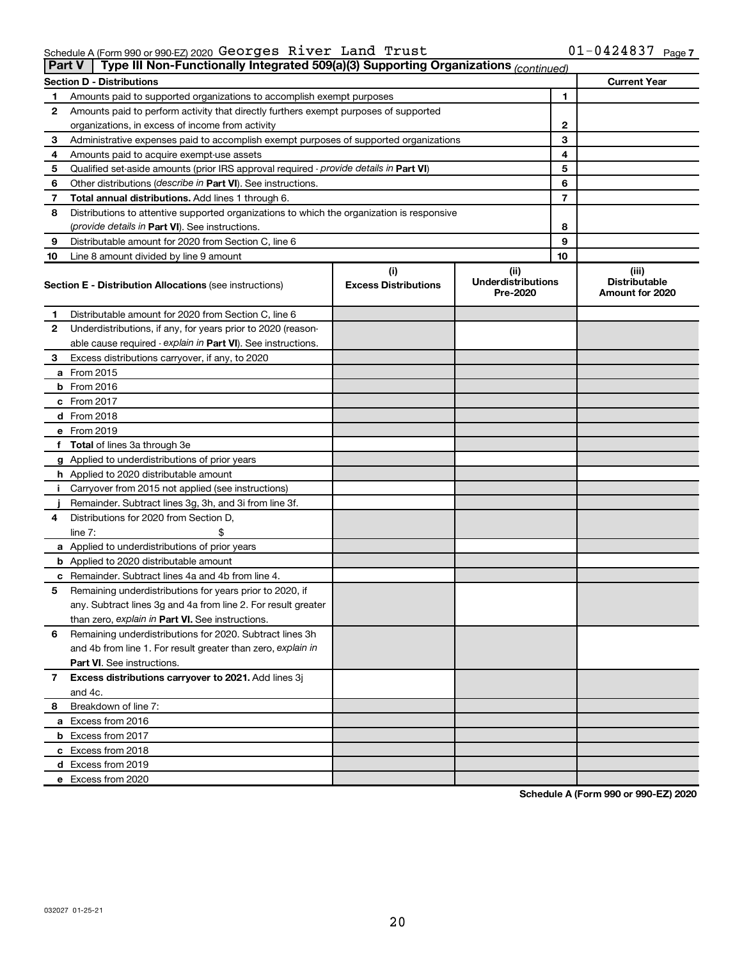| $01 - 0424837$ Page 7 |  |
|-----------------------|--|
|-----------------------|--|

| Part V | Type III Non-Functionally Integrated 509(a)(3) Supporting Organizations (continued)        |                                    |                                               |    |                                                  |
|--------|--------------------------------------------------------------------------------------------|------------------------------------|-----------------------------------------------|----|--------------------------------------------------|
|        | <b>Section D - Distributions</b>                                                           |                                    |                                               |    | <b>Current Year</b>                              |
| 1      | Amounts paid to supported organizations to accomplish exempt purposes                      |                                    |                                               | 1  |                                                  |
| 2      | Amounts paid to perform activity that directly furthers exempt purposes of supported       |                                    |                                               |    |                                                  |
|        | organizations, in excess of income from activity                                           |                                    |                                               | 2  |                                                  |
| 3      | Administrative expenses paid to accomplish exempt purposes of supported organizations      |                                    |                                               | 3  |                                                  |
| 4      | Amounts paid to acquire exempt-use assets                                                  |                                    |                                               | 4  |                                                  |
| 5      | Qualified set-aside amounts (prior IRS approval required - provide details in Part VI)     |                                    |                                               | 5  |                                                  |
| 6      | Other distributions (describe in Part VI). See instructions.                               |                                    |                                               | 6  |                                                  |
| 7      | Total annual distributions. Add lines 1 through 6.                                         |                                    |                                               | 7  |                                                  |
| 8      | Distributions to attentive supported organizations to which the organization is responsive |                                    |                                               |    |                                                  |
|        | ( <i>provide details in Part VI</i> ). See instructions.                                   |                                    |                                               | 8  |                                                  |
| 9      | Distributable amount for 2020 from Section C, line 6                                       |                                    |                                               | 9  |                                                  |
| 10     | Line 8 amount divided by line 9 amount                                                     |                                    |                                               | 10 |                                                  |
|        | <b>Section E - Distribution Allocations (see instructions)</b>                             | (i)<br><b>Excess Distributions</b> | (ii)<br><b>Underdistributions</b><br>Pre-2020 |    | (iii)<br><b>Distributable</b><br>Amount for 2020 |
| 1      | Distributable amount for 2020 from Section C, line 6                                       |                                    |                                               |    |                                                  |
| 2      | Underdistributions, if any, for years prior to 2020 (reason-                               |                                    |                                               |    |                                                  |
|        | able cause required - explain in Part VI). See instructions.                               |                                    |                                               |    |                                                  |
| З      | Excess distributions carryover, if any, to 2020                                            |                                    |                                               |    |                                                  |
|        | a From 2015                                                                                |                                    |                                               |    |                                                  |
|        | $b$ From 2016                                                                              |                                    |                                               |    |                                                  |
|        | c From 2017                                                                                |                                    |                                               |    |                                                  |
|        | <b>d</b> From 2018                                                                         |                                    |                                               |    |                                                  |
|        | e From 2019                                                                                |                                    |                                               |    |                                                  |
|        | f Total of lines 3a through 3e                                                             |                                    |                                               |    |                                                  |
|        | g Applied to underdistributions of prior years                                             |                                    |                                               |    |                                                  |
|        | <b>h</b> Applied to 2020 distributable amount                                              |                                    |                                               |    |                                                  |
| Ť.     | Carryover from 2015 not applied (see instructions)                                         |                                    |                                               |    |                                                  |
|        | Remainder. Subtract lines 3g, 3h, and 3i from line 3f.                                     |                                    |                                               |    |                                                  |
| 4      | Distributions for 2020 from Section D,                                                     |                                    |                                               |    |                                                  |
|        | line 7:                                                                                    |                                    |                                               |    |                                                  |
|        | a Applied to underdistributions of prior years                                             |                                    |                                               |    |                                                  |
|        | <b>b</b> Applied to 2020 distributable amount                                              |                                    |                                               |    |                                                  |
|        | c Remainder. Subtract lines 4a and 4b from line 4.                                         |                                    |                                               |    |                                                  |
| 5      | Remaining underdistributions for years prior to 2020, if                                   |                                    |                                               |    |                                                  |
|        | any. Subtract lines 3g and 4a from line 2. For result greater                              |                                    |                                               |    |                                                  |
|        | than zero, explain in Part VI. See instructions.                                           |                                    |                                               |    |                                                  |
| 6      | Remaining underdistributions for 2020. Subtract lines 3h                                   |                                    |                                               |    |                                                  |
|        | and 4b from line 1. For result greater than zero, explain in                               |                                    |                                               |    |                                                  |
|        | <b>Part VI.</b> See instructions.                                                          |                                    |                                               |    |                                                  |
| 7      | Excess distributions carryover to 2021. Add lines 3j                                       |                                    |                                               |    |                                                  |
|        | and 4c.                                                                                    |                                    |                                               |    |                                                  |
| 8      | Breakdown of line 7:                                                                       |                                    |                                               |    |                                                  |
|        | a Excess from 2016                                                                         |                                    |                                               |    |                                                  |
|        | <b>b</b> Excess from 2017                                                                  |                                    |                                               |    |                                                  |
|        | c Excess from 2018                                                                         |                                    |                                               |    |                                                  |
|        | d Excess from 2019                                                                         |                                    |                                               |    |                                                  |
|        | e Excess from 2020                                                                         |                                    |                                               |    |                                                  |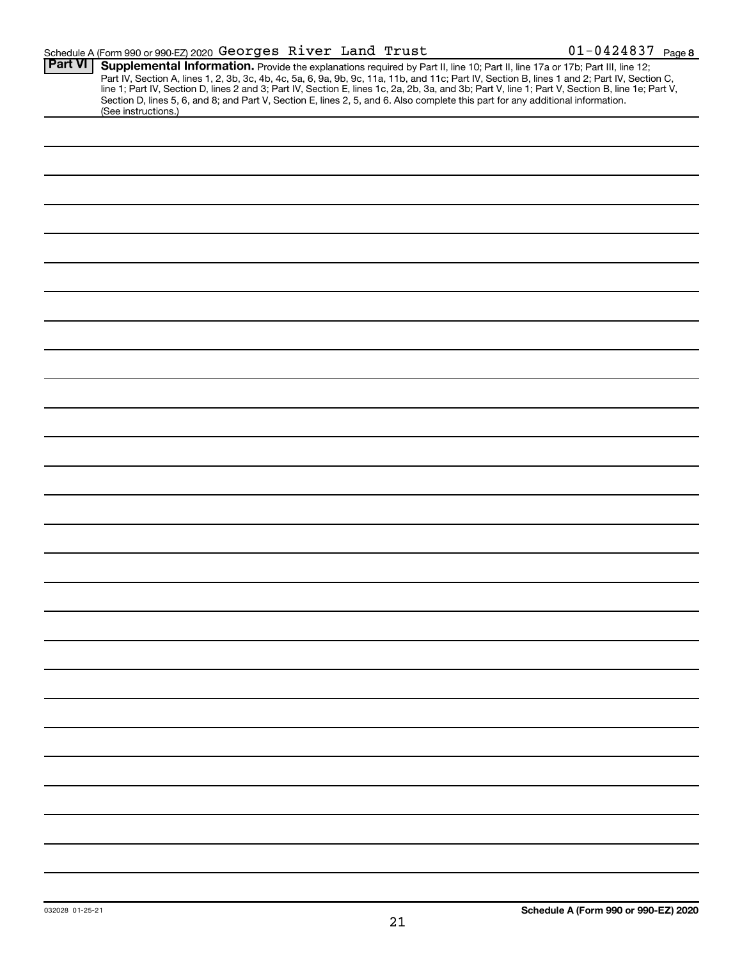|                | Schedule A (Form 990 or 990-EZ) 2020 Georges River Land Trust                                                                                                                                                                                                                                                                                                                                                                                                                                                                                                                               | $01 - 0424837$ Page 8 |
|----------------|---------------------------------------------------------------------------------------------------------------------------------------------------------------------------------------------------------------------------------------------------------------------------------------------------------------------------------------------------------------------------------------------------------------------------------------------------------------------------------------------------------------------------------------------------------------------------------------------|-----------------------|
| <b>Part VI</b> | Supplemental Information. Provide the explanations required by Part II, line 10; Part II, line 17a or 17b; Part III, line 12;<br>Part IV, Section A, lines 1, 2, 3b, 3c, 4b, 4c, 5a, 6, 9a, 9b, 9c, 11a, 11b, and 11c; Part IV, Section B, lines 1 and 2; Part IV, Section C,<br>line 1; Part IV, Section D, lines 2 and 3; Part IV, Section E, lines 1c, 2a, 2b, 3a, and 3b; Part V, line 1; Part V, Section B, line 1e; Part V,<br>Section D, lines 5, 6, and 8; and Part V, Section E, lines 2, 5, and 6. Also complete this part for any additional information.<br>(See instructions.) |                       |
|                |                                                                                                                                                                                                                                                                                                                                                                                                                                                                                                                                                                                             |                       |
|                |                                                                                                                                                                                                                                                                                                                                                                                                                                                                                                                                                                                             |                       |
|                |                                                                                                                                                                                                                                                                                                                                                                                                                                                                                                                                                                                             |                       |
|                |                                                                                                                                                                                                                                                                                                                                                                                                                                                                                                                                                                                             |                       |
|                |                                                                                                                                                                                                                                                                                                                                                                                                                                                                                                                                                                                             |                       |
|                |                                                                                                                                                                                                                                                                                                                                                                                                                                                                                                                                                                                             |                       |
|                |                                                                                                                                                                                                                                                                                                                                                                                                                                                                                                                                                                                             |                       |
|                |                                                                                                                                                                                                                                                                                                                                                                                                                                                                                                                                                                                             |                       |
|                |                                                                                                                                                                                                                                                                                                                                                                                                                                                                                                                                                                                             |                       |
|                |                                                                                                                                                                                                                                                                                                                                                                                                                                                                                                                                                                                             |                       |
|                |                                                                                                                                                                                                                                                                                                                                                                                                                                                                                                                                                                                             |                       |
|                |                                                                                                                                                                                                                                                                                                                                                                                                                                                                                                                                                                                             |                       |
|                |                                                                                                                                                                                                                                                                                                                                                                                                                                                                                                                                                                                             |                       |
|                |                                                                                                                                                                                                                                                                                                                                                                                                                                                                                                                                                                                             |                       |
|                |                                                                                                                                                                                                                                                                                                                                                                                                                                                                                                                                                                                             |                       |
|                |                                                                                                                                                                                                                                                                                                                                                                                                                                                                                                                                                                                             |                       |
|                |                                                                                                                                                                                                                                                                                                                                                                                                                                                                                                                                                                                             |                       |
|                |                                                                                                                                                                                                                                                                                                                                                                                                                                                                                                                                                                                             |                       |
|                |                                                                                                                                                                                                                                                                                                                                                                                                                                                                                                                                                                                             |                       |
|                |                                                                                                                                                                                                                                                                                                                                                                                                                                                                                                                                                                                             |                       |
|                |                                                                                                                                                                                                                                                                                                                                                                                                                                                                                                                                                                                             |                       |
|                |                                                                                                                                                                                                                                                                                                                                                                                                                                                                                                                                                                                             |                       |
|                |                                                                                                                                                                                                                                                                                                                                                                                                                                                                                                                                                                                             |                       |
|                |                                                                                                                                                                                                                                                                                                                                                                                                                                                                                                                                                                                             |                       |
|                |                                                                                                                                                                                                                                                                                                                                                                                                                                                                                                                                                                                             |                       |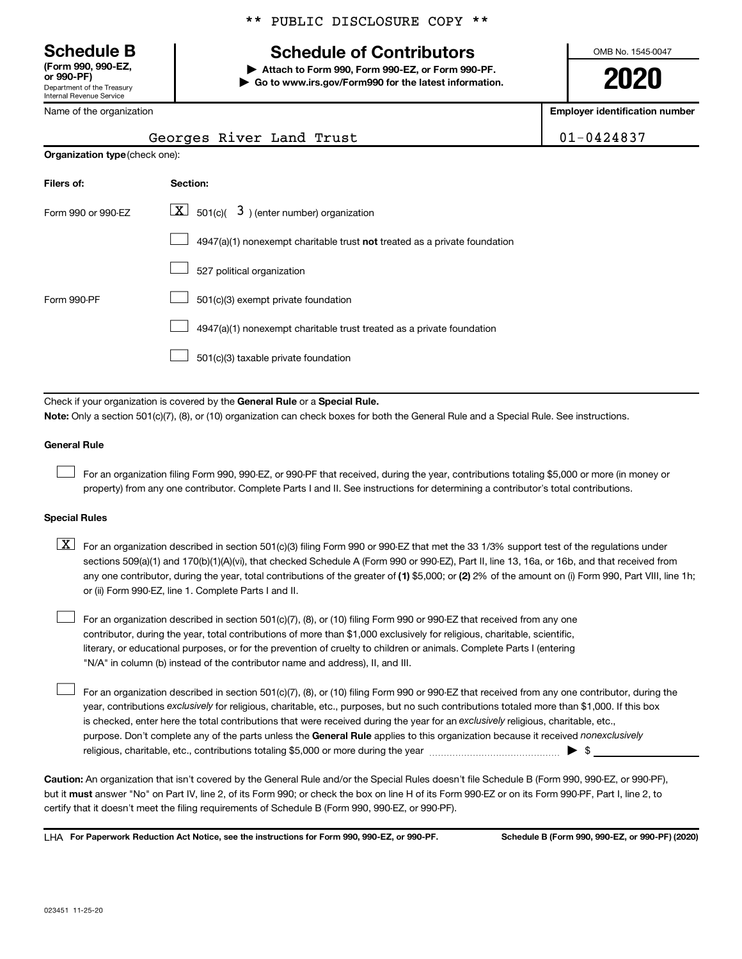Department of the Treasury Internal Revenue Service **(Form 990, 990-EZ,** \*\* PUBLIC DISCLOSURE COPY \*\*

# **Schedule B Schedule of Contributors**

**or 990-PF) | Attach to Form 990, Form 990-EZ, or Form 990-PF. | Go to www.irs.gov/Form990 for the latest information.** OMB No. 1545-0047

**2020**

**Employer identification number**

| Georges River Land Trust |  | $101 - 0424837$ |
|--------------------------|--|-----------------|
|--------------------------|--|-----------------|

| Name of the organization |  |
|--------------------------|--|
|--------------------------|--|

| <b>Organization type</b> (check one): |                                                                           |  |  |
|---------------------------------------|---------------------------------------------------------------------------|--|--|
| Filers of:                            | Section:                                                                  |  |  |
| Form 990 or 990-EZ                    | $\lfloor x \rfloor$ 501(c)( 3) (enter number) organization                |  |  |
|                                       | 4947(a)(1) nonexempt charitable trust not treated as a private foundation |  |  |
|                                       | 527 political organization                                                |  |  |
| Form 990-PF                           | 501(c)(3) exempt private foundation                                       |  |  |
|                                       | 4947(a)(1) nonexempt charitable trust treated as a private foundation     |  |  |
|                                       | 501(c)(3) taxable private foundation                                      |  |  |

Check if your organization is covered by the General Rule or a Special Rule.

**Note:**  Only a section 501(c)(7), (8), or (10) organization can check boxes for both the General Rule and a Special Rule. See instructions.

### **General Rule**

 $\Box$ 

 $\Box$ 

For an organization filing Form 990, 990-EZ, or 990-PF that received, during the year, contributions totaling \$5,000 or more (in money or property) from any one contributor. Complete Parts I and II. See instructions for determining a contributor's total contributions.

### **Special Rules**

any one contributor, during the year, total contributions of the greater of (1) \$5,000; or (2) 2% of the amount on (i) Form 990, Part VIII, line 1h;  $\boxed{\text{X}}$  For an organization described in section 501(c)(3) filing Form 990 or 990-EZ that met the 33 1/3% support test of the regulations under sections 509(a)(1) and 170(b)(1)(A)(vi), that checked Schedule A (Form 990 or 990-EZ), Part II, line 13, 16a, or 16b, and that received from or (ii) Form 990-EZ, line 1. Complete Parts I and II.

For an organization described in section 501(c)(7), (8), or (10) filing Form 990 or 990-EZ that received from any one contributor, during the year, total contributions of more than \$1,000 exclusively for religious, charitable, scientific, literary, or educational purposes, or for the prevention of cruelty to children or animals. Complete Parts I (entering "N/A" in column (b) instead of the contributor name and address), II, and III.  $\Box$ 

purpose. Don't complete any of the parts unless the General Rule applies to this organization because it received nonexclusively year, contributions exclusively for religious, charitable, etc., purposes, but no such contributions totaled more than \$1,000. If this box is checked, enter here the total contributions that were received during the year for an exclusively religious, charitable, etc., For an organization described in section 501(c)(7), (8), or (10) filing Form 990 or 990-EZ that received from any one contributor, during the religious, charitable, etc., contributions totaling \$5,000 or more during the year  $~\ldots\ldots\ldots\ldots\ldots\ldots\ldots\ldots\blacktriangleright~$ \$

**Caution:**  An organization that isn't covered by the General Rule and/or the Special Rules doesn't file Schedule B (Form 990, 990-EZ, or 990-PF),  **must** but it answer "No" on Part IV, line 2, of its Form 990; or check the box on line H of its Form 990-EZ or on its Form 990-PF, Part I, line 2, to certify that it doesn't meet the filing requirements of Schedule B (Form 990, 990-EZ, or 990-PF).

**For Paperwork Reduction Act Notice, see the instructions for Form 990, 990-EZ, or 990-PF. Schedule B (Form 990, 990-EZ, or 990-PF) (2020)** LHA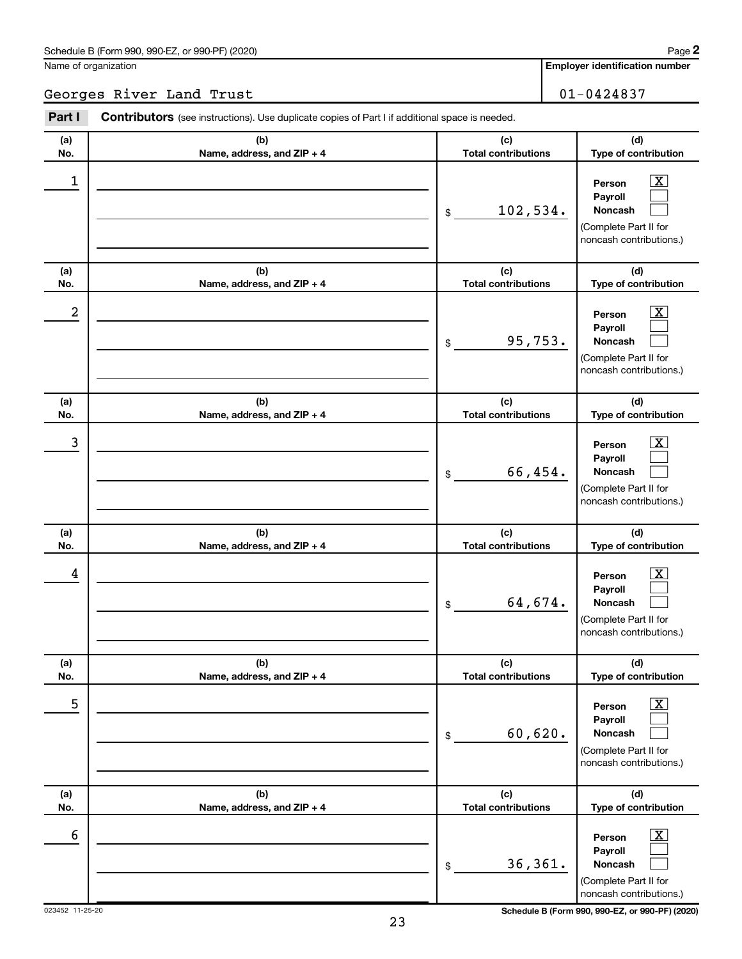Name of organization

|            | Georges River Land Trust                                                                              |                                   | $01 - 0424837$                                                                                                     |
|------------|-------------------------------------------------------------------------------------------------------|-----------------------------------|--------------------------------------------------------------------------------------------------------------------|
| Part I     | <b>Contributors</b> (see instructions). Use duplicate copies of Part I if additional space is needed. |                                   |                                                                                                                    |
| (a)<br>No. | (b)<br>Name, address, and ZIP + 4                                                                     | (c)<br><b>Total contributions</b> | (d)<br>Type of contribution                                                                                        |
| 1          |                                                                                                       | 102,534.<br>\$                    | $\overline{\mathbf{X}}$<br>Person<br>Payroll<br><b>Noncash</b><br>(Complete Part II for<br>noncash contributions.) |
| (a)<br>No. | (b)<br>Name, address, and ZIP + 4                                                                     | (c)<br><b>Total contributions</b> | (d)<br>Type of contribution                                                                                        |
| 2          |                                                                                                       | 95,753.<br>\$                     | $\overline{\mathbf{X}}$<br>Person<br>Payroll<br><b>Noncash</b><br>(Complete Part II for<br>noncash contributions.) |
| (a)<br>No. | (b)<br>Name, address, and ZIP + 4                                                                     | (c)<br><b>Total contributions</b> | (d)<br>Type of contribution                                                                                        |
| 3          |                                                                                                       | 66,454.<br>\$                     | $\overline{\mathbf{X}}$<br>Person<br>Payroll<br><b>Noncash</b><br>(Complete Part II for<br>noncash contributions.) |
| (a)<br>No. | (b)<br>Name, address, and ZIP + 4                                                                     | (c)<br><b>Total contributions</b> | (d)<br>Type of contribution                                                                                        |
| 4          |                                                                                                       | 64,674.<br>\$                     | $\mathbf{X}$<br>Person<br>Payroll<br><b>Noncash</b><br>(Complete Part II for<br>noncash contributions.)            |
| (a)<br>No. | (b)<br>Name, address, and ZIP + 4                                                                     | (c)<br><b>Total contributions</b> | (d)<br>Type of contribution                                                                                        |
| 5          |                                                                                                       | 60,620.<br>\$                     | $\boxed{\textbf{X}}$<br>Person<br>Payroll<br>Noncash<br>(Complete Part II for<br>noncash contributions.)           |
| (a)<br>No. | (b)<br>Name, address, and ZIP + 4                                                                     | (c)<br><b>Total contributions</b> | (d)<br>Type of contribution                                                                                        |
| 6          |                                                                                                       | 36, 361.<br>\$                    | $\boxed{\textbf{X}}$<br>Person<br>Payroll<br>Noncash<br>(Complete Part II for                                      |

023452 11-25-20 **Schedule B (Form 990, 990-EZ, or 990-PF) (2020)**

noncash contributions.)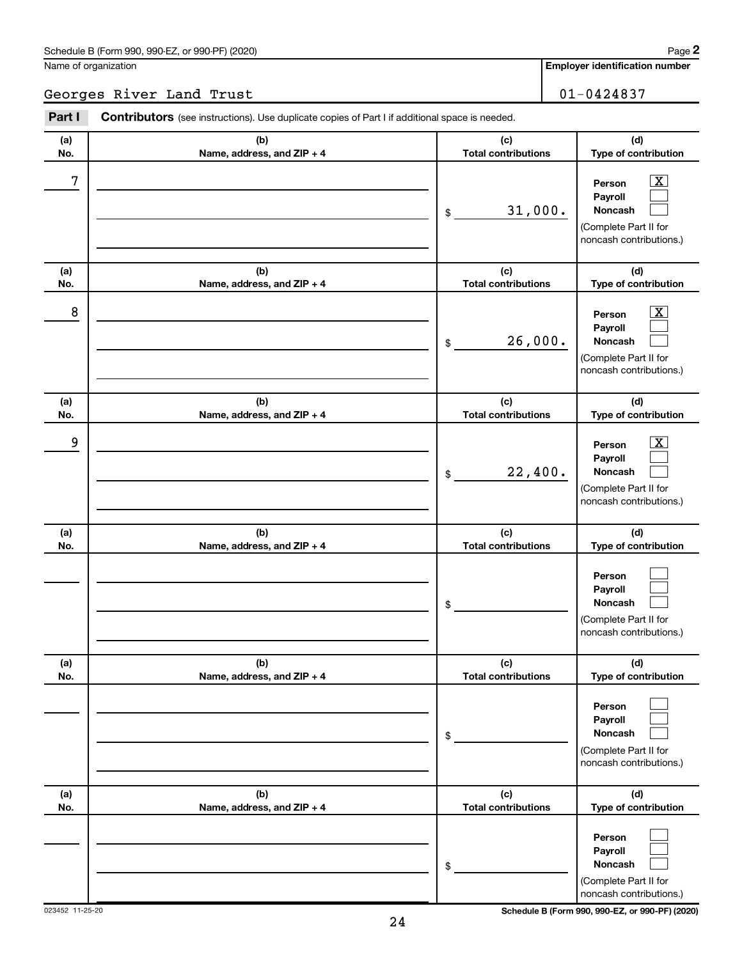Name of organization

**Employer identification number**

Georges River Land Trust 101-0424837

| Part I     | <b>Contributors</b> (see instructions). Use duplicate copies of Part I if additional space is needed. |                                                                                                                                                     |  |  |
|------------|-------------------------------------------------------------------------------------------------------|-----------------------------------------------------------------------------------------------------------------------------------------------------|--|--|
| (a)<br>No. | (b)<br>Name, address, and ZIP + 4                                                                     | (d)<br>(c)<br>Type of contribution<br><b>Total contributions</b>                                                                                    |  |  |
| 7          |                                                                                                       | $\overline{\mathbf{X}}$<br>Person<br>Payroll<br>31,000.<br><b>Noncash</b><br>\$<br>(Complete Part II for<br>noncash contributions.)                 |  |  |
| (a)<br>No. | (b)<br>Name, address, and ZIP + 4                                                                     | (c)<br>(d)<br>Type of contribution<br><b>Total contributions</b>                                                                                    |  |  |
| 8          |                                                                                                       | $\overline{\mathbf{X}}$<br>Person<br>Payroll<br>26,000.<br><b>Noncash</b><br>\$<br>(Complete Part II for<br>noncash contributions.)                 |  |  |
| (a)<br>No. | (b)<br>Name, address, and ZIP + 4                                                                     | (c)<br>(d)<br><b>Total contributions</b><br>Type of contribution                                                                                    |  |  |
| 9          |                                                                                                       | $\overline{\text{X}}$<br>Person<br>Payroll<br>22,400.<br><b>Noncash</b><br>\$<br>(Complete Part II for<br>noncash contributions.)                   |  |  |
| (a)        | (b)                                                                                                   | (c)<br>(d)                                                                                                                                          |  |  |
| No.        | Name, address, and ZIP + 4                                                                            | <b>Total contributions</b><br>Type of contribution<br>Person<br>Payroll<br><b>Noncash</b><br>\$<br>(Complete Part II for<br>noncash contributions.) |  |  |
| (a)<br>No. | (b)<br>Name, address, and ZIP + 4                                                                     | (c)<br>(d)<br>Type of contribution<br><b>Total contributions</b>                                                                                    |  |  |
|            |                                                                                                       | Person<br>Payroll<br><b>Noncash</b><br>\$<br>(Complete Part II for<br>noncash contributions.)                                                       |  |  |
| (a)<br>No. | (b)<br>Name, address, and ZIP + 4                                                                     | (c)<br>(d)<br><b>Total contributions</b><br>Type of contribution                                                                                    |  |  |
|            |                                                                                                       | Person<br>Payroll<br><b>Noncash</b><br>\$<br>(Complete Part II for<br>noncash contributions.)                                                       |  |  |

023452 11-25-20 **Schedule B (Form 990, 990-EZ, or 990-PF) (2020)**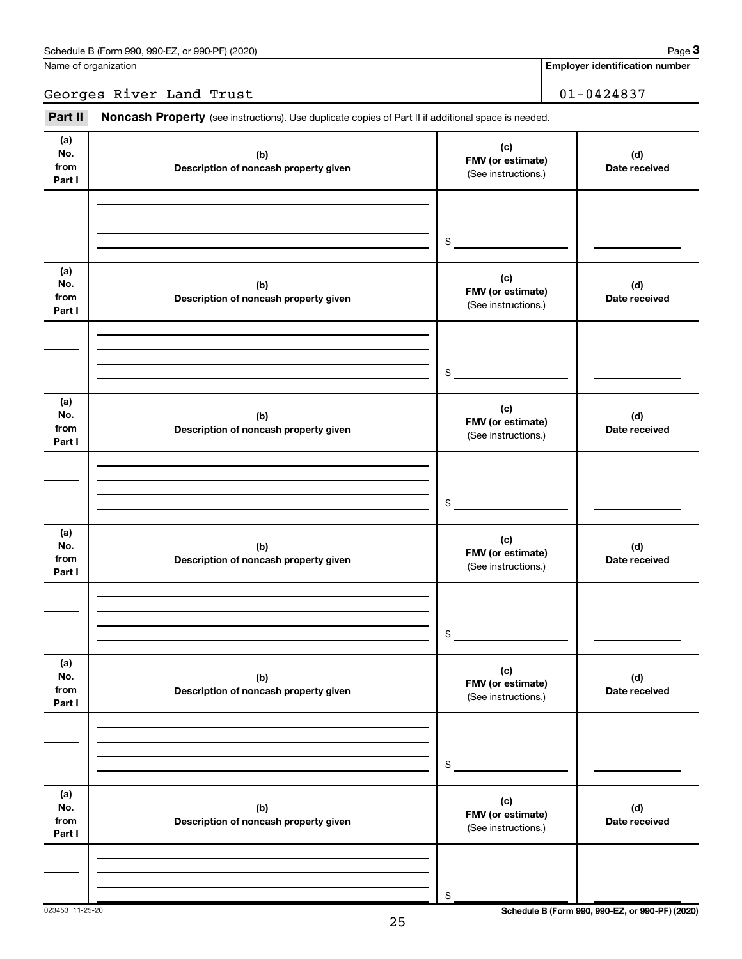Name of organization

**Employer identification number**

Georges River Land Trust 101-0424837

Part II Noncash Property (see instructions). Use duplicate copies of Part II if additional space is needed.

| (a)<br>No.<br>from<br>Part I | (b)<br>Description of noncash property given | (c)<br>FMV (or estimate)<br>(See instructions.)   | (d)<br>Date received |
|------------------------------|----------------------------------------------|---------------------------------------------------|----------------------|
|                              |                                              |                                                   |                      |
|                              |                                              | \$                                                |                      |
| (a)<br>No.<br>from<br>Part I | (b)<br>Description of noncash property given | (c)<br>FMV (or estimate)<br>(See instructions.)   | (d)<br>Date received |
|                              |                                              | \$                                                |                      |
| (a)<br>No.<br>from<br>Part I | (b)<br>Description of noncash property given | (c)<br>FMV (or estimate)<br>(See instructions.)   | (d)<br>Date received |
|                              |                                              | \$                                                |                      |
|                              |                                              |                                                   |                      |
| (a)<br>No.<br>from<br>Part I | (b)<br>Description of noncash property given | (c)<br>FMV (or estimate)<br>(See instructions.)   | (d)<br>Date received |
|                              |                                              |                                                   |                      |
|                              |                                              |                                                   |                      |
|                              |                                              | \$                                                |                      |
|                              |                                              |                                                   |                      |
| (a)<br>No.<br>from<br>Part I | (b)<br>Description of noncash property given | (c)<br>FMV (or estimate)<br>(See instructions.)   | (d)<br>Date received |
|                              |                                              |                                                   |                      |
|                              |                                              |                                                   |                      |
|                              |                                              | $\, \, \raisebox{-1.5pt}{\text{\circle*{1.5}}}\,$ |                      |
| (a)<br>No.<br>from<br>Part I | (b)<br>Description of noncash property given | (c)<br>FMV (or estimate)<br>(See instructions.)   | (d)<br>Date received |
|                              |                                              |                                                   |                      |
|                              |                                              |                                                   |                      |
|                              |                                              | \$                                                |                      |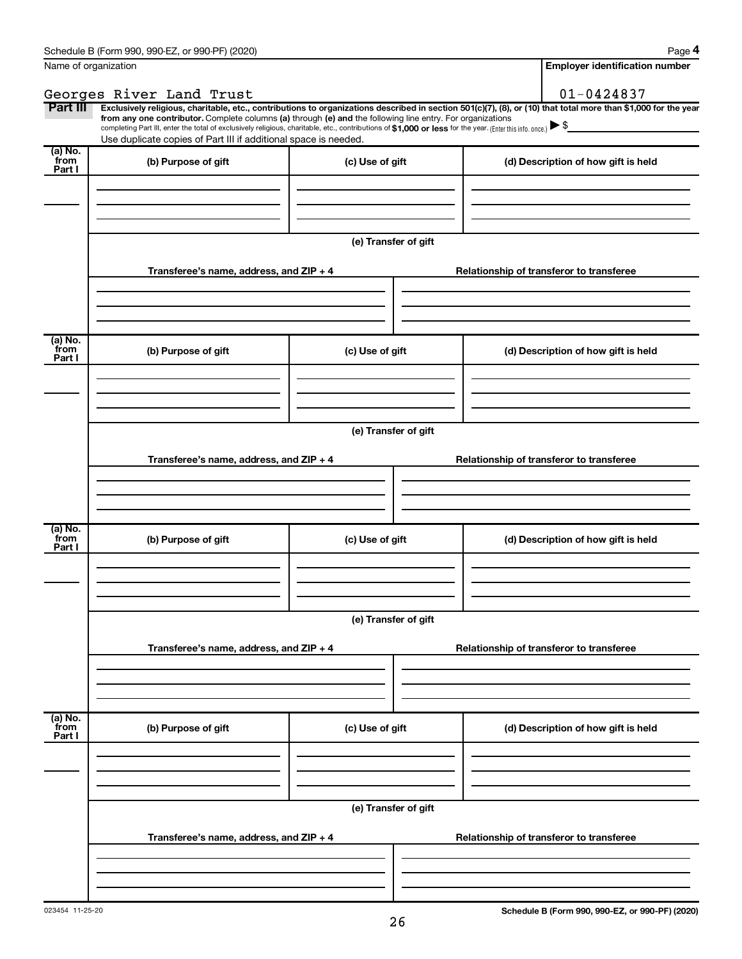| Name of organization      |                                                                                                                                                                                                                                                                                                                                                                                                                                                                                                             |                      | <b>Employer identification number</b>    |
|---------------------------|-------------------------------------------------------------------------------------------------------------------------------------------------------------------------------------------------------------------------------------------------------------------------------------------------------------------------------------------------------------------------------------------------------------------------------------------------------------------------------------------------------------|----------------------|------------------------------------------|
|                           | Georges River Land Trust                                                                                                                                                                                                                                                                                                                                                                                                                                                                                    |                      | $01 - 0424837$                           |
| Part III                  | Exclusively religious, charitable, etc., contributions to organizations described in section 501(c)(7), (8), or (10) that total more than \$1,000 for the year<br>from any one contributor. Complete columns (a) through (e) and the following line entry. For organizations<br>completing Part III, enter the total of exclusively religious, charitable, etc., contributions of \$1,000 or less for the year. (Enter this info. once.)<br>Use duplicate copies of Part III if additional space is needed. |                      |                                          |
| (a) No.<br>from<br>Part I | (b) Purpose of gift                                                                                                                                                                                                                                                                                                                                                                                                                                                                                         | (c) Use of gift      | (d) Description of how gift is held      |
|                           |                                                                                                                                                                                                                                                                                                                                                                                                                                                                                                             | (e) Transfer of gift |                                          |
|                           | Transferee's name, address, and ZIP + 4                                                                                                                                                                                                                                                                                                                                                                                                                                                                     |                      | Relationship of transferor to transferee |
| (a) No.<br>from<br>Part I | (b) Purpose of gift                                                                                                                                                                                                                                                                                                                                                                                                                                                                                         | (c) Use of gift      | (d) Description of how gift is held      |
|                           | Transferee's name, address, and ZIP + 4                                                                                                                                                                                                                                                                                                                                                                                                                                                                     | (e) Transfer of gift | Relationship of transferor to transferee |
|                           |                                                                                                                                                                                                                                                                                                                                                                                                                                                                                                             |                      |                                          |
| (a) No.<br>from<br>Part I | (b) Purpose of gift                                                                                                                                                                                                                                                                                                                                                                                                                                                                                         | (c) Use of gift      | (d) Description of how gift is held      |
|                           | Transferee's name, address, and ZIP + 4                                                                                                                                                                                                                                                                                                                                                                                                                                                                     | (e) Transfer of gift | Relationship of transferor to transferee |
|                           |                                                                                                                                                                                                                                                                                                                                                                                                                                                                                                             |                      |                                          |
| (a) No.<br>from<br>Part I | (b) Purpose of gift                                                                                                                                                                                                                                                                                                                                                                                                                                                                                         | (c) Use of gift      | (d) Description of how gift is held      |
|                           |                                                                                                                                                                                                                                                                                                                                                                                                                                                                                                             | (e) Transfer of gift |                                          |
|                           | Transferee's name, address, and ZIP + 4                                                                                                                                                                                                                                                                                                                                                                                                                                                                     |                      | Relationship of transferor to transferee |
|                           |                                                                                                                                                                                                                                                                                                                                                                                                                                                                                                             |                      |                                          |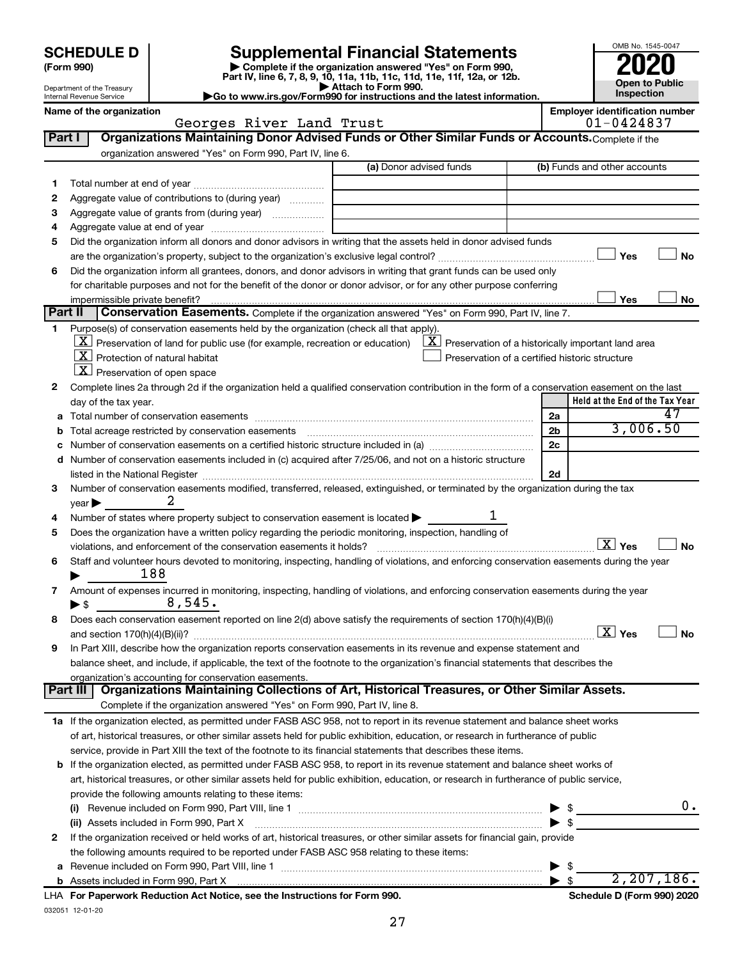# **SCHEDULE D Supplemental Financial Statements**<br> **Form 990 2020**<br> **Part IV** line 6.7.8.9.10, 11a, 11b, 11d, 11d, 11d, 11d, 11d, 12a, 0r, 12b

**(Form 990) | Complete if the organization answered "Yes" on Form 990, Part IV, line 6, 7, 8, 9, 10, 11a, 11b, 11c, 11d, 11e, 11f, 12a, or 12b.**

**| Attach to Form 990. |Go to www.irs.gov/Form990 for instructions and the latest information.**



Department of the Treasury Internal Revenue Service

Name of the organization<br> **Employer identification number**<br> **Employer identification number**<br> **Employer identification number**<br> **Employer identification number** Georges River Land Trust

| Part I | Organizations Maintaining Donor Advised Funds or Other Similar Funds or Accounts. Complete if the                                              |                         |                                                                                    |
|--------|------------------------------------------------------------------------------------------------------------------------------------------------|-------------------------|------------------------------------------------------------------------------------|
|        | organization answered "Yes" on Form 990, Part IV, line 6.                                                                                      |                         |                                                                                    |
|        |                                                                                                                                                | (a) Donor advised funds | (b) Funds and other accounts                                                       |
| 1      |                                                                                                                                                |                         |                                                                                    |
| 2      | Aggregate value of contributions to (during year)                                                                                              |                         |                                                                                    |
| з      | Aggregate value of grants from (during year)                                                                                                   |                         |                                                                                    |
| 4      |                                                                                                                                                |                         |                                                                                    |
| 5      | Did the organization inform all donors and donor advisors in writing that the assets held in donor advised funds                               |                         |                                                                                    |
|        |                                                                                                                                                |                         | Yes<br>No                                                                          |
| 6      | Did the organization inform all grantees, donors, and donor advisors in writing that grant funds can be used only                              |                         |                                                                                    |
|        | for charitable purposes and not for the benefit of the donor or donor advisor, or for any other purpose conferring                             |                         |                                                                                    |
|        | impermissible private benefit?                                                                                                                 |                         | Yes<br>No                                                                          |
|        | Part II<br>Conservation Easements. Complete if the organization answered "Yes" on Form 990, Part IV, line 7.                                   |                         |                                                                                    |
| 1      | Purpose(s) of conservation easements held by the organization (check all that apply).                                                          |                         |                                                                                    |
|        | $\lfloor x \rfloor$ Preservation of land for public use (for example, recreation or education)                                                 |                         | $\lfloor \underline{X} \rfloor$ Preservation of a historically important land area |
|        | $\lfloor X \rfloor$ Protection of natural habitat                                                                                              |                         | Preservation of a certified historic structure                                     |
|        | $\lfloor X \rfloor$ Preservation of open space                                                                                                 |                         |                                                                                    |
| 2      | Complete lines 2a through 2d if the organization held a qualified conservation contribution in the form of a conservation easement on the last |                         |                                                                                    |
|        | day of the tax year.                                                                                                                           |                         | Held at the End of the Tax Year                                                    |
| а      |                                                                                                                                                |                         | 47<br>2a                                                                           |
|        |                                                                                                                                                |                         | 3,006.50<br>2 <sub>b</sub>                                                         |
|        |                                                                                                                                                |                         | 2c                                                                                 |
|        | Number of conservation easements included in (c) acquired after 7/25/06, and not on a historic structure                                       |                         |                                                                                    |
|        |                                                                                                                                                |                         | 2d                                                                                 |
| 3      | Number of conservation easements modified, transferred, released, extinguished, or terminated by the organization during the tax               |                         |                                                                                    |
|        | 2<br>year                                                                                                                                      |                         |                                                                                    |
| 4      | Number of states where property subject to conservation easement is located >                                                                  | ı                       |                                                                                    |
| 5      | Does the organization have a written policy regarding the periodic monitoring, inspection, handling of                                         |                         |                                                                                    |
|        | violations, and enforcement of the conservation easements it holds?                                                                            |                         | $\boxed{\text{X}}$ Yes<br><b>No</b>                                                |
| 6      | Staff and volunteer hours devoted to monitoring, inspecting, handling of violations, and enforcing conservation easements during the year      |                         |                                                                                    |
|        | 188                                                                                                                                            |                         |                                                                                    |
| 7      | Amount of expenses incurred in monitoring, inspecting, handling of violations, and enforcing conservation easements during the year<br>8,545.  |                         |                                                                                    |
| 8      | $\blacktriangleright$ \$<br>Does each conservation easement reported on line 2(d) above satisfy the requirements of section 170(h)(4)(B)(i)    |                         |                                                                                    |
|        |                                                                                                                                                |                         | $\boxed{\text{X}}$ Yes<br>No                                                       |
| 9      | In Part XIII, describe how the organization reports conservation easements in its revenue and expense statement and                            |                         |                                                                                    |
|        | balance sheet, and include, if applicable, the text of the footnote to the organization's financial statements that describes the              |                         |                                                                                    |
|        | organization's accounting for conservation easements.                                                                                          |                         |                                                                                    |
|        | Organizations Maintaining Collections of Art, Historical Treasures, or Other Similar Assets.<br>Part III                                       |                         |                                                                                    |
|        | Complete if the organization answered "Yes" on Form 990, Part IV, line 8.                                                                      |                         |                                                                                    |
|        | 1a If the organization elected, as permitted under FASB ASC 958, not to report in its revenue statement and balance sheet works                |                         |                                                                                    |
|        | of art, historical treasures, or other similar assets held for public exhibition, education, or research in furtherance of public              |                         |                                                                                    |
|        | service, provide in Part XIII the text of the footnote to its financial statements that describes these items.                                 |                         |                                                                                    |
|        | <b>b</b> If the organization elected, as permitted under FASB ASC 958, to report in its revenue statement and balance sheet works of           |                         |                                                                                    |
|        | art, historical treasures, or other similar assets held for public exhibition, education, or research in furtherance of public service,        |                         |                                                                                    |
|        | provide the following amounts relating to these items:                                                                                         |                         |                                                                                    |
|        |                                                                                                                                                |                         | 0.<br>\$                                                                           |
|        | (ii) Assets included in Form 990, Part X                                                                                                       |                         | -\$                                                                                |
| 2      | If the organization received or held works of art, historical treasures, or other similar assets for financial gain, provide                   |                         |                                                                                    |
|        | the following amounts required to be reported under FASB ASC 958 relating to these items:                                                      |                         |                                                                                    |
| а      |                                                                                                                                                |                         | \$                                                                                 |
|        |                                                                                                                                                |                         |                                                                                    |

032051 12-01-20 **For Paperwork Reduction Act Notice, see the Instructions for Form 990. Schedule D (Form 990) 2020** LHA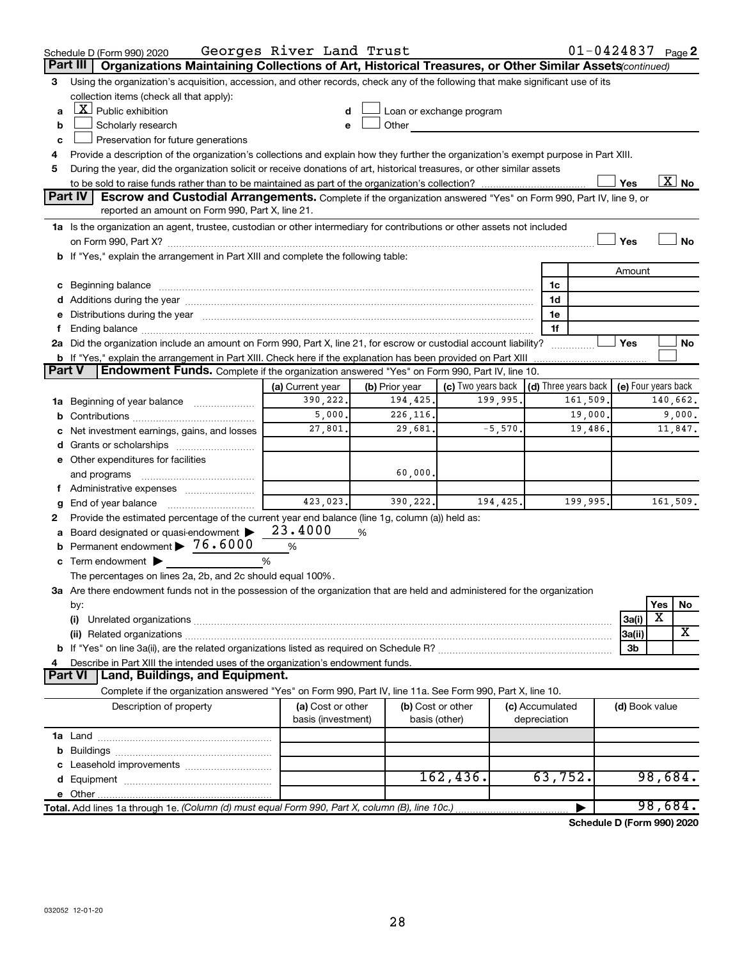|         | Schedule D (Form 990) 2020                                                                                                                                                                                                     | Georges River Land Trust                              |                |                          |                                      | $01 - 0424837$ Page 2 |                     |          |                          |
|---------|--------------------------------------------------------------------------------------------------------------------------------------------------------------------------------------------------------------------------------|-------------------------------------------------------|----------------|--------------------------|--------------------------------------|-----------------------|---------------------|----------|--------------------------|
|         | Organizations Maintaining Collections of Art, Historical Treasures, or Other Similar Assets (continued)<br>Part III                                                                                                            |                                                       |                |                          |                                      |                       |                     |          |                          |
| 3       | Using the organization's acquisition, accession, and other records, check any of the following that make significant use of its                                                                                                |                                                       |                |                          |                                      |                       |                     |          |                          |
|         | collection items (check all that apply):                                                                                                                                                                                       |                                                       |                |                          |                                      |                       |                     |          |                          |
| a       | $X$ Public exhibition                                                                                                                                                                                                          |                                                       |                | Loan or exchange program |                                      |                       |                     |          |                          |
| b       | Scholarly research                                                                                                                                                                                                             |                                                       | Other          |                          |                                      |                       |                     |          |                          |
| c       | Preservation for future generations                                                                                                                                                                                            |                                                       |                |                          |                                      |                       |                     |          |                          |
| 4       | Provide a description of the organization's collections and explain how they further the organization's exempt purpose in Part XIII.                                                                                           |                                                       |                |                          |                                      |                       |                     |          |                          |
| 5       | During the year, did the organization solicit or receive donations of art, historical treasures, or other similar assets                                                                                                       |                                                       |                |                          |                                      |                       |                     |          |                          |
|         |                                                                                                                                                                                                                                |                                                       |                |                          |                                      |                       | Yes                 |          | $\overline{\text{X}}$ No |
| Part IV | <b>Escrow and Custodial Arrangements.</b> Complete if the organization answered "Yes" on Form 990, Part IV, line 9, or<br>reported an amount on Form 990, Part X, line 21.                                                     |                                                       |                |                          |                                      |                       |                     |          |                          |
|         |                                                                                                                                                                                                                                |                                                       |                |                          |                                      |                       |                     |          |                          |
|         | 1a Is the organization an agent, trustee, custodian or other intermediary for contributions or other assets not included                                                                                                       |                                                       |                |                          |                                      |                       |                     |          |                          |
|         |                                                                                                                                                                                                                                |                                                       |                |                          |                                      |                       | Yes                 |          | <b>No</b>                |
|         | b If "Yes," explain the arrangement in Part XIII and complete the following table:                                                                                                                                             |                                                       |                |                          |                                      |                       |                     |          |                          |
|         |                                                                                                                                                                                                                                |                                                       |                |                          |                                      |                       | Amount              |          |                          |
|         | c Beginning balance measurements and the contract of the contract of the contract of the contract of the contract of the contract of the contract of the contract of the contract of the contract of the contract of the contr |                                                       |                |                          | 1c<br>1d                             |                       |                     |          |                          |
|         |                                                                                                                                                                                                                                |                                                       |                |                          | 1e                                   |                       |                     |          |                          |
| Ť.      | e Distributions during the year manufactured and continuum and contract the year manufactured and contract the                                                                                                                 |                                                       |                |                          | 1f                                   |                       |                     |          |                          |
|         | 2a Did the organization include an amount on Form 990, Part X, line 21, for escrow or custodial account liability?                                                                                                             |                                                       |                |                          |                                      |                       | Yes                 |          | No                       |
|         |                                                                                                                                                                                                                                |                                                       |                |                          | .                                    |                       |                     |          |                          |
| Part V  | Endowment Funds. Complete if the organization answered "Yes" on Form 990, Part IV, line 10.                                                                                                                                    |                                                       |                |                          |                                      |                       |                     |          |                          |
|         |                                                                                                                                                                                                                                | (a) Current year                                      | (b) Prior year | (c) Two years back       | $\vert$ (d) Three years back $\vert$ |                       | (e) Four years back |          |                          |
|         | 1a Beginning of year balance                                                                                                                                                                                                   | 390,222.                                              | 194,425.       | 199,995.                 | 161,509.                             |                       |                     | 140,662. |                          |
| b       |                                                                                                                                                                                                                                | 5,000.                                                | 226,116.       |                          |                                      |                       |                     | 9,000.   |                          |
|         | Net investment earnings, gains, and losses                                                                                                                                                                                     | 19,000.<br>$-5,570.$<br>27,801.<br>29,681.<br>19,486. |                |                          |                                      |                       | 11,847.             |          |                          |
|         |                                                                                                                                                                                                                                |                                                       |                |                          |                                      |                       |                     |          |                          |
|         | e Other expenditures for facilities                                                                                                                                                                                            |                                                       |                |                          |                                      |                       |                     |          |                          |
|         | and programs                                                                                                                                                                                                                   |                                                       | 60,000.        |                          |                                      |                       |                     |          |                          |
|         | f Administrative expenses                                                                                                                                                                                                      |                                                       |                |                          |                                      |                       |                     |          |                          |
| g       |                                                                                                                                                                                                                                | 423,023.                                              | 390,222.       | 194, 425.                |                                      | 199,995.              |                     | 161,509. |                          |
| 2       | Provide the estimated percentage of the current year end balance (line 1g, column (a)) held as:                                                                                                                                |                                                       |                |                          |                                      |                       |                     |          |                          |
|         | a Board designated or quasi-endowment >                                                                                                                                                                                        | 23.4000                                               | %              |                          |                                      |                       |                     |          |                          |
| b       | Permanent endowment > 76.6000                                                                                                                                                                                                  | %                                                     |                |                          |                                      |                       |                     |          |                          |
|         | c Term endowment $\blacktriangleright$                                                                                                                                                                                         | %                                                     |                |                          |                                      |                       |                     |          |                          |
|         | The percentages on lines 2a, 2b, and 2c should equal 100%.                                                                                                                                                                     |                                                       |                |                          |                                      |                       |                     |          |                          |
|         | 3a Are there endowment funds not in the possession of the organization that are held and administered for the organization                                                                                                     |                                                       |                |                          |                                      |                       |                     |          |                          |
|         | by:                                                                                                                                                                                                                            |                                                       |                |                          |                                      |                       |                     | Yes      | No                       |
|         | (i)                                                                                                                                                                                                                            |                                                       |                |                          |                                      |                       | 3a(i)               | X        |                          |
|         | (ii) Related organizations [11] Related organizations [11] Maximum material contract to the contract of the contract of the contract of the contract of the contract of the contract of the contract of the contract of the co |                                                       |                |                          |                                      |                       | 3a(ii)              |          | X                        |
|         |                                                                                                                                                                                                                                |                                                       |                |                          |                                      |                       | 3b                  |          |                          |
| 4       | Describe in Part XIII the intended uses of the organization's endowment funds.                                                                                                                                                 |                                                       |                |                          |                                      |                       |                     |          |                          |
|         | <b>Land, Buildings, and Equipment.</b><br><b>Part VI</b>                                                                                                                                                                       |                                                       |                |                          |                                      |                       |                     |          |                          |
|         | Complete if the organization answered "Yes" on Form 990, Part IV, line 11a. See Form 990, Part X, line 10.                                                                                                                     |                                                       |                |                          |                                      |                       |                     |          |                          |
|         | Description of property                                                                                                                                                                                                        | (a) Cost or other<br>basis (investment)               | basis (other)  | (b) Cost or other        | (c) Accumulated<br>depreciation      |                       | (d) Book value      |          |                          |
|         |                                                                                                                                                                                                                                |                                                       |                |                          |                                      |                       |                     |          |                          |
|         |                                                                                                                                                                                                                                |                                                       |                |                          |                                      |                       |                     |          |                          |
|         |                                                                                                                                                                                                                                |                                                       |                |                          |                                      |                       |                     |          |                          |
|         |                                                                                                                                                                                                                                |                                                       |                | 162,436.                 | 63,752.                              |                       |                     | 98,684.  |                          |
|         |                                                                                                                                                                                                                                |                                                       |                |                          |                                      |                       |                     |          |                          |
|         | Total. Add lines 1a through 1e. (Column (d) must equal Form 990, Part X, column (B), line 10c.)                                                                                                                                |                                                       |                |                          |                                      | ▶                     |                     | 98,684.  |                          |

**Schedule D (Form 990) 2020**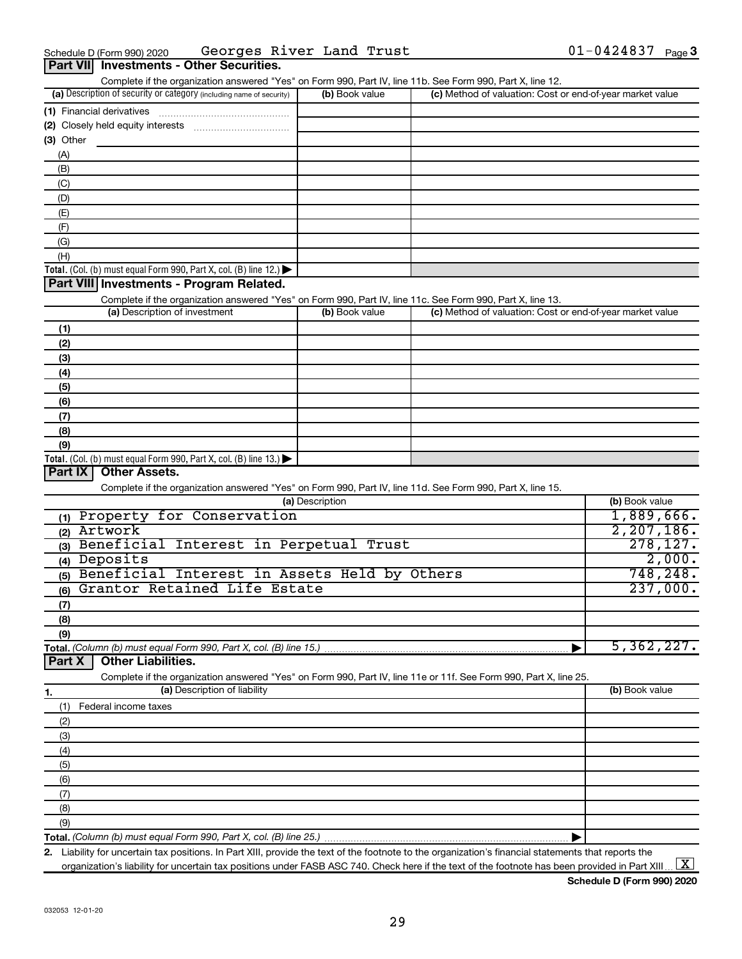| Part VII Investments - Other Securities.                                                                          |                 |                                                           |                |
|-------------------------------------------------------------------------------------------------------------------|-----------------|-----------------------------------------------------------|----------------|
| Complete if the organization answered "Yes" on Form 990, Part IV, line 11b. See Form 990, Part X, line 12.        |                 |                                                           |                |
| (a) Description of security or category (including name of security)                                              | (b) Book value  | (c) Method of valuation: Cost or end-of-year market value |                |
| (1) Financial derivatives                                                                                         |                 |                                                           |                |
|                                                                                                                   |                 |                                                           |                |
| (3) Other                                                                                                         |                 |                                                           |                |
| (A)                                                                                                               |                 |                                                           |                |
| (B)                                                                                                               |                 |                                                           |                |
| (C)                                                                                                               |                 |                                                           |                |
| (D)                                                                                                               |                 |                                                           |                |
| (E)                                                                                                               |                 |                                                           |                |
| (F)                                                                                                               |                 |                                                           |                |
| (G)                                                                                                               |                 |                                                           |                |
| (H)                                                                                                               |                 |                                                           |                |
| Total. (Col. (b) must equal Form 990, Part X, col. (B) line 12.) $\blacktriangleright$                            |                 |                                                           |                |
| Part VIII Investments - Program Related.                                                                          |                 |                                                           |                |
| Complete if the organization answered "Yes" on Form 990, Part IV, line 11c. See Form 990, Part X, line 13.        |                 |                                                           |                |
| (a) Description of investment                                                                                     | (b) Book value  | (c) Method of valuation: Cost or end-of-year market value |                |
| (1)                                                                                                               |                 |                                                           |                |
| (2)                                                                                                               |                 |                                                           |                |
| (3)                                                                                                               |                 |                                                           |                |
| (4)                                                                                                               |                 |                                                           |                |
| (5)                                                                                                               |                 |                                                           |                |
| (6)                                                                                                               |                 |                                                           |                |
| (7)                                                                                                               |                 |                                                           |                |
| (8)                                                                                                               |                 |                                                           |                |
| (9)                                                                                                               |                 |                                                           |                |
| Total. (Col. (b) must equal Form $990$ , Part X, col. (B) line 13.)                                               |                 |                                                           |                |
| Part IX<br><b>Other Assets.</b>                                                                                   |                 |                                                           |                |
| Complete if the organization answered "Yes" on Form 990, Part IV, line 11d. See Form 990, Part X, line 15.        |                 |                                                           |                |
|                                                                                                                   | (a) Description |                                                           | (b) Book value |
| (1) Property for Conservation                                                                                     |                 |                                                           | 1,889,666.     |
| (2) Artwork                                                                                                       |                 |                                                           | 2, 207, 186.   |
| (3) Beneficial Interest in Perpetual Trust                                                                        |                 |                                                           | 278, 127.      |
| (4) Deposits                                                                                                      |                 |                                                           | 2,000.         |
| (5) Beneficial Interest in Assets Held by Others                                                                  |                 |                                                           | 748, 248.      |
| Grantor Retained Life Estate<br>(6)                                                                               |                 |                                                           | 237,000.       |
| (7)                                                                                                               |                 |                                                           |                |
| (8)                                                                                                               |                 |                                                           |                |
| (9)                                                                                                               |                 |                                                           |                |
| Total. (Column (b) must equal Form 990, Part X, col. (B) line 15.)                                                |                 |                                                           | 5,362,227.     |
| <b>Other Liabilities.</b><br>Part X                                                                               |                 |                                                           |                |
| Complete if the organization answered "Yes" on Form 990, Part IV, line 11e or 11f. See Form 990, Part X, line 25. |                 |                                                           |                |
| (a) Description of liability<br>1.                                                                                |                 |                                                           | (b) Book value |
| (1)<br>Federal income taxes                                                                                       |                 |                                                           |                |
| (2)                                                                                                               |                 |                                                           |                |
| (3)                                                                                                               |                 |                                                           |                |
| (4)                                                                                                               |                 |                                                           |                |
| (5)                                                                                                               |                 |                                                           |                |
| (6)                                                                                                               |                 |                                                           |                |
| (7)                                                                                                               |                 |                                                           |                |
| (8)                                                                                                               |                 |                                                           |                |
| (9)                                                                                                               |                 |                                                           |                |
| Total. (Column (b) must equal Form 990, Part X, col. (B) line 25.)                                                |                 | ▶                                                         |                |

**2.** Liability for uncertain tax positions. In Part XIII, provide the text of the footnote to the organization's financial statements that reports the organization's liability for uncertain tax positions under FASB ASC 740. Check here if the text of the footnote has been provided in Part XIII ...  $\fbox{\bf X}$ 

**Schedule D (Form 990) 2020**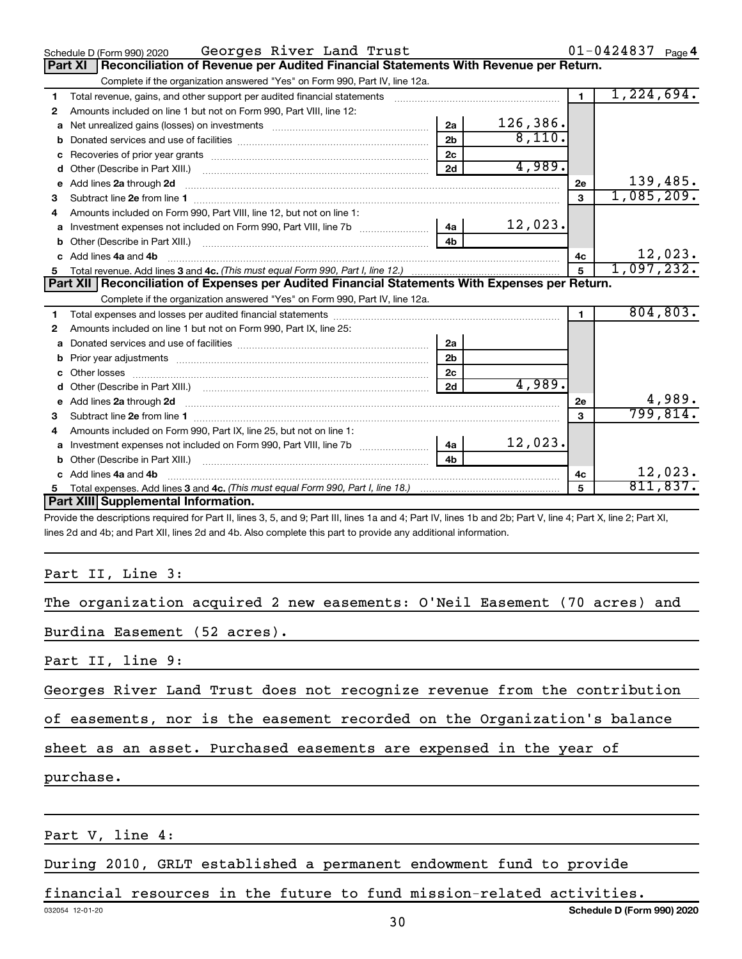|    | Georges River Land Trust<br>Schedule D (Form 990) 2020                                                                                                                                                                        |                |          |                | $01 - 0424837$ Page 4 |
|----|-------------------------------------------------------------------------------------------------------------------------------------------------------------------------------------------------------------------------------|----------------|----------|----------------|-----------------------|
|    | Reconciliation of Revenue per Audited Financial Statements With Revenue per Return.<br>Part XI                                                                                                                                |                |          |                |                       |
|    | Complete if the organization answered "Yes" on Form 990, Part IV, line 12a.                                                                                                                                                   |                |          |                |                       |
| 1  | Total revenue, gains, and other support per audited financial statements [111] [11] Total revenue, gains, and other support per audited financial statements                                                                  |                |          | $\blacksquare$ | 1,224,694.            |
| 2  | Amounts included on line 1 but not on Form 990, Part VIII, line 12:                                                                                                                                                           |                |          |                |                       |
| a  |                                                                                                                                                                                                                               | 2a             | 126,386. |                |                       |
| b  |                                                                                                                                                                                                                               | 2 <sub>b</sub> | 8,110.   |                |                       |
| с  | Recoveries of prior year grants [111] matter contracts and prior year grants and an intervention of the contracts and the contracts of prior year grants and the contracts of the contracts of the contracts of the contracts | 2 <sub>c</sub> |          |                |                       |
| d  |                                                                                                                                                                                                                               | 2d             | 4,989.   |                |                       |
| е  | Add lines 2a through 2d                                                                                                                                                                                                       |                |          | 2e             | 139,485.              |
| 3  |                                                                                                                                                                                                                               |                |          | $\mathbf{3}$   | 1,085,209.            |
| 4  | Amounts included on Form 990, Part VIII, line 12, but not on line 1:                                                                                                                                                          |                |          |                |                       |
| a  | Investment expenses not included on Form 990, Part VIII, line 7b [100]   4a                                                                                                                                                   |                | 12,023.  |                |                       |
| b  |                                                                                                                                                                                                                               | 4 <sub>b</sub> |          |                |                       |
| c. | Add lines 4a and 4b                                                                                                                                                                                                           |                |          | 4c             | 12,023.               |
| 5  |                                                                                                                                                                                                                               |                |          | $\overline{5}$ | 1,097,232.            |
|    | Part XII   Reconciliation of Expenses per Audited Financial Statements With Expenses per Return.                                                                                                                              |                |          |                |                       |
|    |                                                                                                                                                                                                                               |                |          |                |                       |
|    | Complete if the organization answered "Yes" on Form 990, Part IV, line 12a.                                                                                                                                                   |                |          |                |                       |
| 1  |                                                                                                                                                                                                                               |                |          | $\mathbf{1}$   | 804, 803.             |
| 2  | Amounts included on line 1 but not on Form 990, Part IX, line 25:                                                                                                                                                             |                |          |                |                       |
| a  |                                                                                                                                                                                                                               | 2a             |          |                |                       |
| b  |                                                                                                                                                                                                                               | 2b             |          |                |                       |
| c  |                                                                                                                                                                                                                               | 2 <sub>c</sub> |          |                |                       |
| d  |                                                                                                                                                                                                                               | 2d             | 4,989.   |                |                       |
| е  | Add lines 2a through 2d <b>must be a constructed as the constant of the constant of the constant of the construction</b>                                                                                                      |                |          | 2e             | 4,989.                |
| 3  |                                                                                                                                                                                                                               |                |          | 3              | 799,814.              |
| 4  | Amounts included on Form 990, Part IX, line 25, but not on line 1:                                                                                                                                                            |                |          |                |                       |
| a  | Investment expenses not included on Form 990, Part VIII, line 7b [100] [200] 4a                                                                                                                                               |                | 12,023.  |                |                       |
| b  |                                                                                                                                                                                                                               | 4b             |          |                |                       |
|    | Add lines 4a and 4b                                                                                                                                                                                                           |                |          | 4с             | 12,023.               |
|    | Part XIII Supplemental Information.                                                                                                                                                                                           |                |          | 5              | 811,837.              |

Provide the descriptions required for Part II, lines 3, 5, and 9; Part III, lines 1a and 4; Part IV, lines 1b and 2b; Part V, line 4; Part X, line 2; Part XI, lines 2d and 4b; and Part XII, lines 2d and 4b. Also complete this part to provide any additional information.

### Part II, Line 3:

| The organization acquired 2 new easements: O'Neil Easement (70 acres) and |  |  |  |  |
|---------------------------------------------------------------------------|--|--|--|--|
|                                                                           |  |  |  |  |

Burdina Easement (52 acres).

Part II, line 9:

Georges River Land Trust does not recognize revenue from the contribution

of easements, nor is the easement recorded on the Organization's balance

sheet as an asset. Purchased easements are expensed in the year of

purchase.

Part V, line 4:

During 2010, GRLT established a permanent endowment fund to provide

financial resources in the future to fund mission-related activities.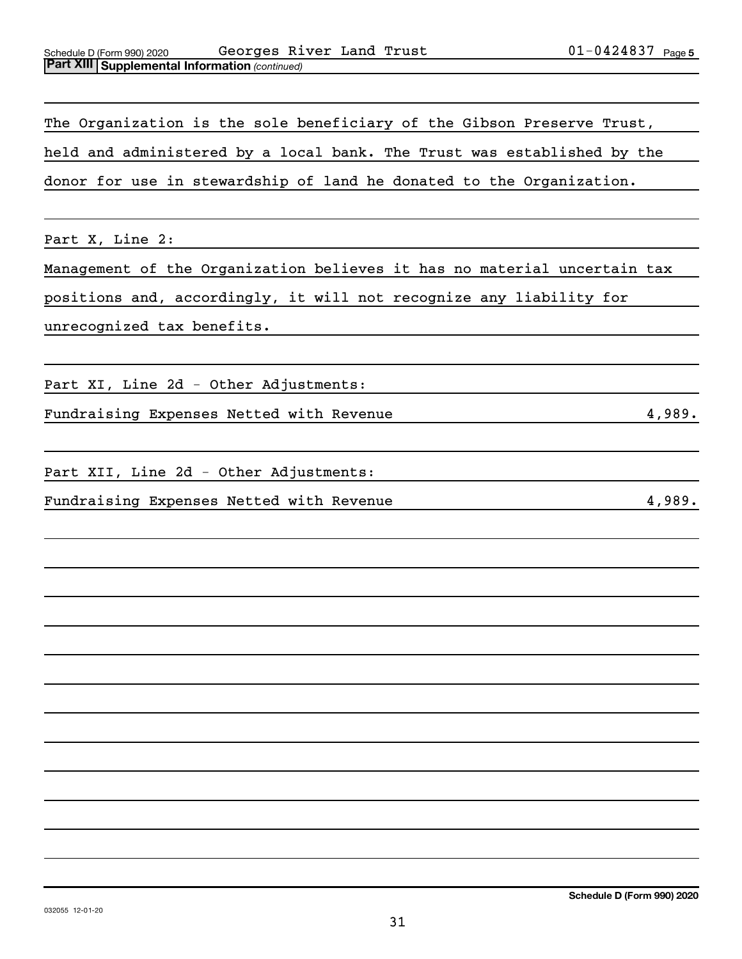The Organization is the sole beneficiary of the Gibson Preserve Trust, held and administered by a local bank. The Trust was established by the donor for use in stewardship of land he donated to the Organization.

Part X, Line 2:

Management of the Organization believes it has no material uncertain tax

positions and, accordingly, it will not recognize any liability for

unrecognized tax benefits.

Part XI, Line 2d - Other Adjustments:

Fundraising Expenses Netted with Revenue 4,989.

Part XII, Line 2d - Other Adjustments:

Fundraising Expenses Netted with Revenue 4,989.

**Schedule D (Form 990) 2020**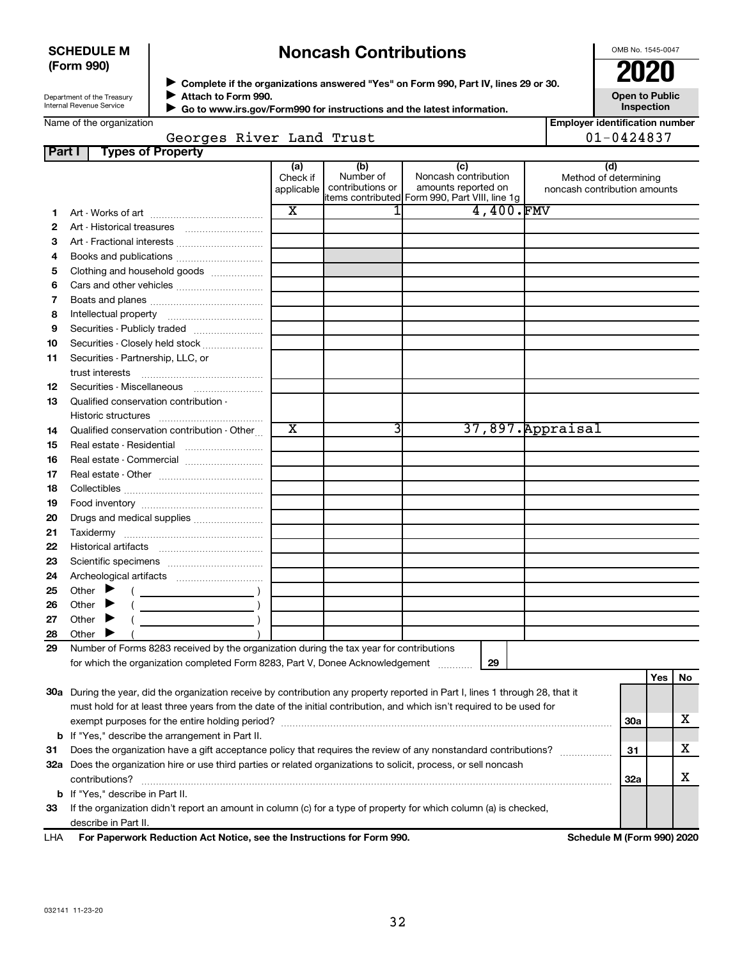### **SCHEDULE M (Form 990)**

# **Noncash Contributions**

OMB No. 1545-0047

| Department of the Treasury |
|----------------------------|
| Internal Revenue Service   |

**Complete if the organizations answered "Yes" on Form 990, Part IV, lines 29 or 30. Attach to Form 990.** →<br>**→** Complete if the organizations answered "Yes" on Form 990, Part IV, lines 29 or 30.<br>● Complete if the organizations answered "Yes" on Form 990, Part IV, lines 29 or 30.  $\blacktriangleright$ 

**Open to Public Inspection**

 **Go to www.irs.gov/Form990 for instructions and the latest information.** J

| <b>Employer identification number</b> |
|---------------------------------------|
| $01 - 0424837$                        |

|--|

| Part I | <b>Types of Property</b>                                                                                                       |                 |                  |                                                |                              |            |     |    |
|--------|--------------------------------------------------------------------------------------------------------------------------------|-----------------|------------------|------------------------------------------------|------------------------------|------------|-----|----|
|        |                                                                                                                                | (a)<br>Check if | (b)<br>Number of | (c)<br>Noncash contribution                    | (d)<br>Method of determining |            |     |    |
|        |                                                                                                                                | applicable      | contributions or | amounts reported on                            | noncash contribution amounts |            |     |    |
|        |                                                                                                                                |                 |                  | items contributed Form 990, Part VIII, line 1g |                              |            |     |    |
| 1      |                                                                                                                                | X               | 11               | 4,400.FMV                                      |                              |            |     |    |
| 2      |                                                                                                                                |                 |                  |                                                |                              |            |     |    |
| З      | Art - Fractional interests                                                                                                     |                 |                  |                                                |                              |            |     |    |
| 4      | Books and publications                                                                                                         |                 |                  |                                                |                              |            |     |    |
| 5      | Clothing and household goods                                                                                                   |                 |                  |                                                |                              |            |     |    |
| 6      |                                                                                                                                |                 |                  |                                                |                              |            |     |    |
| 7      |                                                                                                                                |                 |                  |                                                |                              |            |     |    |
| 8      |                                                                                                                                |                 |                  |                                                |                              |            |     |    |
| 9      | Securities - Publicly traded                                                                                                   |                 |                  |                                                |                              |            |     |    |
| 10     | Securities - Closely held stock                                                                                                |                 |                  |                                                |                              |            |     |    |
| 11     | Securities - Partnership, LLC, or                                                                                              |                 |                  |                                                |                              |            |     |    |
|        |                                                                                                                                |                 |                  |                                                |                              |            |     |    |
| 12     | Securities - Miscellaneous                                                                                                     |                 |                  |                                                |                              |            |     |    |
| 13     | Qualified conservation contribution -                                                                                          |                 |                  |                                                |                              |            |     |    |
|        |                                                                                                                                |                 |                  |                                                |                              |            |     |    |
| 14     | Qualified conservation contribution - Other                                                                                    | x               | 3                |                                                | 37,897. Appraisal            |            |     |    |
| 15     | Real estate - Residential                                                                                                      |                 |                  |                                                |                              |            |     |    |
| 16     | Real estate - Commercial                                                                                                       |                 |                  |                                                |                              |            |     |    |
| 17     |                                                                                                                                |                 |                  |                                                |                              |            |     |    |
| 18     |                                                                                                                                |                 |                  |                                                |                              |            |     |    |
| 19     |                                                                                                                                |                 |                  |                                                |                              |            |     |    |
| 20     | Drugs and medical supplies                                                                                                     |                 |                  |                                                |                              |            |     |    |
| 21     |                                                                                                                                |                 |                  |                                                |                              |            |     |    |
| 22     |                                                                                                                                |                 |                  |                                                |                              |            |     |    |
| 23     |                                                                                                                                |                 |                  |                                                |                              |            |     |    |
| 24     |                                                                                                                                |                 |                  |                                                |                              |            |     |    |
| 25     | Other $\blacktriangleright$                                                                                                    |                 |                  |                                                |                              |            |     |    |
| 26     | Other $\blacktriangleright$                                                                                                    |                 |                  |                                                |                              |            |     |    |
| 27     | Other $\blacktriangleright$                                                                                                    |                 |                  |                                                |                              |            |     |    |
| 28     | Other $\blacktriangleright$                                                                                                    |                 |                  |                                                |                              |            |     |    |
| 29     | Number of Forms 8283 received by the organization during the tax year for contributions                                        |                 |                  |                                                |                              |            |     |    |
|        | for which the organization completed Form 8283, Part V, Donee Acknowledgement                                                  |                 |                  | 29                                             |                              |            |     |    |
|        |                                                                                                                                |                 |                  |                                                |                              |            | Yes | No |
|        | 30a During the year, did the organization receive by contribution any property reported in Part I, lines 1 through 28, that it |                 |                  |                                                |                              |            |     |    |
|        | must hold for at least three years from the date of the initial contribution, and which isn't required to be used for          |                 |                  |                                                |                              |            |     |    |
|        |                                                                                                                                |                 |                  |                                                |                              | 30a        |     | x  |
|        | <b>b</b> If "Yes," describe the arrangement in Part II.                                                                        |                 |                  |                                                |                              |            |     |    |
| 31     | Does the organization have a gift acceptance policy that requires the review of any nonstandard contributions?                 |                 |                  |                                                |                              |            |     | x  |
|        | 32a Does the organization hire or use third parties or related organizations to solicit, process, or sell noncash              |                 |                  |                                                |                              |            |     |    |
|        | contributions?                                                                                                                 |                 |                  |                                                |                              | <b>32a</b> |     | х  |
|        | <b>b</b> If "Yes," describe in Part II.                                                                                        |                 |                  |                                                |                              |            |     |    |
| 33     | If the organization didn't report an amount in column (c) for a type of property for which column (a) is checked,              |                 |                  |                                                |                              |            |     |    |
|        | describe in Part II.                                                                                                           |                 |                  |                                                |                              |            |     |    |
| LHA    | For Paperwork Reduction Act Notice, see the Instructions for Form 990.                                                         |                 |                  |                                                | Schedule M (Form 990) 2020   |            |     |    |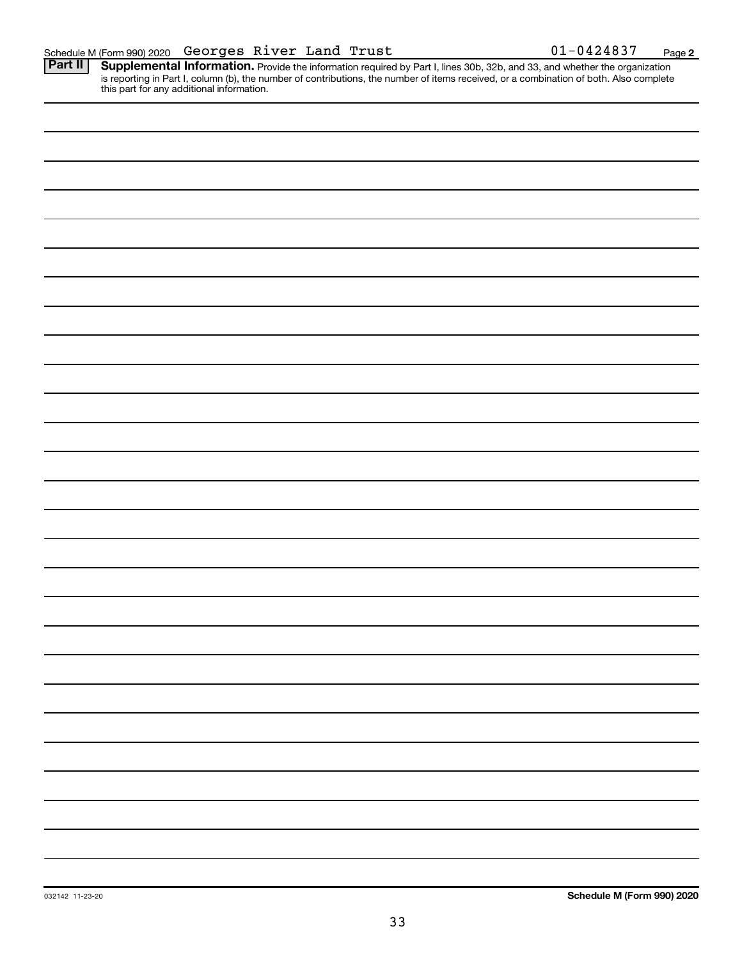Provide the information required by Part I, lines 30b, 32b, and 33, and whether the organization is reporting in Part I, column (b), the number of contributions, the number of items received, or a combination of both. Also complete this part for any additional information. **Part II Supplemental Information.**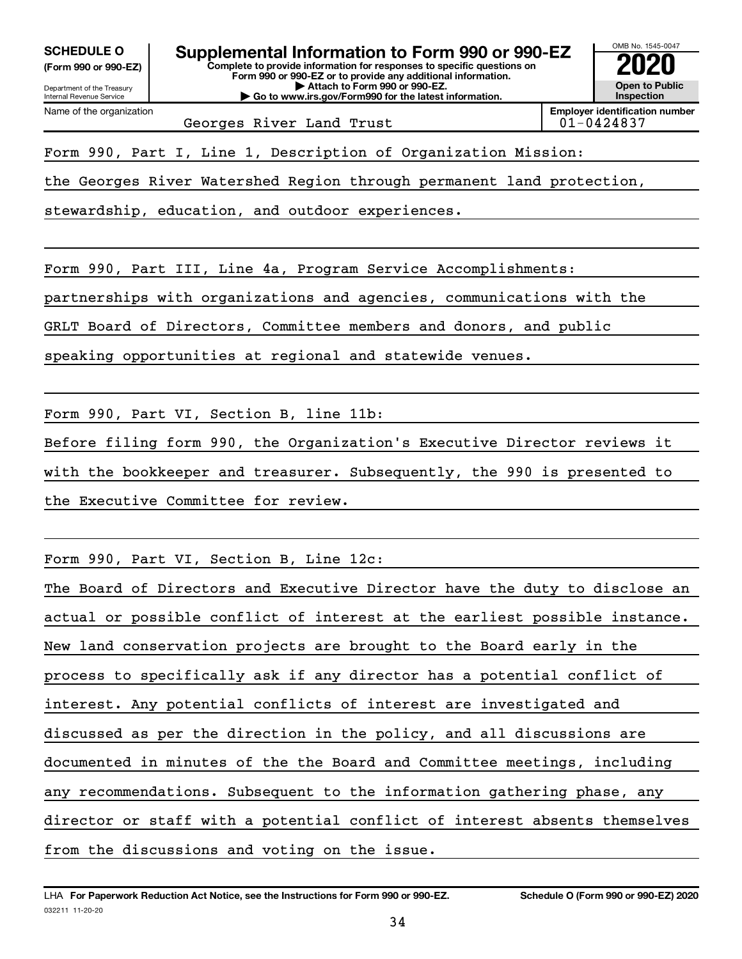**(Form 990 or 990-EZ)**

Department of the Treasury Internal Revenue Service

Name of the organization

**Complete to provide information for responses to specific questions on Form 990 or 990-EZ or to provide any additional information. | Attach to Form 990 or 990-EZ. | Go to www.irs.gov/Form990 for the latest information. SCHEDULE O Supplemental Information to Form 990 or 990-EZ 2020**<br>(Form 990 or 990-EZ) Complete to provide information for responses to specific questions on



Georges River Land Trust

Form 990, Part I, Line 1, Description of Organization Mission:

the Georges River Watershed Region through permanent land protection,

stewardship, education, and outdoor experiences.

Form 990, Part III, Line 4a, Program Service Accomplishments:

partnerships with organizations and agencies, communications with the

GRLT Board of Directors, Committee members and donors, and public

speaking opportunities at regional and statewide venues.

Form 990, Part VI, Section B, line 11b:

Before filing form 990, the Organization's Executive Director reviews it with the bookkeeper and treasurer. Subsequently, the 990 is presented to the Executive Committee for review.

Form 990, Part VI, Section B, Line 12c:

The Board of Directors and Executive Director have the duty to disclose an actual or possible conflict of interest at the earliest possible instance. New land conservation projects are brought to the Board early in the process to specifically ask if any director has a potential conflict of interest. Any potential conflicts of interest are investigated and discussed as per the direction in the policy, and all discussions are documented in minutes of the the Board and Committee meetings, including any recommendations. Subsequent to the information gathering phase, any director or staff with a potential conflict of interest absents themselves from the discussions and voting on the issue.